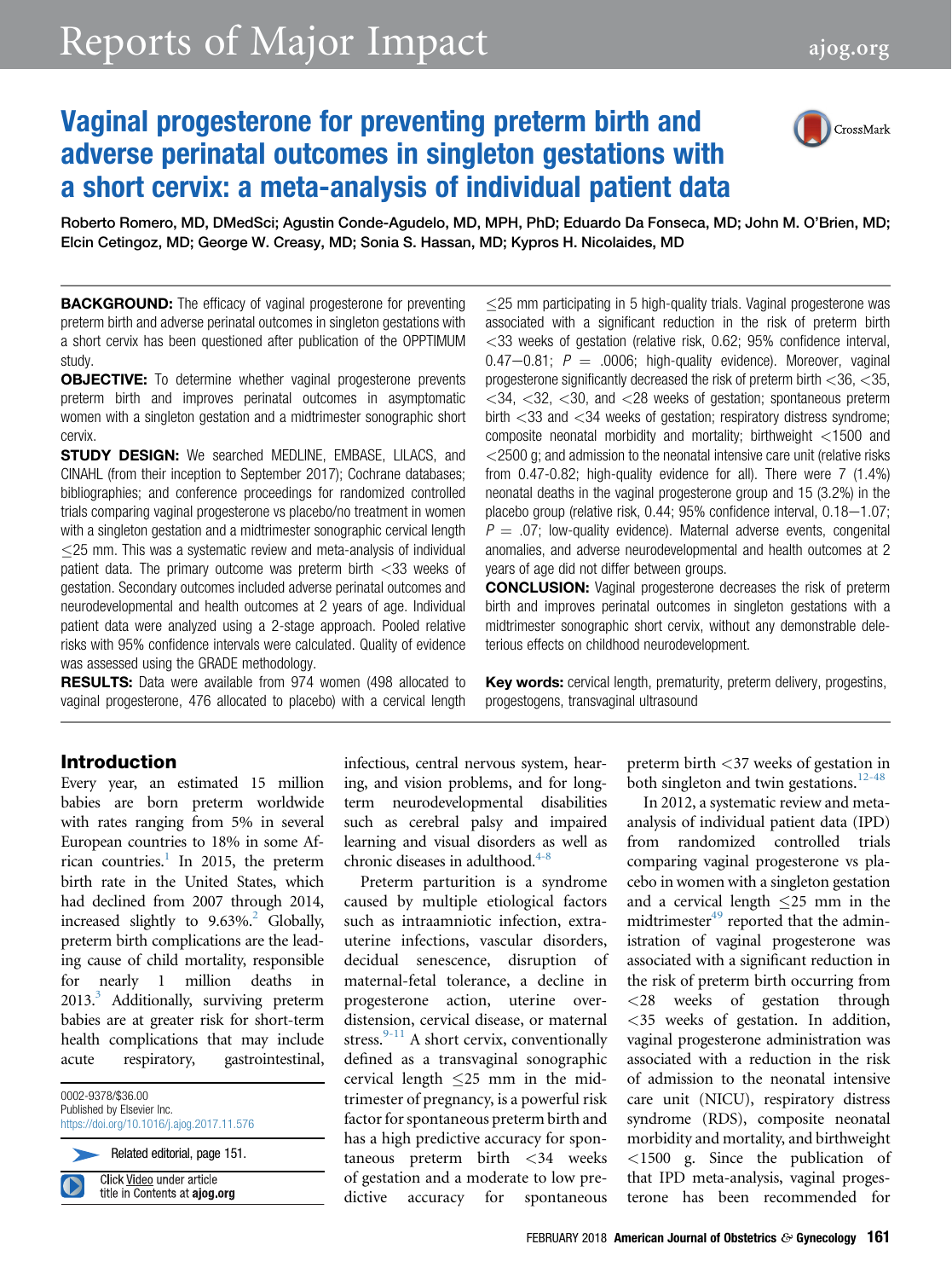# Reports of Major Impact [ajog.org](http://www.AJOG.org)

## Vaginal progesterone for preventing preterm birth and adverse perinatal outcomes in singleton gestations with a short cervix: a meta-analysis of individual patient data



Roberto Romero, MD, DMedSci; Agustin Conde-Agudelo, MD, MPH, PhD; Eduardo Da Fonseca, MD; John M. O'Brien, MD; Elcin Cetingoz, MD; George W. Creasy, MD; Sonia S. Hassan, MD; Kypros H. Nicolaides, MD

**BACKGROUND:** The efficacy of vaginal progesterone for preventing preterm birth and adverse perinatal outcomes in singleton gestations with a short cervix has been questioned after publication of the OPPTIMUM study.

**OBJECTIVE:** To determine whether vaginal progesterone prevents preterm birth and improves perinatal outcomes in asymptomatic women with a singleton gestation and a midtrimester sonographic short cervix.

**STUDY DESIGN:** We searched MEDLINE, EMBASE, LILACS, and CINAHL (from their inception to September 2017); Cochrane databases; bibliographies; and conference proceedings for randomized controlled trials comparing vaginal progesterone vs placebo/no treatment in women with a singleton gestation and a midtrimester sonographic cervical length  $\leq$  25 mm. This was a systematic review and meta-analysis of individual patient data. The primary outcome was preterm birth <33 weeks of gestation. Secondary outcomes included adverse perinatal outcomes and neurodevelopmental and health outcomes at 2 years of age. Individual patient data were analyzed using a 2-stage approach. Pooled relative risks with 95% confidence intervals were calculated. Quality of evidence was assessed using the GRADE methodology.

RESULTS: Data were available from 974 women (498 allocated to vaginal progesterone, 476 allocated to placebo) with a cervical length 25 mm participating in 5 high-quality trials. Vaginal progesterone was associated with a significant reduction in the risk of preterm birth  $<$ 33 weeks of gestation (relative risk, 0.62; 95% confidence interval,  $0.47-0.81$ ;  $P = .0006$ ; high-quality evidence). Moreover, vaginal progesterone significantly decreased the risk of preterm birth <36, <35,  $<$ 34,  $<$ 32,  $<$ 30, and  $<$ 28 weeks of gestation; spontaneous preterm birth <33 and <34 weeks of gestation; respiratory distress syndrome; composite neonatal morbidity and mortality; birthweight <1500 and <2500 g; and admission to the neonatal intensive care unit (relative risks from 0.47-0.82; high-quality evidence for all). There were 7 (1.4%) neonatal deaths in the vaginal progesterone group and 15 (3.2%) in the placebo group (relative risk,  $0.44$ ;  $95%$  confidence interval,  $0.18-1.07$ ;  $P = .07$ ; low-quality evidence). Maternal adverse events, congenital anomalies, and adverse neurodevelopmental and health outcomes at 2 years of age did not differ between groups.

CONCLUSION: Vaginal progesterone decreases the risk of preterm birth and improves perinatal outcomes in singleton gestations with a midtrimester sonographic short cervix, without any demonstrable deleterious effects on childhood neurodevelopment.

Key words: cervical length, prematurity, preterm delivery, progestins, progestogens, transvaginal ultrasound

#### Introduction

Every year, an estimated 15 million babies are born preterm worldwide with rates ranging from 5% in several European countries to 18% in some African countries.<sup>1</sup> In 2015, the preterm birth rate in the United States, which had declined from 2007 through 2014, increased slightly to  $9.63\%$ <sup>[2](#page-14-0)</sup> Globally, preterm birth complications are the leading cause of child mortality, responsible for nearly 1 million deaths in  $2013<sup>3</sup>$  $2013<sup>3</sup>$  $2013<sup>3</sup>$  Additionally, surviving preterm babies are at greater risk for short-term health complications that may include acute respiratory, gastrointestinal,

0002-9378/\$36.00 Published by Elsevier Inc. <https://doi.org/10.1016/j.ajog.2017.11.576>

Related editorial, page 151.

Click Video under article title in Contents at ajog.org infectious, central nervous system, hearing, and vision problems, and for longterm neurodevelopmental disabilities such as cerebral palsy and impaired learning and visual disorders as well as chronic diseases in adulthood.<sup>4-8</sup>

Preterm parturition is a syndrome caused by multiple etiological factors such as intraamniotic infection, extrauterine infections, vascular disorders, decidual senescence, disruption of maternal-fetal tolerance, a decline in progesterone action, uterine overdistension, cervical disease, or maternal stress. $9-11$  A short cervix, conventionally defined as a transvaginal sonographic cervical length  $\leq$ 25 mm in the midtrimester of pregnancy, is a powerful risk factor for spontaneous preterm birth and has a high predictive accuracy for spontaneous preterm birth <34 weeks of gestation and a moderate to low predictive accuracy for spontaneous

preterm birth <37 weeks of gestation in both singleton and twin gestations.<sup>[12-48](#page-14-0)</sup>

In 2012, a systematic review and metaanalysis of individual patient data (IPD) from randomized controlled trials comparing vaginal progesterone vs placebo in women with a singleton gestation and a cervical length  $\leq$ 25 mm in the midtrimester<sup>[49](#page-15-0)</sup> reported that the administration of vaginal progesterone was associated with a significant reduction in the risk of preterm birth occurring from <28 weeks of gestation through <35 weeks of gestation. In addition, vaginal progesterone administration was associated with a reduction in the risk of admission to the neonatal intensive care unit (NICU), respiratory distress syndrome (RDS), composite neonatal morbidity and mortality, and birthweight <1500 g. Since the publication of that IPD meta-analysis, vaginal progesterone has been recommended for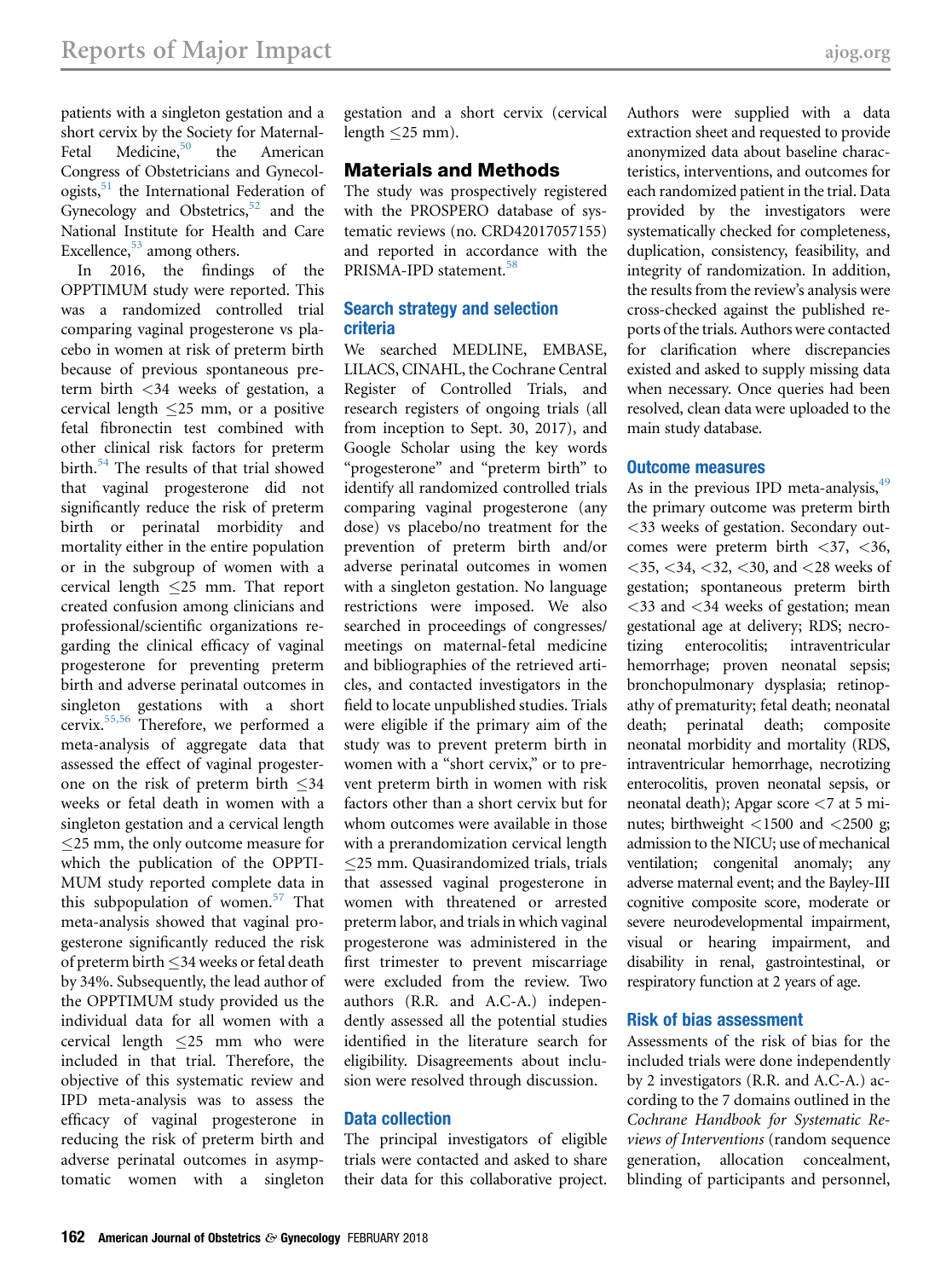patients with a singleton gestation and a short cervix by the Society for Maternal-Fetal Medicine,<sup>[50](#page-15-0)</sup> the American Congress of Obstetricians and Gynecologists,<sup>51</sup> the International Federation of Gynecology and Obstetrics, $52$  and the National Institute for Health and Care Excellence, $53$  among others.

In 2016, the findings of the OPPTIMUM study were reported. This was a randomized controlled trial comparing vaginal progesterone vs placebo in women at risk of preterm birth because of previous spontaneous preterm birth <34 weeks of gestation, a cervical length  $\leq$  25 mm, or a positive fetal fibronectin test combined with other clinical risk factors for preterm birth.<sup>[54](#page-15-0)</sup> The results of that trial showed that vaginal progesterone did not significantly reduce the risk of preterm birth or perinatal morbidity and mortality either in the entire population or in the subgroup of women with a cervical length  $\leq$ 25 mm. That report created confusion among clinicians and professional/scientific organizations regarding the clinical efficacy of vaginal progesterone for preventing preterm birth and adverse perinatal outcomes in singleton gestations with a short cervix.[55,56](#page-15-0) Therefore, we performed a meta-analysis of aggregate data that assessed the effect of vaginal progesterone on the risk of preterm birth  $\leq 34$ weeks or fetal death in women with a singleton gestation and a cervical length 25 mm, the only outcome measure for which the publication of the OPPTI-MUM study reported complete data in this subpopulation of women. $57$  That meta-analysis showed that vaginal progesterone significantly reduced the risk of preterm birth  $\leq$ 34 weeks or fetal death by 34%. Subsequently, the lead author of the OPPTIMUM study provided us the individual data for all women with a cervical length 25 mm who were included in that trial. Therefore, the objective of this systematic review and IPD meta-analysis was to assess the efficacy of vaginal progesterone in reducing the risk of preterm birth and adverse perinatal outcomes in asymptomatic women with a singleton

gestation and a short cervix (cervical length  $\leq$  25 mm).

#### Materials and Methods

The study was prospectively registered with the PROSPERO database of systematic reviews (no. CRD42017057155) and reported in accordance with the PRISMA-IPD statement.<sup>58</sup>

#### Search strategy and selection criteria

We searched MEDLINE, EMBASE, LILACS, CINAHL, the Cochrane Central Register of Controlled Trials, and research registers of ongoing trials (all from inception to Sept. 30, 2017), and Google Scholar using the key words "progesterone" and "preterm birth" to identify all randomized controlled trials comparing vaginal progesterone (any dose) vs placebo/no treatment for the prevention of preterm birth and/or adverse perinatal outcomes in women with a singleton gestation. No language restrictions were imposed. We also searched in proceedings of congresses/ meetings on maternal-fetal medicine and bibliographies of the retrieved articles, and contacted investigators in the field to locate unpublished studies. Trials were eligible if the primary aim of the study was to prevent preterm birth in women with a "short cervix," or to prevent preterm birth in women with risk factors other than a short cervix but for whom outcomes were available in those with a prerandomization cervical length  $\leq$ 25 mm. Quasirandomized trials, trials that assessed vaginal progesterone in women with threatened or arrested preterm labor, and trials in which vaginal progesterone was administered in the first trimester to prevent miscarriage were excluded from the review. Two authors (R.R. and A.C-A.) independently assessed all the potential studies identified in the literature search for eligibility. Disagreements about inclusion were resolved through discussion.

#### Data collection

The principal investigators of eligible trials were contacted and asked to share their data for this collaborative project.

Authors were supplied with a data extraction sheet and requested to provide anonymized data about baseline characteristics, interventions, and outcomes for each randomized patient in the trial. Data provided by the investigators were systematically checked for completeness, duplication, consistency, feasibility, and integrity of randomization. In addition, the results from the review's analysis were cross-checked against the published reports of the trials. Authors were contacted for clarification where discrepancies existed and asked to supply missing data when necessary. Once queries had been resolved, clean data were uploaded to the main study database.

#### Outcome measures

As in the previous IPD meta-analysis,  $49$ the primary outcome was preterm birth <33 weeks of gestation. Secondary outcomes were preterm birth  $\langle 37, \langle 36, \rangle$  $<$ 35,  $<$ 34,  $<$ 32,  $<$ 30, and  $<$ 28 weeks of gestation; spontaneous preterm birth <33 and <34 weeks of gestation; mean gestational age at delivery; RDS; necrotizing enterocolitis; intraventricular hemorrhage; proven neonatal sepsis; bronchopulmonary dysplasia; retinopathy of prematurity; fetal death; neonatal death; perinatal death; composite neonatal morbidity and mortality (RDS, intraventricular hemorrhage, necrotizing enterocolitis, proven neonatal sepsis, or neonatal death); Apgar score <7 at 5 minutes; birthweight <1500 and <2500 g; admission to the NICU; use of mechanical ventilation; congenital anomaly; any adverse maternal event; and the Bayley-III cognitive composite score, moderate or severe neurodevelopmental impairment, visual or hearing impairment, and disability in renal, gastrointestinal, or respiratory function at 2 years of age.

#### Risk of bias assessment

Assessments of the risk of bias for the included trials were done independently by 2 investigators (R.R. and A.C-A.) according to the 7 domains outlined in the Cochrane Handbook for Systematic Reviews of Interventions (random sequence generation, allocation concealment, blinding of participants and personnel,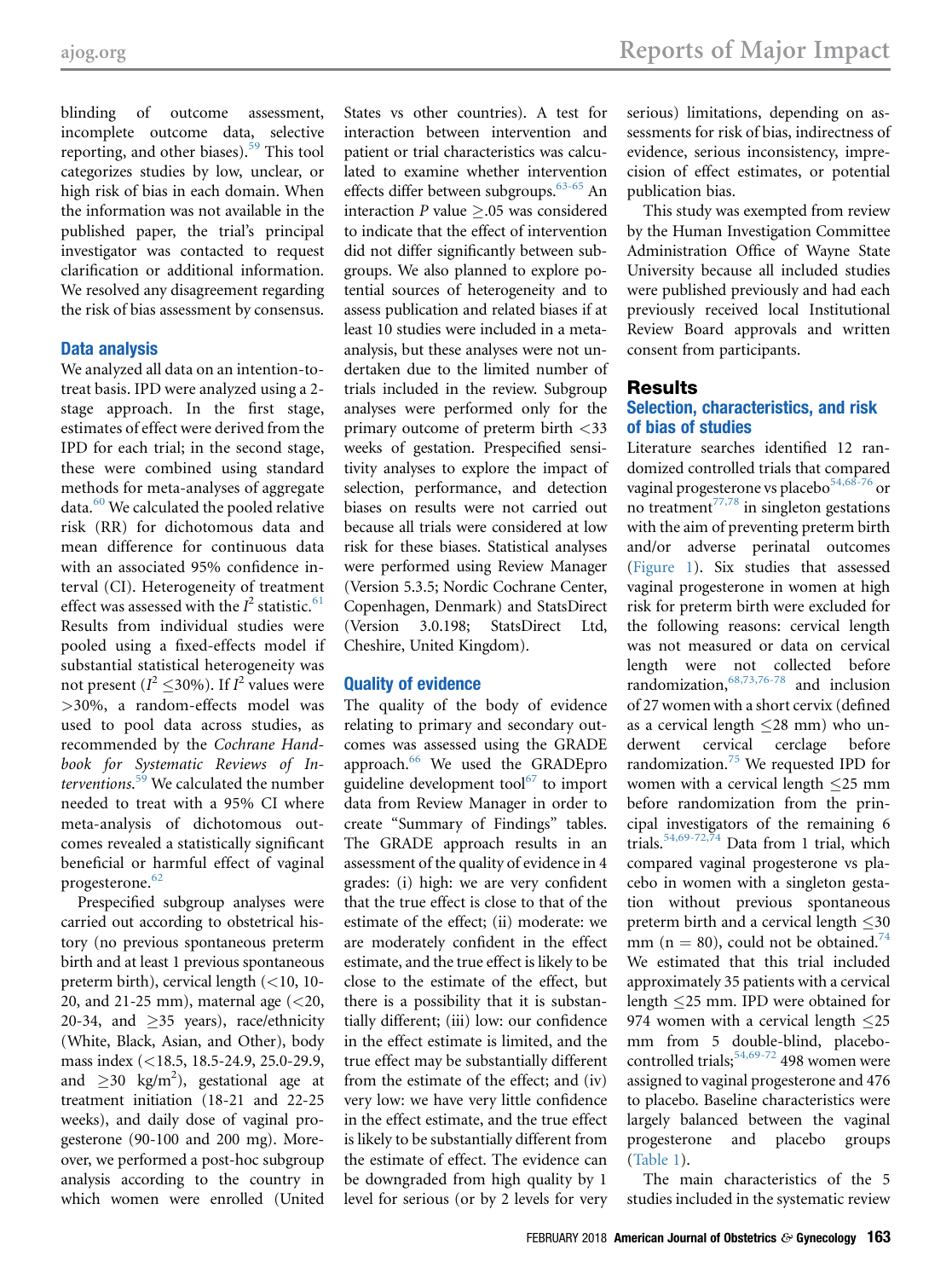blinding of outcome assessment, incomplete outcome data, selective reporting, and other biases).<sup>[59](#page-16-0)</sup> This tool categorizes studies by low, unclear, or high risk of bias in each domain. When the information was not available in the published paper, the trial's principal investigator was contacted to request clarification or additional information. We resolved any disagreement regarding the risk of bias assessment by consensus.

#### Data analysis

We analyzed all data on an intention-totreat basis. IPD were analyzed using a 2 stage approach. In the first stage, estimates of effect were derived from the IPD for each trial; in the second stage, these were combined using standard methods for meta-analyses of aggregate data. $60$  We calculated the pooled relative risk (RR) for dichotomous data and mean difference for continuous data with an associated 95% confidence interval (CI). Heterogeneity of treatment effect was assessed with the  $I^2$  statistic.<sup>[61](#page-16-0)</sup> Results from individual studies were pooled using a fixed-effects model if substantial statistical heterogeneity was not present ( $I^2 \le 30\%$ ). If  $I^2$  values were >30%, a random-effects model was used to pool data across studies, as recommended by the Cochrane Handbook for Systematic Reviews of In-terventions.<sup>[59](#page-16-0)</sup> We calculated the number needed to treat with a 95% CI where meta-analysis of dichotomous outcomes revealed a statistically significant beneficial or harmful effect of vaginal progesterone.<sup>[62](#page-16-0)</sup>

Prespecified subgroup analyses were carried out according to obstetrical history (no previous spontaneous preterm birth and at least 1 previous spontaneous preterm birth), cervical length  $(<10, 10$ -20, and 21-25 mm), maternal age  $( $20$ ,$ 20-34, and  $>35$  years), race/ethnicity (White, Black, Asian, and Other), body mass index (<18.5, 18.5-24.9, 25.0-29.9, and  $\geq$ 30 kg/m<sup>2</sup>), gestational age at treatment initiation (18-21 and 22-25 weeks), and daily dose of vaginal progesterone (90-100 and 200 mg). Moreover, we performed a post-hoc subgroup analysis according to the country in which women were enrolled (United States vs other countries). A test for interaction between intervention and patient or trial characteristics was calculated to examine whether intervention effects differ between subgroups.<sup>[63-65](#page-16-0)</sup> An interaction P value  $\geq$ .05 was considered to indicate that the effect of intervention did not differ significantly between subgroups. We also planned to explore potential sources of heterogeneity and to assess publication and related biases if at least 10 studies were included in a metaanalysis, but these analyses were not undertaken due to the limited number of trials included in the review. Subgroup analyses were performed only for the primary outcome of preterm birth <33 weeks of gestation. Prespecified sensitivity analyses to explore the impact of selection, performance, and detection biases on results were not carried out because all trials were considered at low risk for these biases. Statistical analyses were performed using Review Manager (Version 5.3.5; Nordic Cochrane Center, Copenhagen, Denmark) and StatsDirect (Version 3.0.198; StatsDirect Ltd, Cheshire, United Kingdom).

#### Quality of evidence

The quality of the body of evidence relating to primary and secondary outcomes was assessed using the GRADE approach.<sup>[66](#page-16-0)</sup> We used the GRADEpro guideline development tool $^{67}$  to import data from Review Manager in order to create "Summary of Findings" tables. The GRADE approach results in an assessment of the quality of evidence in 4 grades: (i) high: we are very confident that the true effect is close to that of the estimate of the effect; (ii) moderate: we are moderately confident in the effect estimate, and the true effect is likely to be close to the estimate of the effect, but there is a possibility that it is substantially different; (iii) low: our confidence in the effect estimate is limited, and the true effect may be substantially different from the estimate of the effect; and (iv) very low: we have very little confidence in the effect estimate, and the true effect is likely to be substantially different from the estimate of effect. The evidence can be downgraded from high quality by 1 level for serious (or by 2 levels for very

serious) limitations, depending on assessments for risk of bias, indirectness of evidence, serious inconsistency, imprecision of effect estimates, or potential publication bias.

This study was exempted from review by the Human Investigation Committee Administration Office of Wayne State University because all included studies were published previously and had each previously received local Institutional Review Board approvals and written consent from participants.

#### Results Selection, characteristics, and risk of bias of studies

Literature searches identified 12 randomized controlled trials that compared vaginal progesterone vs placebo<sup>[54,68-76](#page-15-0)</sup> or no treatment<sup>[77,78](#page-16-0)</sup> in singleton gestations with the aim of preventing preterm birth and/or adverse perinatal outcomes [\(Figure 1\)](#page-3-0). Six studies that assessed vaginal progesterone in women at high risk for preterm birth were excluded for the following reasons: cervical length was not measured or data on cervical length were not collected before randomization,  $68,73,76-78$  and inclusion of 27 women with a short cervix (defined as a cervical length  $\leq$ 28 mm) who underwent cervical cerclage before derwent cervical cerclage randomization.[75](#page-16-0) We requested IPD for women with a cervical length 25 mm before randomization from the principal investigators of the remaining 6 trials.<sup>[54,69-72,74](#page-15-0)</sup> Data from 1 trial, which compared vaginal progesterone vs placebo in women with a singleton gestation without previous spontaneous preterm birth and a cervical length  $\leq 30$ mm (n = 80), could not be obtained.<sup>[74](#page-16-0)</sup> We estimated that this trial included approximately 35 patients with a cervical length 25 mm. IPD were obtained for 974 women with a cervical length  $\leq$ 25 mm from 5 double-blind, placebocontrolled trials;  $54,69-72$  498 women were assigned to vaginal progesterone and 476 to placebo. Baseline characteristics were largely balanced between the vaginal progesterone and placebo groups [\(Table 1\)](#page-4-0).

The main characteristics of the 5 studies included in the systematic review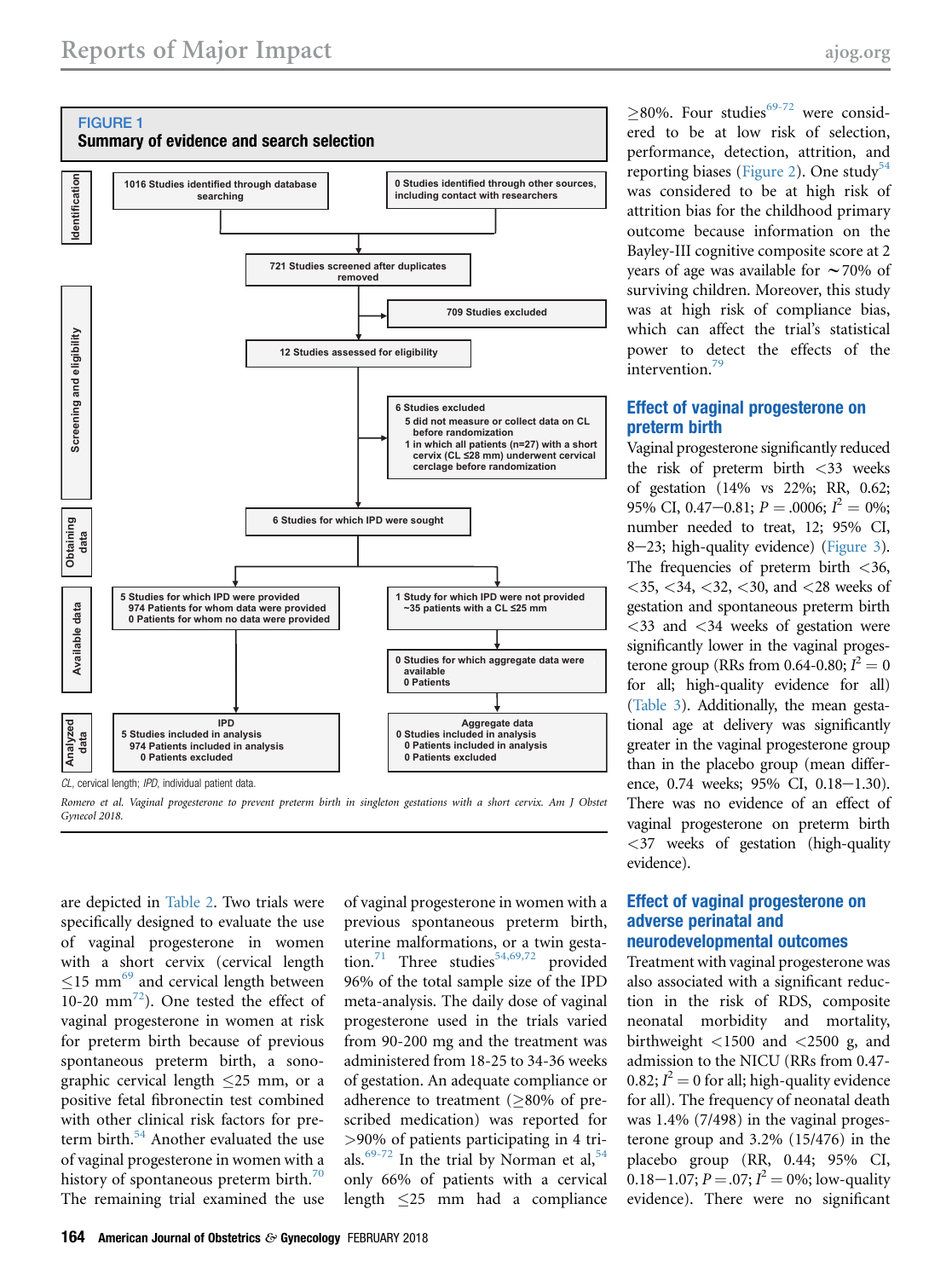<span id="page-3-0"></span>

Romero et al. Vaginal progesterone to prevent preterm birth in singleton gestations with a short cervix. Am J Obstet Gynecol 2018.

are depicted in [Table 2](#page-5-0). Two trials were specifically designed to evaluate the use of vaginal progesterone in women with a short cervix (cervical length  $\leq$  15 mm $^{69}$  $^{69}$  $^{69}$  and cervical length between 10-20  $mm<sup>72</sup>$  $mm<sup>72</sup>$  $mm<sup>72</sup>$ ). One tested the effect of vaginal progesterone in women at risk for preterm birth because of previous spontaneous preterm birth, a sonographic cervical length  $\leq$  25 mm, or a positive fetal fibronectin test combined with other clinical risk factors for pre-term birth.<sup>[54](#page-15-0)</sup> Another evaluated the use of vaginal progesterone in women with a history of spontaneous preterm birth.<sup>[70](#page-16-0)</sup> The remaining trial examined the use

of vaginal progesterone in women with a previous spontaneous preterm birth, uterine malformations, or a twin gesta-tion.<sup>[71](#page-16-0)</sup> Three studies<sup>[54,69,72](#page-15-0)</sup> provided 96% of the total sample size of the IPD meta-analysis. The daily dose of vaginal progesterone used in the trials varied from 90-200 mg and the treatment was administered from 18-25 to 34-36 weeks of gestation. An adequate compliance or adherence to treatment  $(>80\%$  of prescribed medication) was reported for >90% of patients participating in 4 tri-als.<sup>[69-72](#page-16-0)</sup> In the trial by Norman et al,  $54$ only 66% of patients with a cervical length 25 mm had a compliance

 $>80\%$ . Four studies<sup>[69-72](#page-16-0)</sup> were considered to be at low risk of selection, performance, detection, attrition, and reporting biases [\(Figure 2\)](#page-6-0). One study<sup>[54](#page-15-0)</sup> was considered to be at high risk of attrition bias for the childhood primary outcome because information on the Bayley-III cognitive composite score at 2 years of age was available for  $\sim$  70% of surviving children. Moreover, this study was at high risk of compliance bias, which can affect the trial's statistical power to detect the effects of the intervention.<sup>79</sup>

#### Effect of vaginal progesterone on preterm birth

Vaginal progesterone significantly reduced the risk of preterm birth <33 weeks of gestation (14% vs 22%; RR, 0.62; 95% CI, 0.47-0.81;  $P = 0.0006$ ;  $I^2 = 0\%$ ; number needed to treat, 12; 95% CI, 8-23; high-quality evidence) ([Figure 3](#page-6-0)). The frequencies of preterm birth  $\langle 36, \rangle$  $<$ 35,  $<$ 34,  $<$ 32,  $<$ 30, and  $<$ 28 weeks of gestation and spontaneous preterm birth  $<$ 33 and  $<$ 34 weeks of gestation were significantly lower in the vaginal progesterone group (RRs from 0.64-0.80;  $I^2 = 0$ for all; high-quality evidence for all) [\(Table 3](#page-7-0)). Additionally, the mean gestational age at delivery was significantly greater in the vaginal progesterone group than in the placebo group (mean difference, 0.74 weeks; 95% CI, 0.18-1.30). There was no evidence of an effect of vaginal progesterone on preterm birth <37 weeks of gestation (high-quality evidence).

#### Effect of vaginal progesterone on adverse perinatal and neurodevelopmental outcomes

Treatment with vaginal progesterone was also associated with a significant reduction in the risk of RDS, composite neonatal morbidity and mortality, birthweight  $\langle 1500 \text{ and } \langle 2500 \text{ g}, \text{ and } \rangle$ admission to the NICU (RRs from 0.47- 0.82;  $I^2 = 0$  for all; high-quality evidence for all). The frequency of neonatal death was 1.4% (7/498) in the vaginal progesterone group and 3.2% (15/476) in the placebo group (RR, 0.44; 95% CI, 0.18–1.07;  $P = 0.07; I^2 = 0$ %; low-quality evidence). There were no significant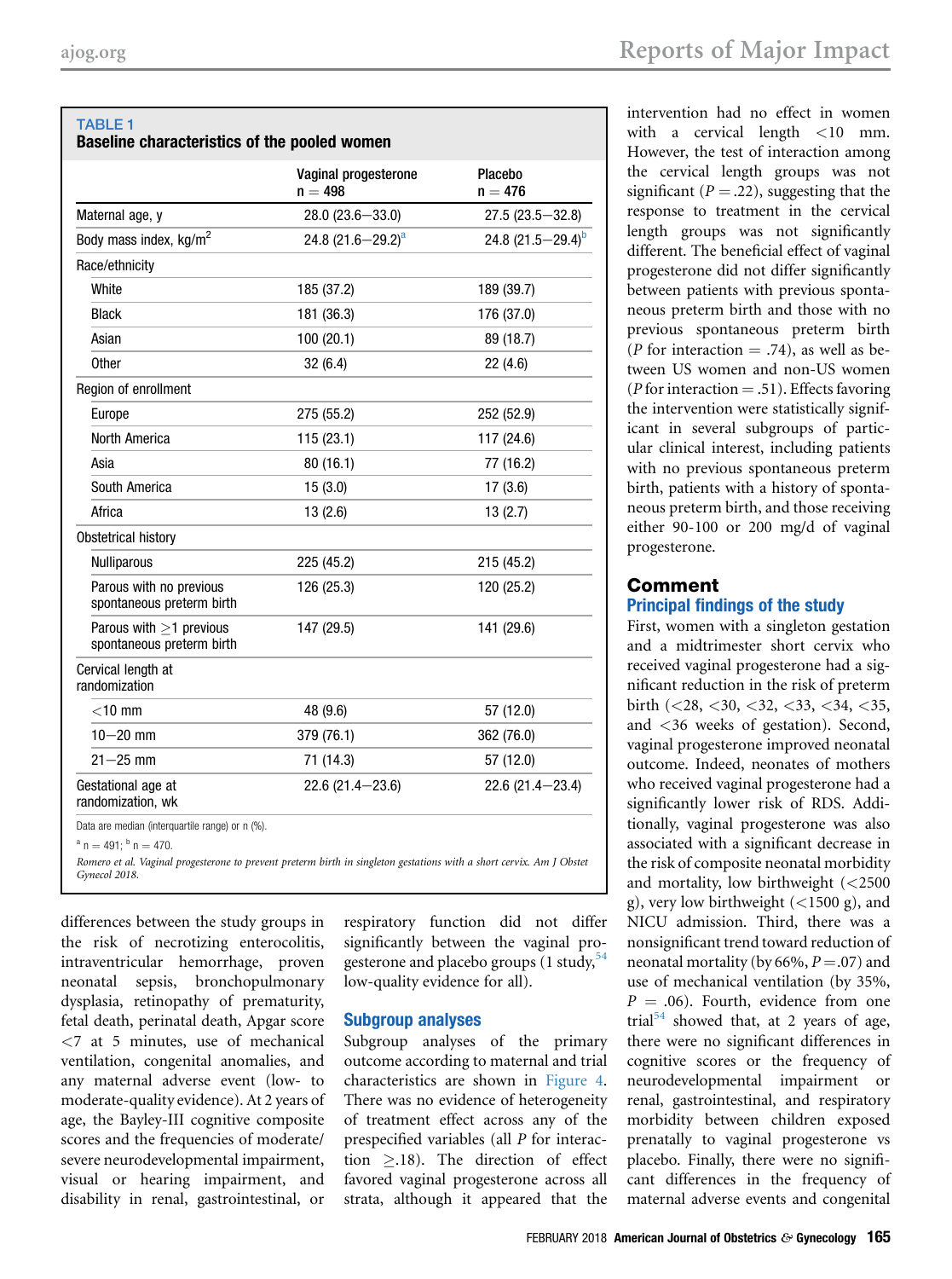<span id="page-4-0"></span>

|                                                            | Vaginal progesterone<br>$n = 498$ | Placebo<br>$n = 476$   |
|------------------------------------------------------------|-----------------------------------|------------------------|
| Maternal age, y                                            | $28.0(23.6 - 33.0)$               | $27.5(23.5 - 32.8)$    |
| Body mass index, kg/m <sup>2</sup>                         | 24.8 (21.6 - 29.2) <sup>a</sup>   | 24.8 $(21.5 - 29.4)^b$ |
| Race/ethnicity                                             |                                   |                        |
| White                                                      | 185 (37.2)                        | 189 (39.7)             |
| <b>Black</b>                                               | 181 (36.3)                        | 176 (37.0)             |
| Asian                                                      | 100(20.1)                         | 89 (18.7)              |
| <b>Other</b>                                               | 32(6.4)                           | 22(4.6)                |
| Region of enrollment                                       |                                   |                        |
| Europe                                                     | 275 (55.2)                        | 252 (52.9)             |
| North America                                              | 115(23.1)                         | 117 (24.6)             |
| Asia                                                       | 80 (16.1)                         | 77 (16.2)              |
| South America                                              | 15(3.0)                           | 17(3.6)                |
| Africa                                                     | 13(2.6)                           | 13(2.7)                |
| Obstetrical history                                        |                                   |                        |
| <b>Nulliparous</b>                                         | 225 (45.2)                        | 215 (45.2)             |
| Parous with no previous<br>spontaneous preterm birth       | 126 (25.3)                        | 120 (25.2)             |
| Parous with $\geq$ 1 previous<br>spontaneous preterm birth | 147 (29.5)                        | 141 (29.6)             |
| Cervical length at<br>randomization                        |                                   |                        |
| $<$ 10 mm                                                  | 48 (9.6)                          | 57 (12.0)              |
| $10 - 20$ mm                                               | 379 (76.1)                        | 362 (76.0)             |
| $21 - 25$ mm                                               | 71 (14.3)                         | 57 (12.0)              |
| Gestational age at<br>randomization, wk                    | $22.6(21.4 - 23.6)$               | $22.6(21.4 - 23.4)$    |

<sup>a</sup> n = 491; <sup>b</sup> n = 470.<br>Romero et al. Vaginal progesterone to prevent preterm birth in singleton gestations with a short cervix. Am J Obstet Gynecol 2018.

differences between the study groups in the risk of necrotizing enterocolitis, intraventricular hemorrhage, proven neonatal sepsis, bronchopulmonary dysplasia, retinopathy of prematurity, fetal death, perinatal death, Apgar score <7 at 5 minutes, use of mechanical ventilation, congenital anomalies, and any maternal adverse event (low- to moderate-quality evidence). At 2 years of age, the Bayley-III cognitive composite scores and the frequencies of moderate/ severe neurodevelopmental impairment, visual or hearing impairment, and disability in renal, gastrointestinal, or

respiratory function did not differ significantly between the vaginal progesterone and placebo groups  $(1 \text{ study},^{54})$  $(1 \text{ study},^{54})$  $(1 \text{ study},^{54})$ low-quality evidence for all).

#### Subgroup analyses

Subgroup analyses of the primary outcome according to maternal and trial characteristics are shown in [Figure 4](#page-9-0). There was no evidence of heterogeneity of treatment effect across any of the prespecified variables (all P for interaction  $\geq$ .18). The direction of effect favored vaginal progesterone across all strata, although it appeared that the

intervention had no effect in women with a cervical length <10 mm. However, the test of interaction among the cervical length groups was not significant ( $P = .22$ ), suggesting that the response to treatment in the cervical length groups was not significantly different. The beneficial effect of vaginal progesterone did not differ significantly between patients with previous spontaneous preterm birth and those with no previous spontaneous preterm birth (*P* for interaction  $= .74$ ), as well as between US women and non-US women (*P* for interaction  $= .51$ ). Effects favoring the intervention were statistically significant in several subgroups of particular clinical interest, including patients with no previous spontaneous preterm birth, patients with a history of spontaneous preterm birth, and those receiving either 90-100 or 200 mg/d of vaginal progesterone.

#### Comment Principal findings of the study

First, women with a singleton gestation and a midtrimester short cervix who received vaginal progesterone had a significant reduction in the risk of preterm birth (<28, <30, <32, <33, <34, <35, and <36 weeks of gestation). Second, vaginal progesterone improved neonatal outcome. Indeed, neonates of mothers who received vaginal progesterone had a significantly lower risk of RDS. Additionally, vaginal progesterone was also associated with a significant decrease in the risk of composite neonatal morbidity and mortality, low birthweight (<2500 g), very low birthweight  $(<1500 \text{ g})$ , and NICU admission. Third, there was a nonsignificant trend toward reduction of neonatal mortality (by 66%,  $P = .07$ ) and use of mechanical ventilation (by 35%,  $P = .06$ ). Fourth, evidence from one trial<sup>[54](#page-15-0)</sup> showed that, at 2 years of age, there were no significant differences in cognitive scores or the frequency of neurodevelopmental impairment or renal, gastrointestinal, and respiratory morbidity between children exposed prenatally to vaginal progesterone vs placebo. Finally, there were no significant differences in the frequency of maternal adverse events and congenital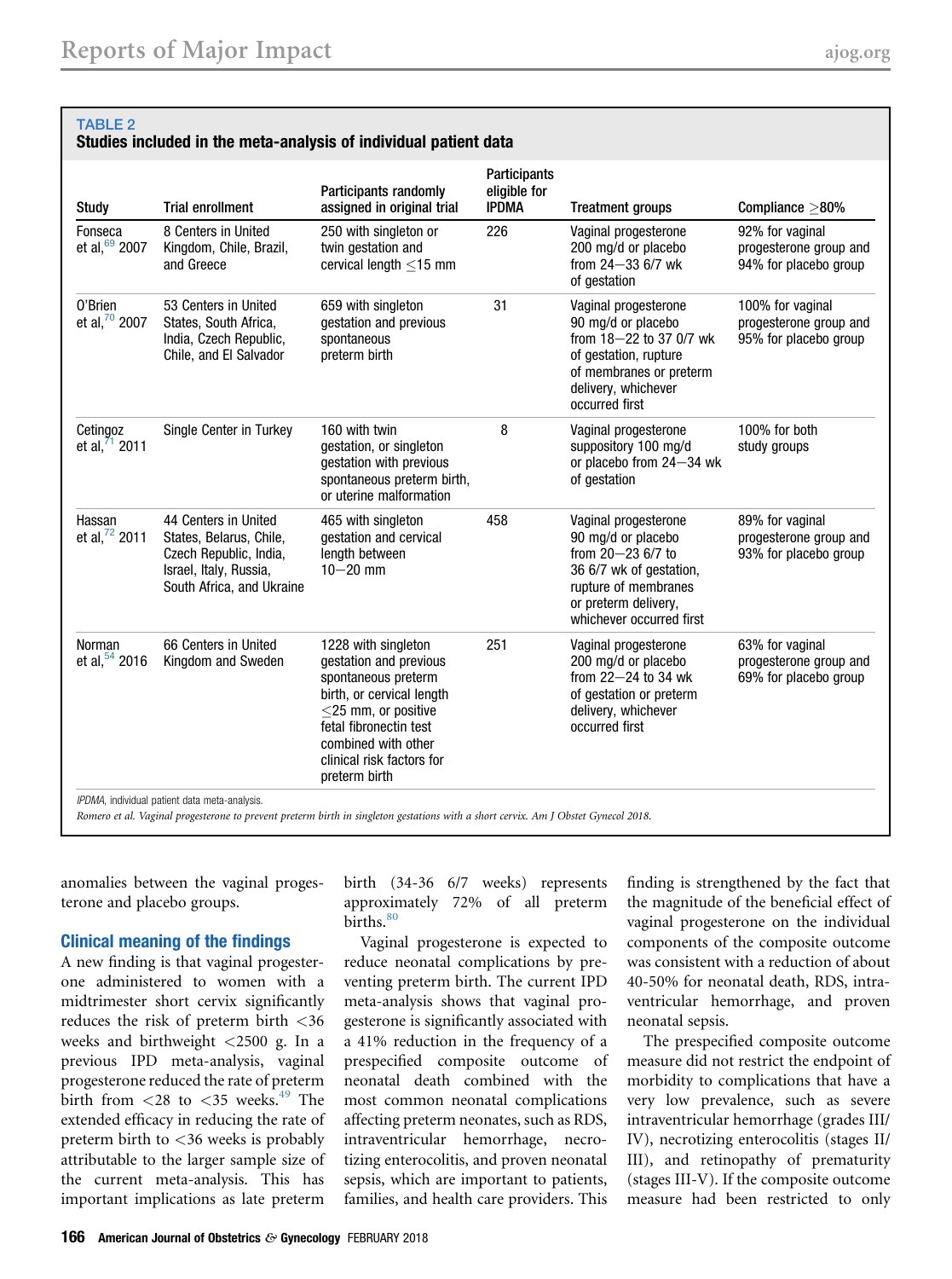<span id="page-5-0"></span>

| Study                                  | <b>Trial enrollment</b>                                                                                                          | Participants randomly<br>assigned in original trial                                                                                                                                                                        | Participants<br>eligible for<br><b>IPDMA</b> | <b>Treatment groups</b>                                                                                                                                                    | Compliance >80%                                                     |
|----------------------------------------|----------------------------------------------------------------------------------------------------------------------------------|----------------------------------------------------------------------------------------------------------------------------------------------------------------------------------------------------------------------------|----------------------------------------------|----------------------------------------------------------------------------------------------------------------------------------------------------------------------------|---------------------------------------------------------------------|
| Fonseca<br>et al, 69 2007              | 8 Centers in United<br>Kingdom, Chile, Brazil,<br>and Greece                                                                     | 250 with singleton or<br>twin gestation and<br>cervical length <15 mm                                                                                                                                                      | 226                                          | Vaginal progesterone<br>200 mg/d or placebo<br>from $24 - 336/7$ wk<br>of gestation                                                                                        | 92% for vaginal<br>progesterone group and<br>94% for placebo group  |
| 0'Brien<br>et al, 70 2007              | 53 Centers in United<br>States, South Africa,<br>India, Czech Republic,<br>Chile, and El Salvador                                | 659 with singleton<br>gestation and previous<br>spontaneous<br>preterm birth                                                                                                                                               | 31                                           | Vaginal progesterone<br>90 mg/d or placebo<br>from 18-22 to 37 0/7 wk<br>of gestation, rupture<br>of membranes or preterm<br>delivery, whichever<br>occurred first         | 100% for vaginal<br>progesterone group and<br>95% for placebo group |
| Cetingoz<br>et al, $\frac{71}{1}$ 2011 | Single Center in Turkey                                                                                                          | 160 with twin<br>gestation, or singleton<br>gestation with previous<br>spontaneous preterm birth,<br>or uterine malformation                                                                                               | 8                                            | Vaginal progesterone<br>suppository 100 mg/d<br>or placebo from 24-34 wk<br>of gestation                                                                                   | 100% for both<br>study groups                                       |
| Hassan<br>et al, 72 2011               | 44 Centers in United<br>States, Belarus, Chile,<br>Czech Republic, India,<br>Israel, Italy, Russia,<br>South Africa, and Ukraine | 465 with singleton<br>gestation and cervical<br>length between<br>$10 - 20$ mm                                                                                                                                             | 458                                          | Vaginal progesterone<br>90 mg/d or placebo<br>from $20 - 23$ 6/7 to<br>36 6/7 wk of gestation,<br>rupture of membranes<br>or preterm delivery,<br>whichever occurred first | 89% for vaginal<br>progesterone group and<br>93% for placebo group  |
| Norman<br>et al, $54$ 2016             | 66 Centers in United<br>Kingdom and Sweden                                                                                       | 1228 with singleton<br>gestation and previous<br>spontaneous preterm<br>birth, or cervical length<br>$<$ 25 mm, or positive<br>fetal fibronectin test<br>combined with other<br>clinical risk factors for<br>preterm birth | 251                                          | Vaginal progesterone<br>200 mg/d or placebo<br>from $22 - 24$ to 34 wk<br>of gestation or preterm<br>delivery, whichever<br>occurred first                                 | 63% for vaginal<br>progesterone group and<br>69% for placebo group  |

anomalies between the vaginal progesterone and placebo groups.

#### Clinical meaning of the findings

A new finding is that vaginal progesterone administered to women with a midtrimester short cervix significantly reduces the risk of preterm birth <36 weeks and birthweight <2500 g. In a previous IPD meta-analysis, vaginal progesterone reduced the rate of preterm birth from  $\langle 28 \rangle$  to  $\langle 35 \rangle$  weeks.<sup>[49](#page-15-0)</sup> The extended efficacy in reducing the rate of preterm birth to <36 weeks is probably attributable to the larger sample size of the current meta-analysis. This has important implications as late preterm

birth (34-36 6/7 weeks) represents approximately 72% of all preterm births.<sup>[80](#page-16-0)</sup>

Vaginal progesterone is expected to reduce neonatal complications by preventing preterm birth. The current IPD meta-analysis shows that vaginal progesterone is significantly associated with a 41% reduction in the frequency of a prespecified composite outcome of neonatal death combined with the most common neonatal complications affecting preterm neonates, such as RDS, intraventricular hemorrhage, necrotizing enterocolitis, and proven neonatal sepsis, which are important to patients, families, and health care providers. This

finding is strengthened by the fact that the magnitude of the beneficial effect of vaginal progesterone on the individual components of the composite outcome was consistent with a reduction of about 40-50% for neonatal death, RDS, intraventricular hemorrhage, and proven neonatal sepsis.

The prespecified composite outcome measure did not restrict the endpoint of morbidity to complications that have a very low prevalence, such as severe intraventricular hemorrhage (grades III/ IV), necrotizing enterocolitis (stages II/ III), and retinopathy of prematurity (stages III-V). If the composite outcome measure had been restricted to only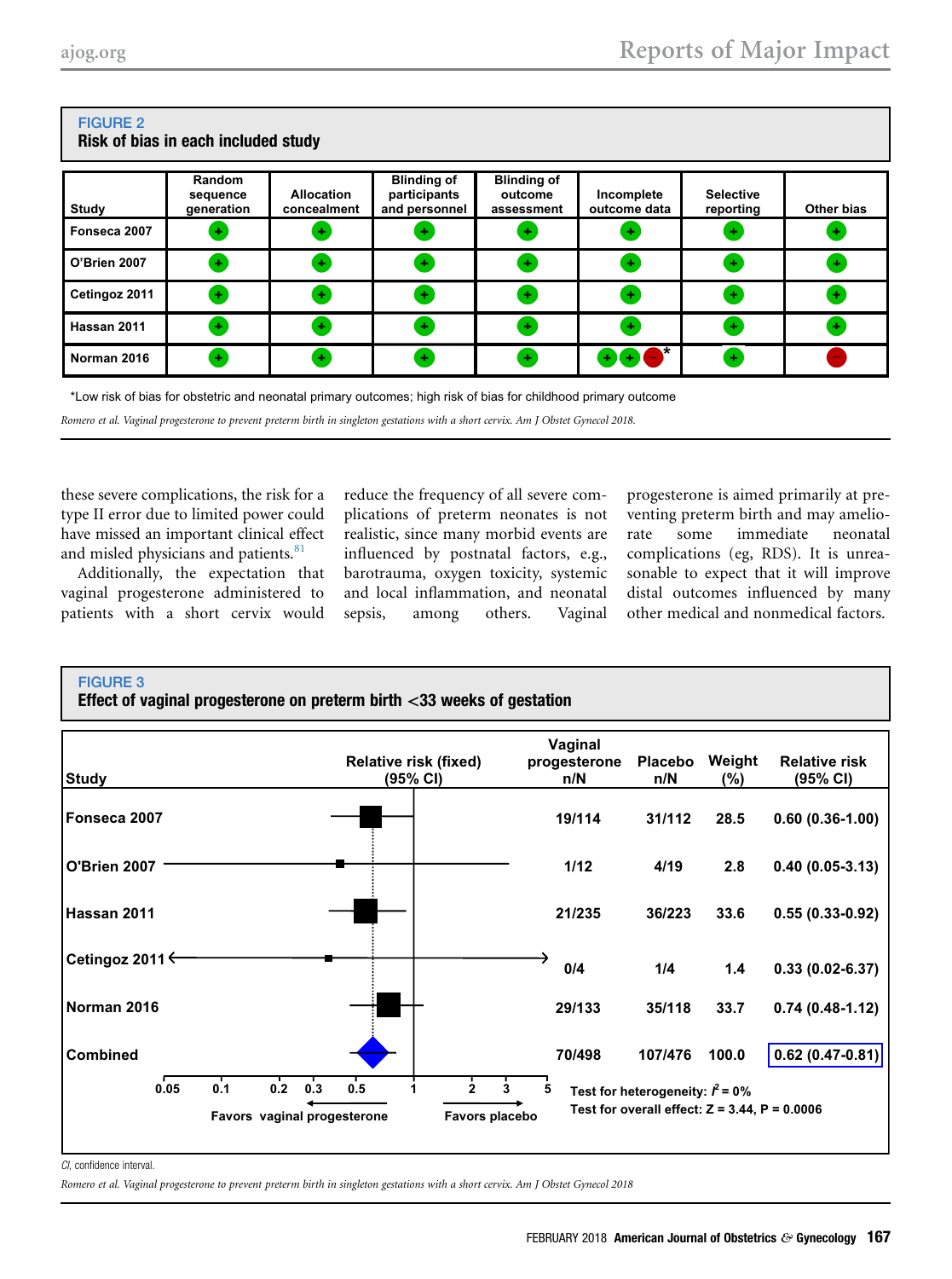| Risk of bias in each included study |                                  |                                  |                                                     |                                             |                            |                               |            |  |  |
|-------------------------------------|----------------------------------|----------------------------------|-----------------------------------------------------|---------------------------------------------|----------------------------|-------------------------------|------------|--|--|
| Study                               | Random<br>sequence<br>generation | <b>Allocation</b><br>concealment | <b>Blinding of</b><br>participants<br>and personnel | <b>Blinding of</b><br>outcome<br>assessment | Incomplete<br>outcome data | <b>Selective</b><br>reporting | Other bias |  |  |
| Fonseca 2007                        | ÷                                | ٠                                | ٠                                                   | ٠                                           | ٠                          | ÷                             | ÷          |  |  |
| O'Brien 2007                        | $\pm$                            | $\mathbf{a}_{\mathbf{r}}$        | $\color{red}+$                                      | $\pm$                                       | ÷                          | $\bullet$                     | ÷          |  |  |
| Cetingoz 2011                       | $+$                              | ÷                                | Ŧ                                                   | Ð                                           | ÷                          | $\ddot{}$                     | ÷          |  |  |
| Hassan 2011                         | $\pm$                            | ٠                                | $\color{red}+$                                      | $\pm$                                       | ÷                          | $\bullet$                     | ٠          |  |  |
| Norman 2016                         | $\pm$                            | ÷                                | $\bullet$                                           | ٠                                           | $+$ (+) (-)                | $\pm$                         |            |  |  |

## <span id="page-6-0"></span>FIGURE 2

\*Low risk of bias for obstetric and neonatal primary outcomes; high risk of bias for childhood primary outcome

Romero et al. Vaginal progesterone to prevent preterm birth in singleton gestations with a short cervix. Am J Obstet Gynecol 2018.

these severe complications, the risk for a type II error due to limited power could have missed an important clinical effect and misled physicians and patients.<sup>[81](#page-16-0)</sup>

Additionally, the expectation that vaginal progesterone administered to patients with a short cervix would reduce the frequency of all severe complications of preterm neonates is not realistic, since many morbid events are influenced by postnatal factors, e.g., barotrauma, oxygen toxicity, systemic and local inflammation, and neonatal sepsis, among others. Vaginal

progesterone is aimed primarily at preventing preterm birth and may ameliorate some immediate neonatal complications (eg, RDS). It is unreasonable to expect that it will improve distal outcomes influenced by many other medical and nonmedical factors.

### FIGURE 3

Effect of vaginal progesterone on preterm birth  $<$ 33 weeks of gestation

| <b>Study</b>        |            |                                           | <b>Relative risk (fixed)</b><br>(95% CI) | Vaginal<br>progesterone<br>n/N | Placebo<br>n/N                                                                           | Weight<br>(%) | <b>Relative risk</b><br>(95% CI) |
|---------------------|------------|-------------------------------------------|------------------------------------------|--------------------------------|------------------------------------------------------------------------------------------|---------------|----------------------------------|
| Fonseca 2007        |            |                                           |                                          | 19/114                         | 31/112                                                                                   | 28.5          | $0.60(0.36-1.00)$                |
| <b>O'Brien 2007</b> |            |                                           |                                          | 1/12                           | 4/19                                                                                     | 2.8           | $0.40(0.05-3.13)$                |
| Hassan 2011         |            |                                           |                                          | 21/235                         | 36/223                                                                                   | 33.6          | $0.55(0.33-0.92)$                |
| Cetingoz 2011 ←     |            |                                           |                                          | 0/4                            | 1/4                                                                                      | 1.4           | $0.33(0.02 - 6.37)$              |
| Norman 2016         |            |                                           |                                          | 29/133                         | 35/118                                                                                   | 33.7          | $0.74(0.48-1.12)$                |
| <b>Combined</b>     |            |                                           |                                          | 70/498                         | 107/476                                                                                  | 100.0         | $0.62(0.47-0.81)$                |
| 0.05                | 0.2<br>0.1 | 0.5<br>0.3<br>Favors vaginal progesterone | Favors placebo                           | 5                              | Test for heterogeneity: $l^2$ = 0%<br>Test for overall effect: $Z = 3.44$ , $P = 0.0006$ |               |                                  |

CI, confidence interval.

Romero et al. Vaginal progesterone to prevent preterm birth in singleton gestations with a short cervix. Am J Obstet Gynecol 2018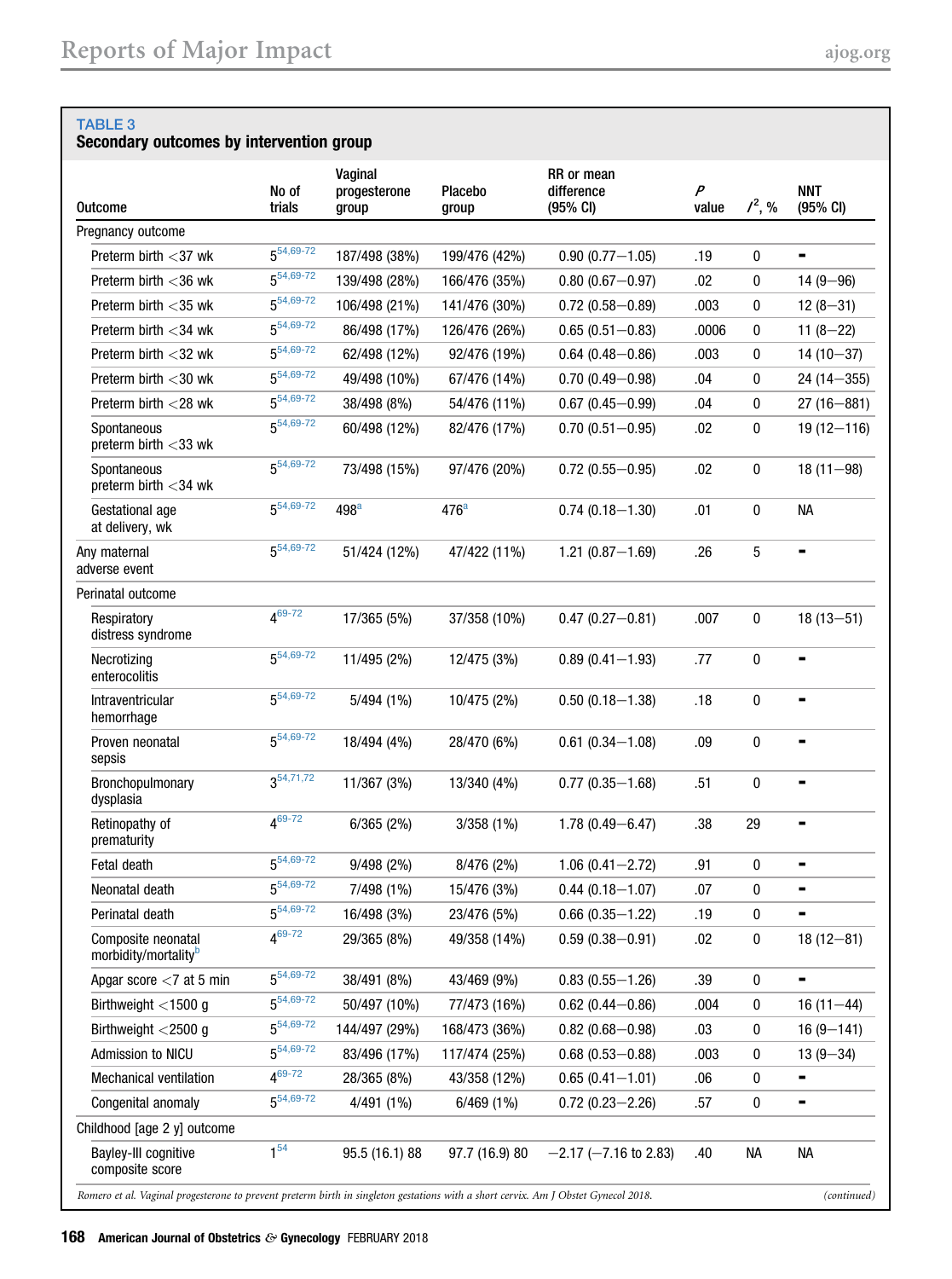#### <span id="page-7-0"></span>TABLE 3

### Secondary outcomes by intervention group

|                                                                                                                                    | No of                 | Vaginal<br>progesterone | Placebo          | RR or mean<br>difference   | P     |             | <b>NNT</b>     |
|------------------------------------------------------------------------------------------------------------------------------------|-----------------------|-------------------------|------------------|----------------------------|-------|-------------|----------------|
| <b>Outcome</b>                                                                                                                     | trials                | group                   | group            | (95% CI)                   | value | $1^2$ , %   | (95% CI)       |
| Pregnancy outcome                                                                                                                  | $5^{54,69-72}$        |                         |                  |                            |       |             |                |
| Preterm birth <37 wk                                                                                                               | $54,69-72$            | 187/498 (38%)           | 199/476 (42%)    | $0.90(0.77 - 1.05)$        | .19   | 0           |                |
| Preterm birth $<$ 36 wk                                                                                                            | 5 <sup>54,69-72</sup> | 139/498 (28%)           | 166/476 (35%)    | $0.80(0.67 - 0.97)$        | .02   | 0           | $14(9 - 96)$   |
| Preterm birth <35 wk                                                                                                               | $5^{54,69-72}$        | 106/498 (21%)           | 141/476 (30%)    | $0.72(0.58 - 0.89)$        | .003  | $\mathbf 0$ | $12(8-31)$     |
| Preterm birth $<$ 34 wk                                                                                                            |                       | 86/498 (17%)            | 126/476 (26%)    | $0.65(0.51 - 0.83)$        | .0006 | 0           | $11(8-22)$     |
| Preterm birth <32 wk                                                                                                               | 5 <sup>54,69-72</sup> | 62/498 (12%)            | 92/476 (19%)     | $0.64(0.48 - 0.86)$        | .003  | 0           | $14(10-37)$    |
| Preterm birth <30 wk                                                                                                               | $5^{54,69-72}$        | 49/498 (10%)            | 67/476 (14%)     | $0.70(0.49 - 0.98)$        | .04   | 0           | $24(14 - 355)$ |
| Preterm birth $<$ 28 wk                                                                                                            | $5^{54,69-72}$        | 38/498 (8%)             | 54/476 (11%)     | $0.67(0.45 - 0.99)$        | .04   | 0           | $27(16 - 881)$ |
| Spontaneous<br>preterm birth $<$ 33 wk                                                                                             | 5 <sup>54,69-72</sup> | 60/498 (12%)            | 82/476 (17%)     | $0.70(0.51 - 0.95)$        | .02   | 0           | $19(12 - 116)$ |
| Spontaneous<br>preterm birth $<$ 34 wk                                                                                             | 5 <sup>54,69-72</sup> | 73/498 (15%)            | 97/476 (20%)     | $0.72(0.55 - 0.95)$        | .02   | 0           | $18(11 - 98)$  |
| Gestational age<br>at delivery, wk                                                                                                 | $5^{54,69-72}$        | 498 <sup>a</sup>        | 476 <sup>a</sup> | $0.74(0.18 - 1.30)$        | .01   | 0           | <b>NA</b>      |
| Any maternal<br>adverse event                                                                                                      | $5^{54,69-72}$        | 51/424 (12%)            | 47/422 (11%)     | $1.21(0.87 - 1.69)$        | .26   | 5           | -              |
| Perinatal outcome                                                                                                                  |                       |                         |                  |                            |       |             |                |
| Respiratory<br>distress syndrome                                                                                                   | $4^{69-72}$           | 17/365 (5%)             | 37/358 (10%)     | $0.47(0.27 - 0.81)$        | .007  | 0           | $18(13 - 51)$  |
| Necrotizing<br>enterocolitis                                                                                                       | $5^{54,69-72}$        | 11/495 (2%)             | 12/475 (3%)      | $0.89(0.41 - 1.93)$        | .77   | $\pmb{0}$   | $\blacksquare$ |
| Intraventricular<br>hemorrhage                                                                                                     | 5 <sup>54,69-72</sup> | 5/494 (1%)              | 10/475 (2%)      | $0.50(0.18 - 1.38)$        | .18   | $\pmb{0}$   |                |
| Proven neonatal<br>sepsis                                                                                                          | $5^{54,69-72}$        | 18/494 (4%)             | 28/470 (6%)      | $0.61$ $(0.34 - 1.08)$     | .09   | $\pmb{0}$   |                |
| Bronchopulmonary<br>dysplasia                                                                                                      | $3^{54,71,72}$        | 11/367 (3%)             | 13/340 (4%)      | $0.77(0.35 - 1.68)$        | .51   | 0           |                |
| Retinopathy of<br>prematurity                                                                                                      | $4^{69-72}$           | 6/365(2%)               | 3/358 (1%)       | $1.78(0.49 - 6.47)$        | .38   | 29          | ۰              |
| Fetal death                                                                                                                        | $5^{54,69-72}$        | 9/498(2%)               | 8/476 (2%)       | $1.06(0.41 - 2.72)$        | .91   | 0           | ۰              |
| Neonatal death                                                                                                                     | $5^{54,69-72}$        | 7/498 (1%)              | 15/476 (3%)      | $0.44(0.18 - 1.07)$        | .07   | 0           |                |
| Perinatal death                                                                                                                    | $5^{54,69-72}$        | 16/498 (3%)             | 23/476 (5%)      | $0.66$ (0.35-1.22)         | .19   | 0           | ۰              |
| Composite neonatal<br>morbidity/mortality <sup>b</sup>                                                                             | $4^{69-72}$           | 29/365 (8%)             | 49/358 (14%)     | $0.59(0.38 - 0.91)$        | .02   | $\pmb{0}$   | $18(12 - 81)$  |
| Apgar score $<$ 7 at 5 min                                                                                                         | $5^{54,69-72}$        | 38/491 (8%)             | 43/469 (9%)      | $0.83(0.55 - 1.26)$        | .39   | 0           | ۰              |
| Birthweight $<$ 1500 g                                                                                                             | 5 <sup>54,69-72</sup> | 50/497 (10%)            | 77/473 (16%)     | $0.62$ (0.44-0.86)         | .004  | 0           | $16(11 - 44)$  |
| Birthweight <2500 g                                                                                                                | $5^{54,69-72}$        | 144/497 (29%)           | 168/473 (36%)    | $0.82(0.68 - 0.98)$        | .03   | 0           | $16(9 - 141)$  |
| Admission to NICU                                                                                                                  | 5 <sup>54,69-72</sup> | 83/496 (17%)            | 117/474 (25%)    | $0.68$ (0.53-0.88)         | .003  | 0           | $13(9 - 34)$   |
| Mechanical ventilation                                                                                                             | $4^{69-72}$           | 28/365 (8%)             | 43/358 (12%)     | $0.65(0.41 - 1.01)$        | .06   | 0           | ۰              |
| Congenital anomaly                                                                                                                 | 5 <sup>54,69-72</sup> | 4/491 (1%)              | 6/469 (1%)       | $0.72(0.23 - 2.26)$        | .57   | 0           | ۰              |
| Childhood [age 2 y] outcome                                                                                                        |                       |                         |                  |                            |       |             |                |
| Bayley-III cognitive<br>composite score                                                                                            | 1 <sup>54</sup>       | 95.5 (16.1) 88          | 97.7 (16.9) 80   | $-2.17$ ( $-7.16$ to 2.83) | .40   | NА          | NА             |
| Romero et al. Vaginal progesterone to prevent preterm birth in singleton gestations with a short cervix. Am J Obstet Gynecol 2018. |                       |                         |                  |                            |       |             | (continued)    |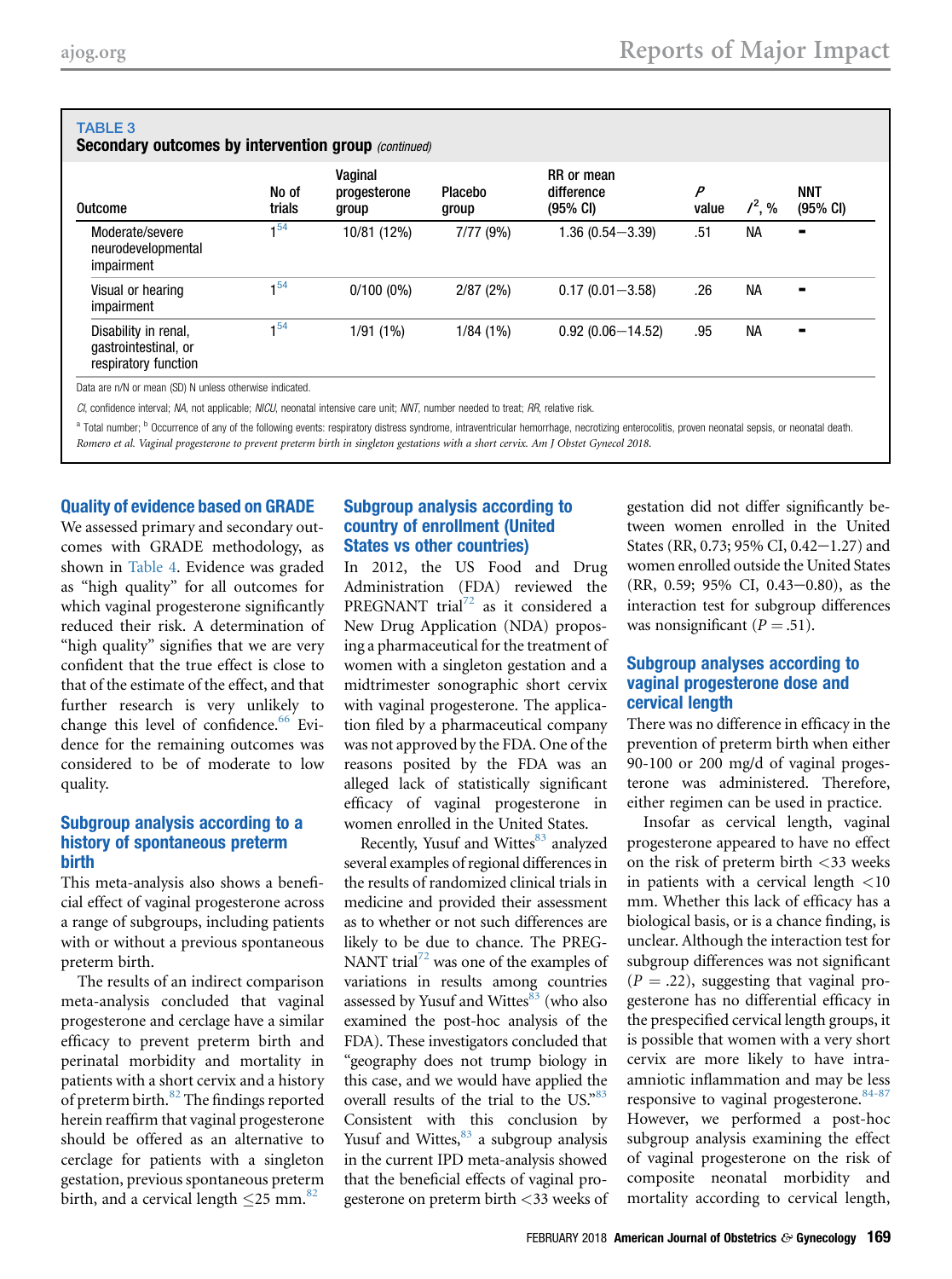<span id="page-8-0"></span>

| <b>TABLE 3</b><br><b>Secondary outcomes by intervention group (continued)</b> |                 |                                  |                  |                                                |                         |           |                                  |  |
|-------------------------------------------------------------------------------|-----------------|----------------------------------|------------------|------------------------------------------------|-------------------------|-----------|----------------------------------|--|
| <b>Outcome</b>                                                                | No of<br>trials | Vaginal<br>progesterone<br>group | Placebo<br>group | RR or mean<br>difference<br>$(95% \text{ Cl})$ | $\overline{P}$<br>value | $1^2, \%$ | <b>NNT</b><br>$(95% \text{ Cl})$ |  |
| Moderate/severe<br>neurodevelopmental<br>impairment                           | 1 <sup>54</sup> | 10/81 (12%)                      | 7/77(9%)         | $1.36(0.54 - 3.39)$                            | .51                     | <b>NA</b> |                                  |  |
| Visual or hearing<br>impairment                                               | $1^{54}$        | $0/100(0\%)$                     | 2/87(2%)         | $0.17(0.01 - 3.58)$                            | .26                     | <b>NA</b> | -                                |  |
| Disability in renal,<br>gastrointestinal, or<br>respiratory function          | 1 <sup>54</sup> | 1/91(1%)                         | 1/84(1%)         | $0.92(0.06 - 14.52)$                           | .95                     | <b>NA</b> |                                  |  |

CI, confidence interval; NA, not applicable; NICU, neonatal intensive care unit; NNT, number needed to treat; RR, relative risk.

<sup>a</sup> Total number; <sup>b</sup> Occurrence of any of the following events: respiratory distress syndrome, intraventricular hemorrhage, necrotizing enterocolitis, proven neonatal sepsis, or neonatal death. Romero et al. Vaginal progesterone to prevent preterm birth in singleton gestations with a short cervix. Am J Obstet Gynecol 2018.

#### Quality of evidence based on GRADE

We assessed primary and secondary outcomes with GRADE methodology, as shown in [Table 4.](#page-10-0) Evidence was graded as "high quality" for all outcomes for which vaginal progesterone significantly reduced their risk. A determination of "high quality" signifies that we are very confident that the true effect is close to that of the estimate of the effect, and that further research is very unlikely to change this level of confidence.<sup>66</sup> Evidence for the remaining outcomes was considered to be of moderate to low quality.

#### Subgroup analysis according to a history of spontaneous preterm birth

This meta-analysis also shows a beneficial effect of vaginal progesterone across a range of subgroups, including patients with or without a previous spontaneous preterm birth.

The results of an indirect comparison meta-analysis concluded that vaginal progesterone and cerclage have a similar efficacy to prevent preterm birth and perinatal morbidity and mortality in patients with a short cervix and a history of preterm birth.[82](#page-16-0) The findings reported herein reaffirm that vaginal progesterone should be offered as an alternative to cerclage for patients with a singleton gestation, previous spontaneous preterm birth, and a cervical length  $\leq$  25 mm.<sup>[82](#page-16-0)</sup>

#### Subgroup analysis according to country of enrollment (United States vs other countries)

In 2012, the US Food and Drug Administration (FDA) reviewed the PREGNANT trial<sup>[72](#page-16-0)</sup> as it considered a New Drug Application (NDA) proposing a pharmaceutical for the treatment of women with a singleton gestation and a midtrimester sonographic short cervix with vaginal progesterone. The application filed by a pharmaceutical company was not approved by the FDA. One of the reasons posited by the FDA was an alleged lack of statistically significant efficacy of vaginal progesterone in women enrolled in the United States.

Recently, Yusuf and Wittes<sup>[83](#page-16-0)</sup> analyzed several examples of regional differences in the results of randomized clinical trials in medicine and provided their assessment as to whether or not such differences are likely to be due to chance. The PREG-NANT trial<sup>72</sup> was one of the examples of variations in results among countries assessed by Yusuf and Wittes $83$  (who also examined the post-hoc analysis of the FDA). These investigators concluded that "geography does not trump biology in this case, and we would have applied the overall results of the trial to the US."[83](#page-16-0) Consistent with this conclusion by Yusuf and Wittes, $83$  a subgroup analysis in the current IPD meta-analysis showed that the beneficial effects of vaginal progesterone on preterm birth <33 weeks of gestation did not differ significantly between women enrolled in the United States (RR, 0.73; 95% CI, 0.42 $-1.27$ ) and women enrolled outside the United States (RR, 0.59; 95% CI, 0.43-0.80), as the interaction test for subgroup differences was nonsignificant  $(P = .51)$ .

#### Subgroup analyses according to vaginal progesterone dose and cervical length

There was no difference in efficacy in the prevention of preterm birth when either 90-100 or 200 mg/d of vaginal progesterone was administered. Therefore, either regimen can be used in practice.

Insofar as cervical length, vaginal progesterone appeared to have no effect on the risk of preterm birth <33 weeks in patients with a cervical length <10 mm. Whether this lack of efficacy has a biological basis, or is a chance finding, is unclear. Although the interaction test for subgroup differences was not significant  $(P = .22)$ , suggesting that vaginal progesterone has no differential efficacy in the prespecified cervical length groups, it is possible that women with a very short cervix are more likely to have intraamniotic inflammation and may be less responsive to vaginal progesterone.<sup>[84-87](#page-16-0)</sup> However, we performed a post-hoc subgroup analysis examining the effect of vaginal progesterone on the risk of composite neonatal morbidity and mortality according to cervical length,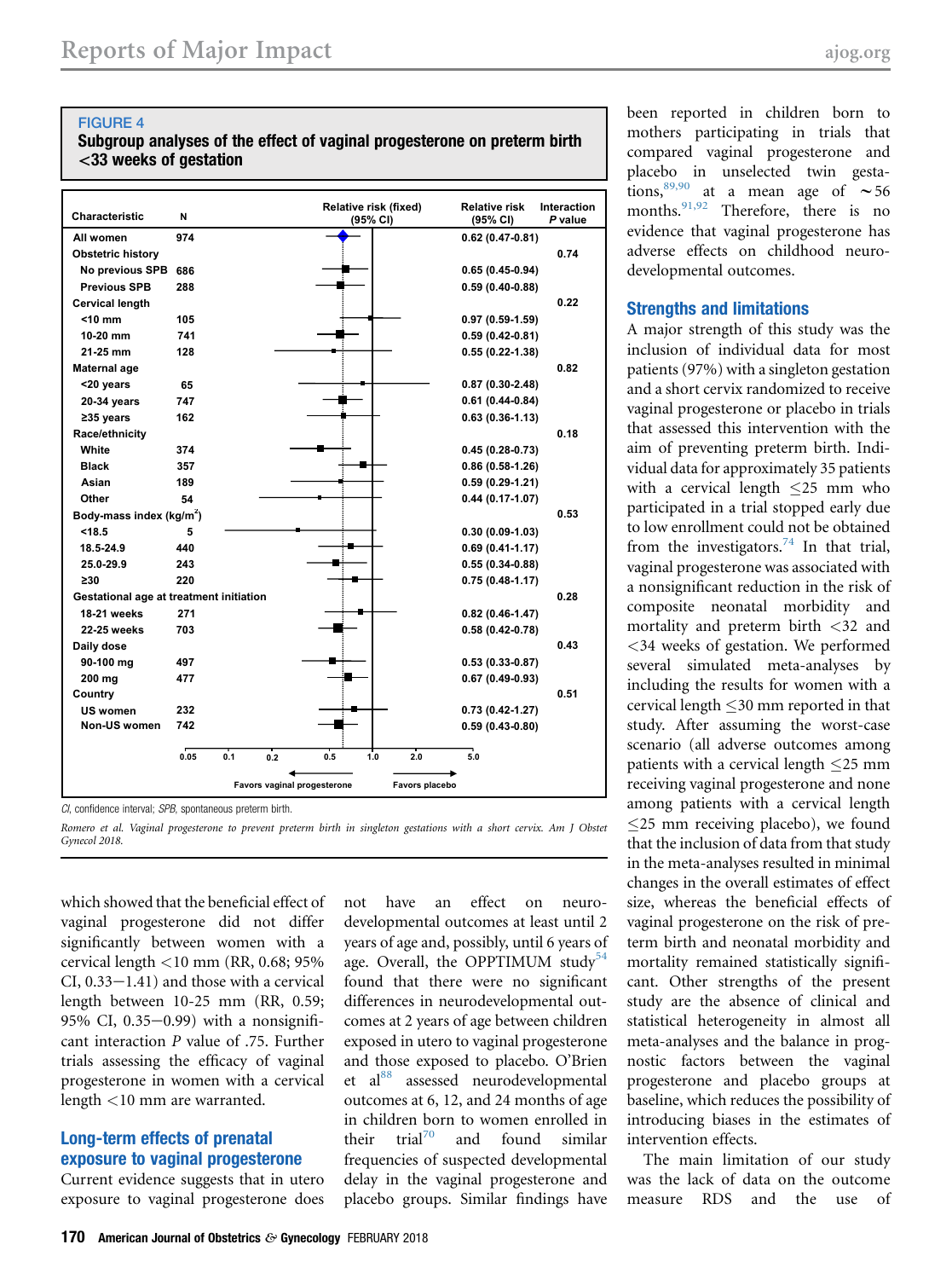#### <span id="page-9-0"></span>FIGURE 4

#### Subgroup analyses of the effect of vaginal progesterone on preterm birth <33 weeks of gestation

| Characteristic                          | N    |     |     |                             | Relative risk (fixed)<br>(95% CI) |                | <b>Relative risk</b><br>(95% CI) | Interaction<br>P value |
|-----------------------------------------|------|-----|-----|-----------------------------|-----------------------------------|----------------|----------------------------------|------------------------|
| All women                               | 974  |     |     |                             |                                   |                | $0.62(0.47 - 0.81)$              |                        |
| <b>Obstetric history</b>                |      |     |     |                             |                                   |                |                                  | 0.74                   |
| No previous SPB                         | 686  |     |     |                             |                                   |                | $0.65(0.45-0.94)$                |                        |
| <b>Previous SPB</b>                     | 288  |     |     |                             |                                   |                | $0.59(0.40-0.88)$                |                        |
| <b>Cervical length</b>                  |      |     |     |                             |                                   |                |                                  | 0.22                   |
| $<$ 10 mm                               | 105  |     |     |                             |                                   |                | $0.97(0.59-1.59)$                |                        |
| $10-20$ mm                              | 741  |     |     |                             |                                   |                | $0.59(0.42 - 0.81)$              |                        |
| 21-25 mm                                | 128  |     |     |                             |                                   |                | $0.55(0.22 - 1.38)$              |                        |
| Maternal age                            |      |     |     |                             |                                   |                |                                  | 0.82                   |
| <20 years                               | 65   |     |     |                             |                                   |                | $0.87(0.30-2.48)$                |                        |
| 20-34 years                             | 747  |     |     |                             |                                   |                | $0.61(0.44-0.84)$                |                        |
| $235$ years                             | 162  |     |     |                             |                                   |                | $0.63(0.36-1.13)$                |                        |
| Race/ethnicity                          |      |     |     |                             |                                   |                |                                  | 0.18                   |
| White                                   | 374  |     |     |                             |                                   |                | $0.45(0.28-0.73)$                |                        |
| <b>Black</b>                            | 357  |     |     |                             |                                   |                | $0.86(0.58 - 1.26)$              |                        |
| Asian                                   | 189  |     |     |                             |                                   |                | $0.59(0.29-1.21)$                |                        |
| Other                                   | 54   |     |     |                             |                                   |                | $0.44(0.17-1.07)$                |                        |
| Body-mass index ( $kg/m2$ )             |      |     |     |                             |                                   |                |                                  | 0.53                   |
| < 18.5                                  | 5    |     |     |                             |                                   |                | $0.30(0.09-1.03)$                |                        |
| 18.5-24.9                               | 440  |     |     |                             |                                   |                | $0.69(0.41-1.17)$                |                        |
| 25.0-29.9                               | 243  |     |     |                             |                                   |                | $0.55(0.34-0.88)$                |                        |
| $\geq 30$                               | 220  |     |     |                             |                                   |                | $0.75(0.48-1.17)$                |                        |
| Gestational age at treatment initiation |      |     |     |                             |                                   |                |                                  | 0.28                   |
| <b>18-21 weeks</b>                      | 271  |     |     |                             |                                   |                | $0.82(0.46-1.47)$                |                        |
| 22-25 weeks                             | 703  |     |     |                             |                                   |                | $0.58(0.42 - 0.78)$              |                        |
| Daily dose                              |      |     |     |                             |                                   |                |                                  | 0.43                   |
| 90-100 mg                               | 497  |     |     |                             |                                   |                | $0.53(0.33 - 0.87)$              |                        |
| 200 mg                                  | 477  |     |     |                             |                                   |                | $0.67(0.49-0.93)$                |                        |
| Country                                 |      |     |     |                             |                                   |                |                                  | 0.51                   |
| US women                                | 232  |     |     |                             |                                   |                | $0.73(0.42 - 1.27)$              |                        |
| Non-US women                            | 742  |     |     |                             |                                   |                | $0.59(0.43-0.80)$                |                        |
|                                         |      |     |     |                             |                                   |                |                                  |                        |
|                                         | 0.05 | 0.1 | 0.2 | 0.5                         | 1.0                               | 2.0            | 5.0                              |                        |
|                                         |      |     |     | Favors vaginal progesterone |                                   | Favors placebo |                                  |                        |
|                                         |      |     |     |                             |                                   |                |                                  |                        |

CI, confidence interval; SPB, spontaneous preterm birth.

which showed that the beneficial effect of vaginal progesterone did not differ significantly between women with a cervical length <10 mm (RR, 0.68; 95%  $CI$ ,  $0.33-1.41$ ) and those with a cervical length between 10-25 mm (RR, 0.59; 95% CI,  $0.35-0.99$ ) with a nonsignificant interaction P value of .75. Further trials assessing the efficacy of vaginal progesterone in women with a cervical length <10 mm are warranted.

#### Long-term effects of prenatal exposure to vaginal progesterone

Current evidence suggests that in utero exposure to vaginal progesterone does

not have an effect on neurodevelopmental outcomes at least until 2 years of age and, possibly, until 6 years of age. Overall, the OPPTIMUM study<sup>[54](#page-15-0)</sup> found that there were no significant differences in neurodevelopmental outcomes at 2 years of age between children exposed in utero to vaginal progesterone and those exposed to placebo. O'Brien et al<sup>[88](#page-16-0)</sup> assessed neurodevelopmental outcomes at 6, 12, and 24 months of age in children born to women enrolled in<br>their  $\text{trial}^{70}$  and found similar and found similar frequencies of suspected developmental delay in the vaginal progesterone and placebo groups. Similar findings have

been reported in children born to mothers participating in trials that compared vaginal progesterone and placebo in unselected twin gestations,  $89,90$  at a mean age of  $\sim 56$ months.<sup>[91,92](#page-16-0)</sup> Therefore, there is no evidence that vaginal progesterone has adverse effects on childhood neurodevelopmental outcomes.

#### Strengths and limitations

A major strength of this study was the inclusion of individual data for most patients (97%) with a singleton gestation and a short cervix randomized to receive vaginal progesterone or placebo in trials that assessed this intervention with the aim of preventing preterm birth. Individual data for approximately 35 patients with a cervical length 25 mm who participated in a trial stopped early due to low enrollment could not be obtained from the investigators.<sup>[74](#page-16-0)</sup> In that trial, vaginal progesterone was associated with a nonsignificant reduction in the risk of composite neonatal morbidity and mortality and preterm birth <32 and <34 weeks of gestation. We performed several simulated meta-analyses by including the results for women with a cervical length  $\leq$ 30 mm reported in that study. After assuming the worst-case scenario (all adverse outcomes among patients with a cervical length  $\leq$ 25 mm receiving vaginal progesterone and none among patients with a cervical length 25 mm receiving placebo), we found that the inclusion of data from that study in the meta-analyses resulted in minimal changes in the overall estimates of effect size, whereas the beneficial effects of vaginal progesterone on the risk of preterm birth and neonatal morbidity and mortality remained statistically significant. Other strengths of the present study are the absence of clinical and statistical heterogeneity in almost all meta-analyses and the balance in prognostic factors between the vaginal progesterone and placebo groups at baseline, which reduces the possibility of introducing biases in the estimates of intervention effects.

The main limitation of our study was the lack of data on the outcome measure RDS and the use of

Romero et al. Vaginal progesterone to prevent preterm birth in singleton gestations with a short cervix. Am J Obstet Gynecol 2018.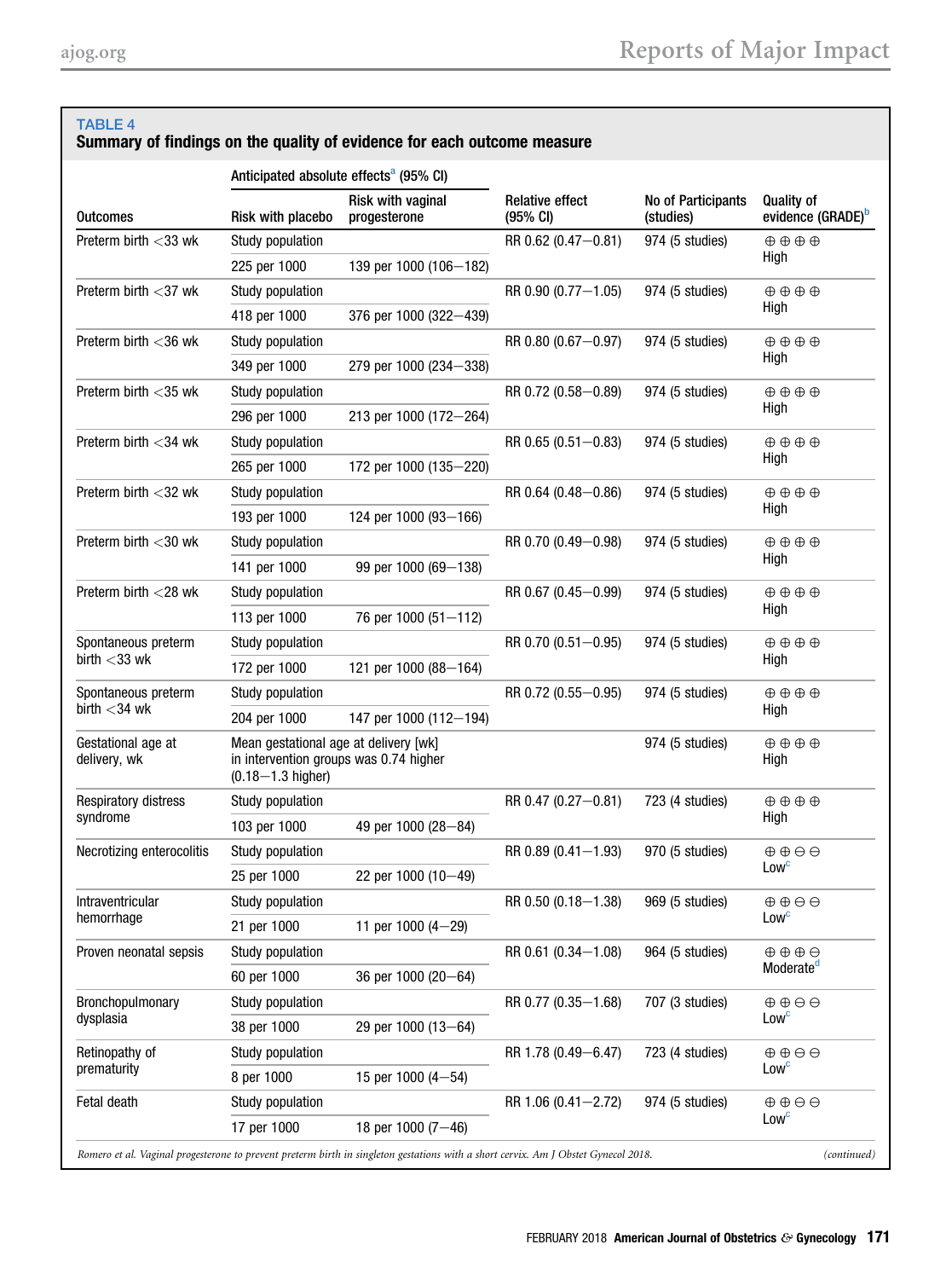#### <span id="page-10-0"></span>TABLE 4

### Summary of findings on the quality of evidence for each outcome measure

|                                    | Anticipated absolute effects <sup>a</sup> (95% CI)                                                       |                                                                                                                                    |                                    |                                 |                                                    |             |
|------------------------------------|----------------------------------------------------------------------------------------------------------|------------------------------------------------------------------------------------------------------------------------------------|------------------------------------|---------------------------------|----------------------------------------------------|-------------|
| <b>Outcomes</b>                    | Risk with placebo                                                                                        | Risk with vaginal<br>progesterone                                                                                                  | <b>Relative effect</b><br>(95% CI) | No of Participants<br>(studies) | <b>Quality of</b><br>evidence (GRADE) <sup>b</sup> |             |
| Preterm birth <33 wk               | Study population                                                                                         |                                                                                                                                    | RR 0.62 (0.47-0.81)                | 974 (5 studies)                 | $\oplus \oplus \oplus \oplus$                      |             |
|                                    | 225 per 1000                                                                                             | 139 per 1000 (106-182)                                                                                                             |                                    |                                 | High                                               |             |
| Preterm birth $<$ 37 wk            | Study population                                                                                         |                                                                                                                                    | RR 0.90 (0.77-1.05)                | 974 (5 studies)                 | $\oplus$ $\oplus$ $\oplus$                         |             |
|                                    | 418 per 1000                                                                                             | 376 per 1000 (322-439)                                                                                                             |                                    |                                 | High                                               |             |
| Preterm birth $<$ 36 wk            | Study population                                                                                         |                                                                                                                                    | RR 0.80 (0.67-0.97)                | 974 (5 studies)                 | $\oplus$ $\oplus$ $\oplus$                         |             |
|                                    | 349 per 1000                                                                                             | 279 per 1000 (234-338)                                                                                                             |                                    |                                 | High                                               |             |
| Preterm birth $<$ 35 wk            | Study population                                                                                         |                                                                                                                                    | RR 0.72 (0.58-0.89)                | 974 (5 studies)                 | $\oplus$ $\oplus$ $\oplus$                         |             |
|                                    | 296 per 1000                                                                                             | 213 per 1000 (172-264)                                                                                                             |                                    |                                 | High                                               |             |
| Preterm birth $<$ 34 wk            | Study population                                                                                         |                                                                                                                                    | $RR$ 0.65 (0.51 - 0.83)            | 974 (5 studies)                 | $\oplus$ $\oplus$ $\oplus$                         |             |
|                                    | 265 per 1000                                                                                             | 172 per 1000 (135-220)                                                                                                             |                                    |                                 | High                                               |             |
| Preterm birth $<$ 32 wk            | Study population                                                                                         |                                                                                                                                    | RR 0.64 (0.48-0.86)                | 974 (5 studies)                 | $\oplus \oplus \oplus \oplus$                      |             |
|                                    | 193 per 1000                                                                                             | 124 per 1000 (93-166)                                                                                                              |                                    |                                 | High                                               |             |
| Preterm birth $<$ 30 wk            | Study population                                                                                         |                                                                                                                                    | RR 0.70 (0.49-0.98)                | 974 (5 studies)                 | $\oplus \oplus \oplus \oplus$                      |             |
|                                    | 141 per 1000                                                                                             | 99 per 1000 (69-138)                                                                                                               |                                    |                                 | High                                               |             |
| Preterm birth $<$ 28 wk            | Study population                                                                                         |                                                                                                                                    | RR 0.67 (0.45-0.99)                | 974 (5 studies)                 | $\oplus \oplus \oplus \oplus$                      |             |
|                                    | 113 per 1000                                                                                             | 76 per 1000 (51-112)                                                                                                               |                                    |                                 | High                                               |             |
| Spontaneous preterm                | Study population                                                                                         |                                                                                                                                    | RR 0.70 (0.51-0.95)                | 974 (5 studies)                 | $\oplus$ $\oplus$ $\oplus$                         |             |
| birth $<$ 33 wk                    | 172 per 1000                                                                                             | 121 per 1000 (88-164)                                                                                                              |                                    |                                 | High                                               |             |
| Spontaneous preterm                | Study population                                                                                         |                                                                                                                                    | RR 0.72 (0.55-0.95)                | 974 (5 studies)                 | $\oplus$ $\oplus$ $\oplus$                         |             |
| birth $<$ 34 wk                    | 204 per 1000                                                                                             | 147 per 1000 (112-194)                                                                                                             |                                    |                                 | High                                               |             |
| Gestational age at<br>delivery, wk | Mean gestational age at delivery [wk]<br>in intervention groups was 0.74 higher<br>$(0.18 - 1.3$ higher) |                                                                                                                                    |                                    | 974 (5 studies)                 | $\oplus$ $\oplus$ $\oplus$<br>High                 |             |
| <b>Respiratory distress</b>        | Study population                                                                                         |                                                                                                                                    | RR 0.47 (0.27-0.81)                | 723 (4 studies)                 | $\oplus$ $\oplus$ $\oplus$                         |             |
| syndrome                           | 103 per 1000                                                                                             | 49 per 1000 (28-84)                                                                                                                |                                    |                                 | High                                               |             |
| Necrotizing enterocolitis          | Study population                                                                                         |                                                                                                                                    | RR 0.89 (0.41-1.93)                | 970 (5 studies)                 | $\oplus$ $\oplus$ $\ominus$                        |             |
|                                    | 25 per 1000                                                                                              | 22 per 1000 $(10-49)$                                                                                                              |                                    |                                 | Low <sup>c</sup>                                   |             |
| Intraventricular                   | Study population                                                                                         |                                                                                                                                    | RR 0.50 (0.18-1.38)                | 969 (5 studies)                 | $\oplus \oplus \ominus \ominus$                    |             |
| hemorrhage                         | 21 per 1000                                                                                              | 11 per 1000 $(4-29)$                                                                                                               |                                    |                                 | Lowc                                               |             |
| Proven neonatal sepsis             | Study population                                                                                         |                                                                                                                                    | RR 0.61 (0.34-1.08)                | 964 (5 studies)                 | $\oplus$ $\oplus$ $\oplus$                         |             |
|                                    | 60 per 1000                                                                                              | 36 per 1000 (20-64)                                                                                                                |                                    |                                 | Moderate <sup>d</sup>                              |             |
| Bronchopulmonary                   | Study population                                                                                         |                                                                                                                                    | RR 0.77 (0.35-1.68)                | 707 (3 studies)                 | $\oplus \oplus \ominus \ominus$                    |             |
| dysplasia                          | 38 per 1000                                                                                              | 29 per 1000 (13-64)                                                                                                                |                                    |                                 | Low <sup>c</sup>                                   |             |
| Retinopathy of                     | Study population                                                                                         |                                                                                                                                    | RR 1.78 (0.49-6.47)                | 723 (4 studies)                 | $\oplus \oplus \ominus \ominus$                    |             |
| prematurity                        | 8 per 1000                                                                                               | 15 per 1000 $(4-54)$                                                                                                               |                                    |                                 | Low <sup>c</sup>                                   |             |
| Fetal death                        | Study population                                                                                         |                                                                                                                                    | RR 1.06 (0.41-2.72)                | 974 (5 studies)                 | $\oplus \oplus \ominus \ominus$                    |             |
|                                    | 17 per 1000                                                                                              | 18 per 1000 $(7-46)$                                                                                                               |                                    |                                 | Low <sup>c</sup>                                   |             |
|                                    |                                                                                                          | Romero et al. Vaginal progesterone to prevent preterm birth in singleton gestations with a short cervix. Am J Obstet Gynecol 2018. |                                    |                                 |                                                    | (continued) |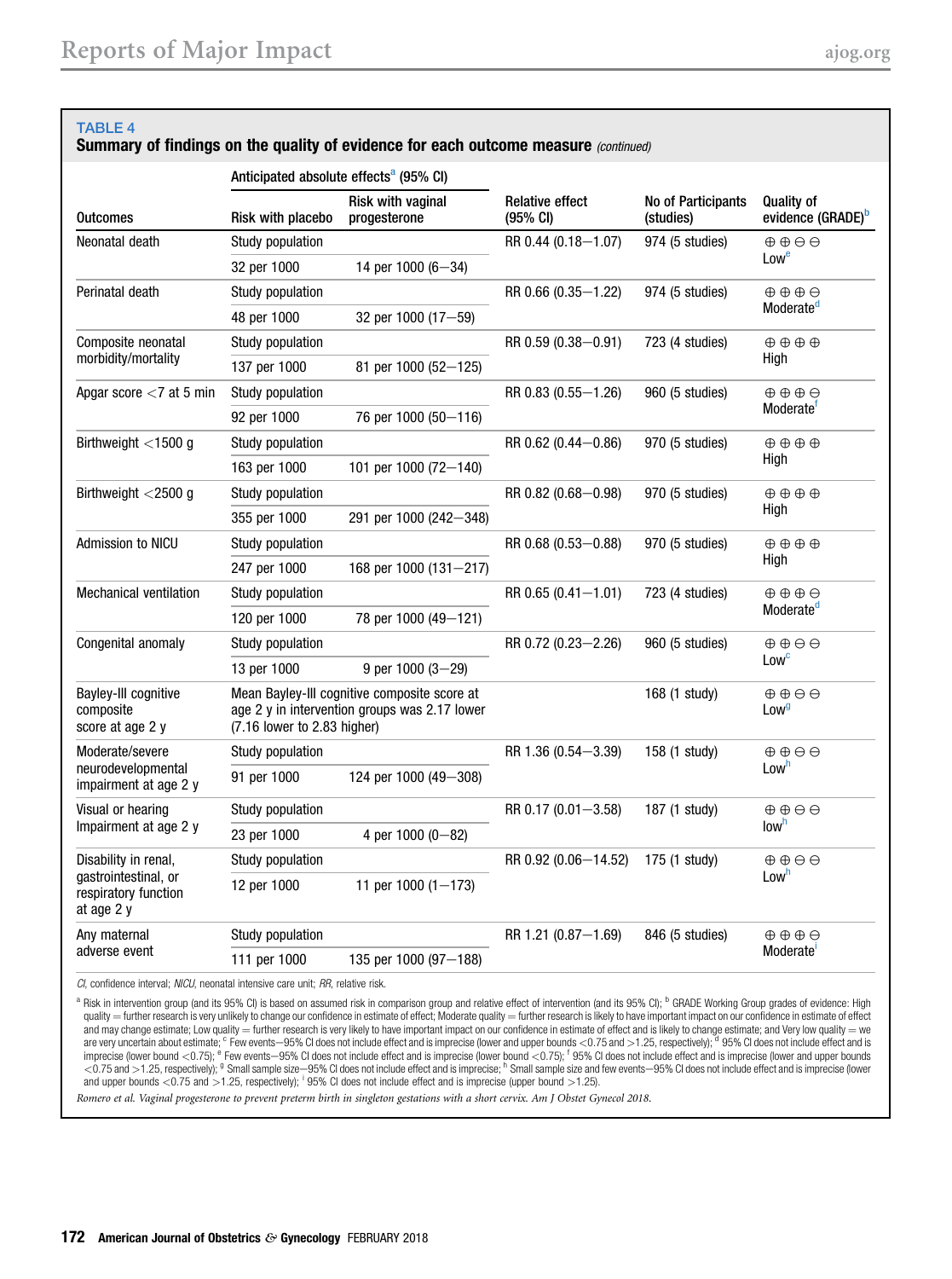<span id="page-11-0"></span>

| <b>TABLE 4</b>                                               |                                                    | Summary of findings on the quality of evidence for each outcome measure (continued)           |                                              |                                 |                                                     |  |
|--------------------------------------------------------------|----------------------------------------------------|-----------------------------------------------------------------------------------------------|----------------------------------------------|---------------------------------|-----------------------------------------------------|--|
|                                                              | Anticipated absolute effects <sup>a</sup> (95% CI) |                                                                                               |                                              |                                 |                                                     |  |
| <b>Outcomes</b>                                              | Risk with placebo                                  | <b>Risk with vaginal</b><br>progesterone                                                      | <b>Relative effect</b><br>$(95% \text{ Cl})$ | No of Participants<br>(studies) | <b>Quality of</b><br>evidence (GRADE) <sup>b</sup>  |  |
| Neonatal death                                               | Study population                                   |                                                                                               | RR 0.44 (0.18-1.07)                          | 974 (5 studies)                 | $\oplus$ $\oplus$ $\ominus$                         |  |
|                                                              | 32 per 1000                                        | 14 per 1000 (6-34)                                                                            |                                              |                                 | Lowe                                                |  |
| Perinatal death                                              | Study population                                   |                                                                                               | RR 0.66 (0.35-1.22)                          | 974 (5 studies)                 | $\oplus$ $\oplus$ $\oplus$                          |  |
|                                                              | 48 per 1000                                        | 32 per 1000 (17-59)                                                                           |                                              |                                 | Moderate <sup>d</sup>                               |  |
| Composite neonatal                                           | Study population                                   |                                                                                               | $RR 0.59 (0.38 - 0.91)$                      | 723 (4 studies)                 | $\oplus$ $\oplus$ $\oplus$                          |  |
| morbidity/mortality                                          | 137 per 1000                                       | 81 per 1000 (52-125)                                                                          |                                              |                                 | High                                                |  |
| Apgar score $<$ 7 at 5 min                                   | Study population                                   |                                                                                               | RR 0.83 (0.55-1.26)                          | 960 (5 studies)                 | $\oplus$ $\oplus$ $\oplus$                          |  |
|                                                              | 92 per 1000                                        | 76 per 1000 (50-116)                                                                          |                                              |                                 | Moderate <sup>®</sup>                               |  |
| Birthweight $<$ 1500 g                                       | Study population                                   |                                                                                               | RR 0.62 (0.44-0.86)                          | 970 (5 studies)                 | $\oplus \oplus \oplus \oplus$                       |  |
|                                                              | 163 per 1000                                       | 101 per 1000 (72-140)                                                                         |                                              |                                 | High                                                |  |
| Birthweight $<$ 2500 g                                       | Study population                                   |                                                                                               | RR 0.82 (0.68-0.98)                          | 970 (5 studies)                 | $\oplus \oplus \oplus \oplus$                       |  |
|                                                              | 355 per 1000                                       | 291 per 1000 (242-348)                                                                        |                                              |                                 | High                                                |  |
| Admission to NICU                                            | Study population                                   |                                                                                               | RR 0.68 (0.53-0.88)                          | 970 (5 studies)                 | $\oplus$ $\oplus$ $\oplus$                          |  |
|                                                              | 247 per 1000                                       | 168 per 1000 (131-217)                                                                        |                                              |                                 | High                                                |  |
| <b>Mechanical ventilation</b>                                | Study population                                   |                                                                                               | RR 0.65 (0.41-1.01)                          | 723 (4 studies)                 | $\oplus$ $\oplus$ $\oplus$                          |  |
|                                                              | 120 per 1000                                       | 78 per 1000 (49-121)                                                                          |                                              |                                 | Moderate <sup>d</sup>                               |  |
| Congenital anomaly                                           | Study population                                   |                                                                                               |                                              | 960 (5 studies)                 | $\oplus$ $\oplus$ $\ominus$                         |  |
|                                                              | 13 per 1000                                        | 9 per 1000 $(3-29)$                                                                           |                                              |                                 | Lowc                                                |  |
| <b>Bayley-III cognitive</b><br>composite<br>score at age 2 y | (7.16 lower to 2.83 higher)                        | Mean Bayley-III cognitive composite score at<br>age 2 y in intervention groups was 2.17 lower |                                              | 168 (1 study)                   | $\oplus \oplus \ominus \ominus$<br>Low <sup>g</sup> |  |
| Moderate/severe                                              | Study population                                   |                                                                                               | RR 1.36 (0.54-3.39)                          | 158 (1 study)                   | $\oplus$ $\oplus$ $\ominus$                         |  |
| neurodevelopmental<br>impairment at age 2 y                  | 91 per 1000                                        | 124 per 1000 (49-308)                                                                         |                                              |                                 | Low <sup>n</sup>                                    |  |
| Visual or hearing                                            | Study population                                   |                                                                                               | RR 0.17 (0.01-3.58)                          | 187 (1 study)                   | $\oplus \oplus \ominus \ominus$                     |  |
| Impairment at age 2 y                                        | 23 per 1000                                        | 4 per 1000 (0-82)                                                                             |                                              |                                 | low <sup>h</sup>                                    |  |
| Disability in renal,                                         | Study population                                   |                                                                                               | RR 0.92 (0.06-14.52)                         | 175 (1 study)                   | $\oplus$ $\oplus$ $\ominus$                         |  |
| gastrointestinal, or<br>respiratory function<br>at age 2 y   | 12 per 1000                                        | 11 per 1000 $(1-173)$                                                                         |                                              |                                 | Low <sup>n</sup>                                    |  |
| Any maternal                                                 | Study population                                   |                                                                                               | RR 1.21 (0.87-1.69)                          | 846 (5 studies)                 | $\oplus$ $\oplus$ $\oplus$                          |  |
| adverse event                                                | 111 per 1000                                       | 135 per 1000 $(97-188)$                                                                       |                                              |                                 | Moderate <sup>'</sup>                               |  |

CI, confidence interval; NICU, neonatal intensive care unit; RR, relative risk.

a Risk in intervention group (and its 95% CI) is based on assumed risk in comparison group and relative effect of intervention (and its 95% CI); <sup>b</sup> GRADE Working Group grades of evidence: High quality = further research is very unlikely to change our confidence in estimate of effect; Moderate quality = further research is likely to have important impact on our confidence in estimate of effect and may change estimate; Low quality = further research is very likely to have important impact on our confidence in estimate of effect and is likely to change estimate; and Very low quality = we<br>are very uncertain about e <0.75 and >1.25, respectively); <sup>9</sup> Small sample size-95% CI does not include effect and is imprecise; <sup>h</sup> Small sample size and few events-95% CI does not include effect and is imprecise (lower and upper bounds <0.75 and >1.25, respectively); <sup>i</sup> 95% CI does not include effect and is imprecise (upper bound >1.25).

Romero et al. Vaginal progesterone to prevent preterm birth in singleton gestations with a short cervix. Am J Obstet Gynecol 2018.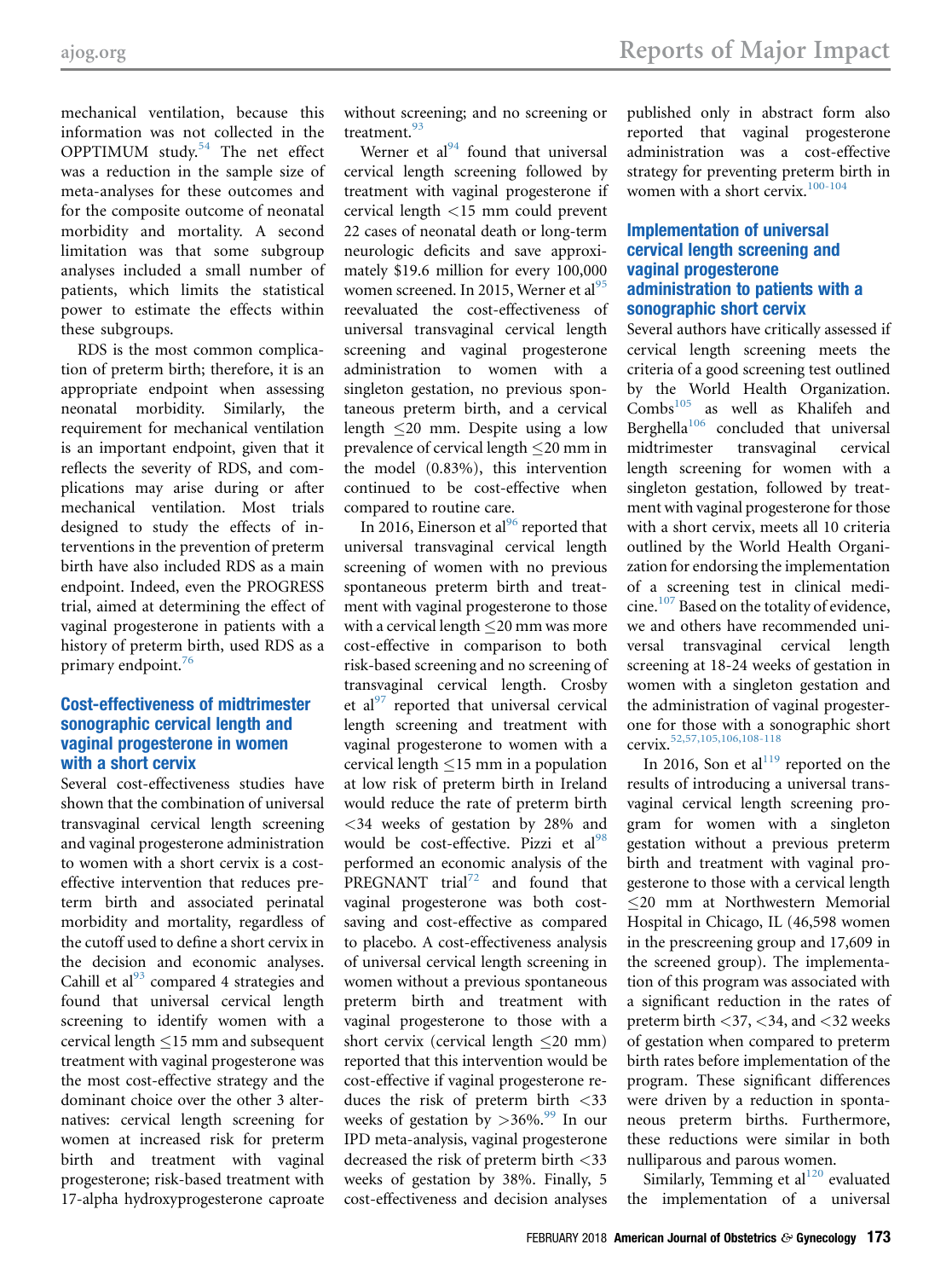mechanical ventilation, because this information was not collected in the OPPTIMUM study. $54$  The net effect was a reduction in the sample size of meta-analyses for these outcomes and for the composite outcome of neonatal morbidity and mortality. A second limitation was that some subgroup analyses included a small number of patients, which limits the statistical power to estimate the effects within these subgroups.

RDS is the most common complication of preterm birth; therefore, it is an appropriate endpoint when assessing neonatal morbidity. Similarly, the requirement for mechanical ventilation is an important endpoint, given that it reflects the severity of RDS, and complications may arise during or after mechanical ventilation. Most trials designed to study the effects of interventions in the prevention of preterm birth have also included RDS as a main endpoint. Indeed, even the PROGRESS trial, aimed at determining the effect of vaginal progesterone in patients with a history of preterm birth, used RDS as a primary endpoint.<sup>[76](#page-16-0)</sup>

#### Cost-effectiveness of midtrimester sonographic cervical length and vaginal progesterone in women with a short cervix

Several cost-effectiveness studies have shown that the combination of universal transvaginal cervical length screening and vaginal progesterone administration to women with a short cervix is a costeffective intervention that reduces preterm birth and associated perinatal morbidity and mortality, regardless of the cutoff used to define a short cervix in the decision and economic analyses. Cahill et al $^{93}$  $^{93}$  $^{93}$  compared 4 strategies and found that universal cervical length screening to identify women with a cervical length  $\leq 15$  mm and subsequent treatment with vaginal progesterone was the most cost-effective strategy and the dominant choice over the other 3 alternatives: cervical length screening for women at increased risk for preterm birth and treatment with vaginal progesterone; risk-based treatment with 17-alpha hydroxyprogesterone caproate

without screening; and no screening or treatment.[93](#page-16-0)

Werner et al $^{94}$  $^{94}$  $^{94}$  found that universal cervical length screening followed by treatment with vaginal progesterone if cervical length <15 mm could prevent 22 cases of neonatal death or long-term neurologic deficits and save approximately \$19.6 million for every 100,000 women screened. In 2015, Werner et al<sup>[95](#page-16-0)</sup> reevaluated the cost-effectiveness of universal transvaginal cervical length screening and vaginal progesterone administration to women with a singleton gestation, no previous spontaneous preterm birth, and a cervical length 20 mm. Despite using a low prevalence of cervical length  $\leq$ 20 mm in the model (0.83%), this intervention continued to be cost-effective when compared to routine care.

In 2016, Einerson et al $^{96}$  $^{96}$  $^{96}$  reported that universal transvaginal cervical length screening of women with no previous spontaneous preterm birth and treatment with vaginal progesterone to those with a cervical length  $\leq$ 20 mm was more cost-effective in comparison to both risk-based screening and no screening of transvaginal cervical length. Crosby et al $^{97}$  $^{97}$  $^{97}$  reported that universal cervical length screening and treatment with vaginal progesterone to women with a cervical length  $\leq$ 15 mm in a population at low risk of preterm birth in Ireland would reduce the rate of preterm birth <34 weeks of gestation by 28% and would be cost-effective. Pizzi et al<sup>[98](#page-16-0)</sup> performed an economic analysis of the PREGNANT  $trial^{72}$  $trial^{72}$  $trial^{72}$  and found that vaginal progesterone was both costsaving and cost-effective as compared to placebo. A cost-effectiveness analysis of universal cervical length screening in women without a previous spontaneous preterm birth and treatment with vaginal progesterone to those with a short cervix (cervical length  $\leq$ 20 mm) reported that this intervention would be cost-effective if vaginal progesterone reduces the risk of preterm birth <33 weeks of gestation by  $>36\%$ .<sup>[99](#page-16-0)</sup> In our IPD meta-analysis, vaginal progesterone decreased the risk of preterm birth <33 weeks of gestation by 38%. Finally, 5 cost-effectiveness and decision analyses published only in abstract form also reported that vaginal progesterone administration was a cost-effective strategy for preventing preterm birth in women with a short cervix.<sup>[100-104](#page-17-0)</sup>

#### Implementation of universal cervical length screening and vaginal progesterone administration to patients with a sonographic short cervix

Several authors have critically assessed if cervical length screening meets the criteria of a good screening test outlined by the World Health Organization. Combs<sup>[105](#page-17-0)</sup> as well as Khalifeh and Berghella $106$  concluded that universal midtrimester transvaginal cervical length screening for women with a singleton gestation, followed by treatment with vaginal progesterone for those with a short cervix, meets all 10 criteria outlined by the World Health Organization for endorsing the implementation of a screening test in clinical medicine[.107](#page-17-0) Based on the totality of evidence, we and others have recommended universal transvaginal cervical length screening at 18-24 weeks of gestation in women with a singleton gestation and the administration of vaginal progesterone for those with a sonographic short cervix.<sup>[52,57,105,106,108-118](#page-15-0)</sup>

In 2016, Son et  $al<sup>119</sup>$  $al<sup>119</sup>$  $al<sup>119</sup>$  reported on the results of introducing a universal transvaginal cervical length screening program for women with a singleton gestation without a previous preterm birth and treatment with vaginal progesterone to those with a cervical length  $\leq$ 20 mm at Northwestern Memorial Hospital in Chicago, IL (46,598 women in the prescreening group and 17,609 in the screened group). The implementation of this program was associated with a significant reduction in the rates of preterm birth  $\langle 37, \langle 34, \text{and} \langle 32 \rangle$  weeks of gestation when compared to preterm birth rates before implementation of the program. These significant differences were driven by a reduction in spontaneous preterm births. Furthermore, these reductions were similar in both nulliparous and parous women.

Similarly, Temming et al $120$  evaluated the implementation of a universal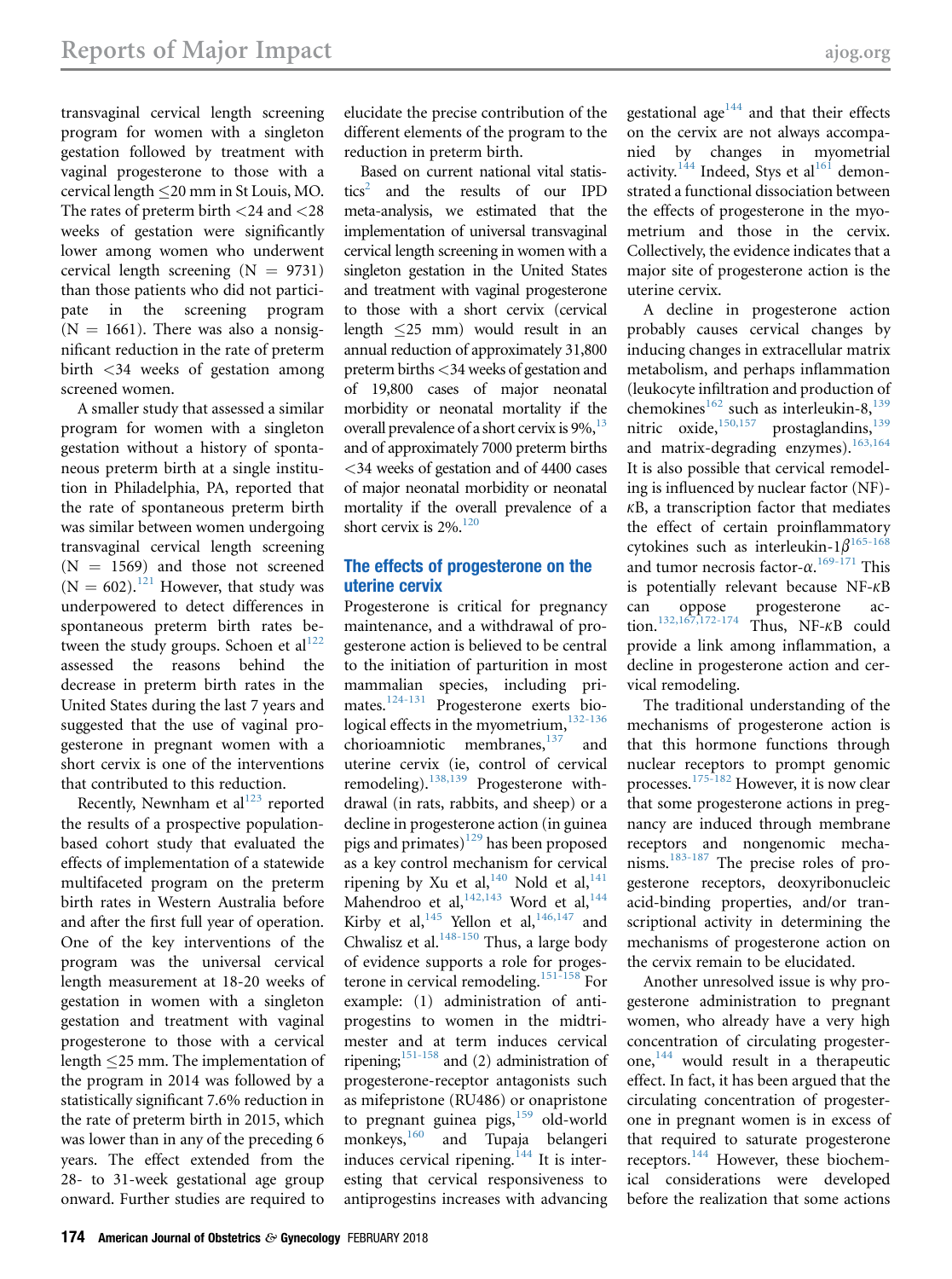transvaginal cervical length screening program for women with a singleton gestation followed by treatment with vaginal progesterone to those with a cervical length 20 mm in St Louis, MO. The rates of preterm birth <24 and <28 weeks of gestation were significantly lower among women who underwent cervical length screening  $(N = 9731)$ than those patients who did not participate in the screening program  $(N = 1661)$ . There was also a nonsignificant reduction in the rate of preterm birth <34 weeks of gestation among screened women.

A smaller study that assessed a similar program for women with a singleton gestation without a history of spontaneous preterm birth at a single institution in Philadelphia, PA, reported that the rate of spontaneous preterm birth was similar between women undergoing transvaginal cervical length screening  $(N = 1569)$  and those not screened  $(N = 602).$ <sup>[121](#page-17-0)</sup> However, that study was underpowered to detect differences in spontaneous preterm birth rates between the study groups. Schoen et  $al<sup>122</sup>$  $al<sup>122</sup>$  $al<sup>122</sup>$ assessed the reasons behind the decrease in preterm birth rates in the United States during the last 7 years and suggested that the use of vaginal progesterone in pregnant women with a short cervix is one of the interventions that contributed to this reduction.

Recently, Newnham et al $^{123}$  $^{123}$  $^{123}$  reported the results of a prospective populationbased cohort study that evaluated the effects of implementation of a statewide multifaceted program on the preterm birth rates in Western Australia before and after the first full year of operation. One of the key interventions of the program was the universal cervical length measurement at 18-20 weeks of gestation in women with a singleton gestation and treatment with vaginal progesterone to those with a cervical length 25 mm. The implementation of the program in 2014 was followed by a statistically significant 7.6% reduction in the rate of preterm birth in 2015, which was lower than in any of the preceding 6 years. The effect extended from the 28- to 31-week gestational age group onward. Further studies are required to

elucidate the precise contribution of the different elements of the program to the reduction in preterm birth.

Based on current national vital statis- $tics<sup>2</sup>$  $tics<sup>2</sup>$  $tics<sup>2</sup>$  and the results of our IPD meta-analysis, we estimated that the implementation of universal transvaginal cervical length screening in women with a singleton gestation in the United States and treatment with vaginal progesterone to those with a short cervix (cervical length 25 mm) would result in an annual reduction of approximately 31,800 preterm births <34 weeks of gestation and of 19,800 cases of major neonatal morbidity or neonatal mortality if the overall prevalence of a short cervix is  $9\%$ ,  $^{13}$  $^{13}$  $^{13}$ and of approximately 7000 preterm births <34 weeks of gestation and of 4400 cases of major neonatal morbidity or neonatal mortality if the overall prevalence of a short cervix is  $2\%$ .<sup>[120](#page-17-0)</sup>

#### The effects of progesterone on the uterine cervix

Progesterone is critical for pregnancy maintenance, and a withdrawal of progesterone action is believed to be central to the initiation of parturition in most mammalian species, including primates.[124-131](#page-17-0) Progesterone exerts biological effects in the myometrium, $132-136$ chorioamniotic membranes, $137$  and uterine cervix (ie, control of cervical remodeling).<sup>[138,139](#page-17-0)</sup> Progesterone withdrawal (in rats, rabbits, and sheep) or a decline in progesterone action (in guinea pigs and primates)<sup>[129](#page-17-0)</sup> has been proposed as a key control mechanism for cervical ripening by Xu et al,  $140$  Nold et al,  $141$ Mahendroo et al,  $142,143$  Word et al,  $144$ Kirby et al,  $145$  Yellon et al,  $146,147$  and Chwalisz et al.<sup>[148-150](#page-18-0)</sup> Thus, a large body of evidence supports a role for progesterone in cervical remodeling.[151-158](#page-18-0) For example: (1) administration of antiprogestins to women in the midtrimester and at term induces cervical ripening; $151-158$  and (2) administration of progesterone-receptor antagonists such as mifepristone (RU486) or onapristone to pregnant guinea pigs, $159$  old-world monkeys,<sup>160</sup> and Tupaja belangeri induces cervical ripening.<sup>[144](#page-17-0)</sup> It is interesting that cervical responsiveness to antiprogestins increases with advancing

gestational age<sup>[144](#page-17-0)</sup> and that their effects on the cervix are not always accompanied by changes in myometrial activity.<sup>[144](#page-17-0)</sup> Indeed, Stys et al<sup>[161](#page-18-0)</sup> demonstrated a functional dissociation between the effects of progesterone in the myometrium and those in the cervix. Collectively, the evidence indicates that a major site of progesterone action is the uterine cervix.

A decline in progesterone action probably causes cervical changes by inducing changes in extracellular matrix metabolism, and perhaps inflammation (leukocyte infiltration and production of chemokines<sup>[162](#page-18-0)</sup> such as interleukin-8,<sup>[139](#page-17-0)</sup> nitric oxide,<sup>[150,157](#page-18-0)</sup> prostaglandins,<sup>[139](#page-17-0)</sup> and matrix-degrading enzymes).<sup>[163,164](#page-18-0)</sup> It is also possible that cervical remodeling is influenced by nuclear factor (NF)-  $K$ B, a transcription factor that mediates the effect of certain proinflammatory cytokines such as interleukin- $1\beta^{165-168}$  $1\beta^{165-168}$  $1\beta^{165-168}$ and tumor necrosis factor- $\alpha$ .<sup>[169-171](#page-18-0)</sup> This<br>is notentially relevant because NE- $\kappa$ B is potentially relevant because NF- $\kappa$ B<br>can oppose progesterone acprogesterone tion.<sup>132,167,172-174</sup> Thus, NF- $\kappa$ B could provide a link among inflammation, a decline in progesterone action and cervical remodeling.

The traditional understanding of the mechanisms of progesterone action is that this hormone functions through nuclear receptors to prompt genomic processes.[175-182](#page-18-0) However, it is now clear that some progesterone actions in pregnancy are induced through membrane receptors and nongenomic mechanisms.[183-187](#page-18-0) The precise roles of progesterone receptors, deoxyribonucleic acid-binding properties, and/or transcriptional activity in determining the mechanisms of progesterone action on the cervix remain to be elucidated.

Another unresolved issue is why progesterone administration to pregnant women, who already have a very high concentration of circulating progesterone,  $144$  would result in a therapeutic effect. In fact, it has been argued that the circulating concentration of progesterone in pregnant women is in excess of that required to saturate progesterone receptors.<sup>[144](#page-17-0)</sup> However, these biochemical considerations were developed before the realization that some actions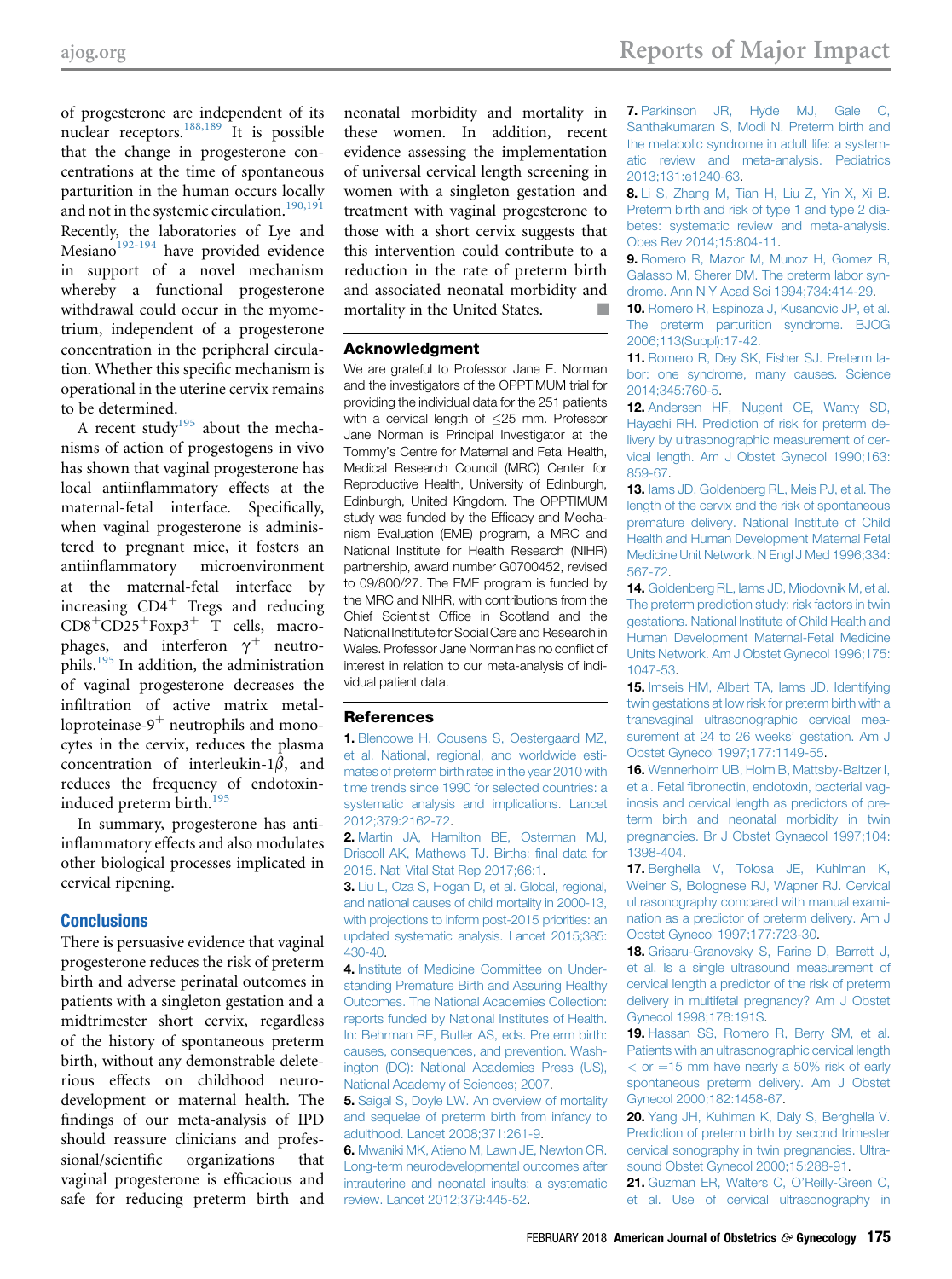<span id="page-14-0"></span>of progesterone are independent of its nuclear receptors.<sup>[188,189](#page-18-0)</sup> It is possible that the change in progesterone concentrations at the time of spontaneous parturition in the human occurs locally and not in the systemic circulation.<sup>[190,191](#page-18-0)</sup> Recently, the laboratories of Lye and Mesiano $192-194$  have provided evidence in support of a novel mechanism whereby a functional progesterone withdrawal could occur in the myometrium, independent of a progesterone concentration in the peripheral circulation. Whether this specific mechanism is operational in the uterine cervix remains to be determined.

A recent study<sup>[195](#page-19-0)</sup> about the mechanisms of action of progestogens in vivo has shown that vaginal progesterone has local antiinflammatory effects at the maternal-fetal interface. Specifically, when vaginal progesterone is administered to pregnant mice, it fosters an antiinflammatory microenvironment at the maternal-fetal interface by increasing  $CD4^+$  Tregs and reducing  $CD8<sup>+</sup>CD25<sup>+</sup>Foxp3<sup>+</sup> T cells, macro$ phages, and interferon  $\gamma^+$  neutro-<br>phils.<sup>[195](#page-19-0)</sup> In addition, the administration of vaginal progesterone decreases the infiltration of active matrix metalloproteinase- $9^+$  neutrophils and monocytes in the cervix, reduces the plasma concentration of interleukin- $1\beta$ , and reduces the frequency of endotoxin-induced preterm birth.<sup>[195](#page-19-0)</sup>

In summary, progesterone has antiinflammatory effects and also modulates other biological processes implicated in cervical ripening.

#### **Conclusions**

There is persuasive evidence that vaginal progesterone reduces the risk of preterm birth and adverse perinatal outcomes in patients with a singleton gestation and a midtrimester short cervix, regardless of the history of spontaneous preterm birth, without any demonstrable deleterious effects on childhood neurodevelopment or maternal health. The findings of our meta-analysis of IPD should reassure clinicians and professional/scientific organizations that vaginal progesterone is efficacious and safe for reducing preterm birth and neonatal morbidity and mortality in these women. In addition, recent evidence assessing the implementation of universal cervical length screening in women with a singleton gestation and treatment with vaginal progesterone to those with a short cervix suggests that this intervention could contribute to a reduction in the rate of preterm birth and associated neonatal morbidity and mortality in the United States.  $\Box$ 

#### Acknowledgment

We are grateful to Professor Jane E. Norman and the investigators of the OPPTIMUM trial for providing the individual data for the 251 patients with a cervical length of  $\leq$ 25 mm. Professor Jane Norman is Principal Investigator at the Tommy's Centre for Maternal and Fetal Health, Medical Research Council (MRC) Center for Reproductive Health, University of Edinburgh, Edinburgh, United Kingdom. The OPPTIMUM study was funded by the Efficacy and Mechanism Evaluation (EME) program, a MRC and National Institute for Health Research (NIHR) partnership, award number G0700452, revised to 09/800/27. The EME program is funded by the MRC and NIHR, with contributions from the Chief Scientist Office in Scotland and the National Institute for Social Care and Research in Wales. Professor Jane Norman has no conflict of interest in relation to our meta-analysis of individual patient data.

#### **References**

1. [Blencowe H, Cousens S, Oestergaard MZ,](http://refhub.elsevier.com/S0002-9378(17)32343-8/sref1) [et al. National, regional, and worldwide esti](http://refhub.elsevier.com/S0002-9378(17)32343-8/sref1)[mates of preterm birth rates in the year 2010 with](http://refhub.elsevier.com/S0002-9378(17)32343-8/sref1) [time trends since 1990 for selected countries: a](http://refhub.elsevier.com/S0002-9378(17)32343-8/sref1) [systematic analysis and implications. Lancet](http://refhub.elsevier.com/S0002-9378(17)32343-8/sref1) [2012;379:2162-72](http://refhub.elsevier.com/S0002-9378(17)32343-8/sref1).

2. [Martin JA, Hamilton BE, Osterman MJ,](http://refhub.elsevier.com/S0002-9378(17)32343-8/sref2) [Driscoll AK, Mathews TJ. Births:](http://refhub.elsevier.com/S0002-9378(17)32343-8/sref2) final data for [2015. Natl Vital Stat Rep 2017;66:1](http://refhub.elsevier.com/S0002-9378(17)32343-8/sref2).

3. [Liu L, Oza S, Hogan D, et al. Global, regional,](http://refhub.elsevier.com/S0002-9378(17)32343-8/sref3) [and national causes of child mortality in 2000-13,](http://refhub.elsevier.com/S0002-9378(17)32343-8/sref3) [with projections to inform post-2015 priorities: an](http://refhub.elsevier.com/S0002-9378(17)32343-8/sref3) [updated systematic analysis. Lancet 2015;385:](http://refhub.elsevier.com/S0002-9378(17)32343-8/sref3) [430-40](http://refhub.elsevier.com/S0002-9378(17)32343-8/sref3).

4. [Institute of Medicine Committee on Under](http://refhub.elsevier.com/S0002-9378(17)32343-8/sref4)[standing Premature Birth and Assuring Healthy](http://refhub.elsevier.com/S0002-9378(17)32343-8/sref4) [Outcomes. The National Academies Collection:](http://refhub.elsevier.com/S0002-9378(17)32343-8/sref4) [reports funded by National Institutes of Health.](http://refhub.elsevier.com/S0002-9378(17)32343-8/sref4) [In: Behrman RE, Butler AS, eds. Preterm birth:](http://refhub.elsevier.com/S0002-9378(17)32343-8/sref4) [causes, consequences, and prevention. Wash](http://refhub.elsevier.com/S0002-9378(17)32343-8/sref4)[ington \(DC\): National Academies Press \(US\),](http://refhub.elsevier.com/S0002-9378(17)32343-8/sref4) [National Academy of Sciences; 2007.](http://refhub.elsevier.com/S0002-9378(17)32343-8/sref4)

**5.** Saigal S, Doyle LW, An overview of mortality [and sequelae of preterm birth from infancy to](http://refhub.elsevier.com/S0002-9378(17)32343-8/sref5) [adulthood. Lancet 2008;371:261-9](http://refhub.elsevier.com/S0002-9378(17)32343-8/sref5).

6. [Mwaniki MK, Atieno M, Lawn JE, Newton CR.](http://refhub.elsevier.com/S0002-9378(17)32343-8/sref6) [Long-term neurodevelopmental outcomes after](http://refhub.elsevier.com/S0002-9378(17)32343-8/sref6) [intrauterine and neonatal insults: a systematic](http://refhub.elsevier.com/S0002-9378(17)32343-8/sref6) [review. Lancet 2012;379:445-52.](http://refhub.elsevier.com/S0002-9378(17)32343-8/sref6)

7. [Parkinson JR, Hyde MJ, Gale C,](http://refhub.elsevier.com/S0002-9378(17)32343-8/sref7) [Santhakumaran S, Modi N. Preterm birth and](http://refhub.elsevier.com/S0002-9378(17)32343-8/sref7) [the metabolic syndrome in adult life: a system](http://refhub.elsevier.com/S0002-9378(17)32343-8/sref7)[atic review and meta-analysis. Pediatrics](http://refhub.elsevier.com/S0002-9378(17)32343-8/sref7) [2013;131:e1240-63.](http://refhub.elsevier.com/S0002-9378(17)32343-8/sref7)

8. [Li S, Zhang M, Tian H, Liu Z, Yin X, Xi B.](http://refhub.elsevier.com/S0002-9378(17)32343-8/sref8) [Preterm birth and risk of type 1 and type 2 dia](http://refhub.elsevier.com/S0002-9378(17)32343-8/sref8)[betes: systematic review and meta-analysis.](http://refhub.elsevier.com/S0002-9378(17)32343-8/sref8) [Obes Rev 2014;15:804-11.](http://refhub.elsevier.com/S0002-9378(17)32343-8/sref8)

9. [Romero R, Mazor M, Munoz H, Gomez R,](http://refhub.elsevier.com/S0002-9378(17)32343-8/sref9) [Galasso M, Sherer DM. The preterm labor syn](http://refhub.elsevier.com/S0002-9378(17)32343-8/sref9)[drome. Ann N Y Acad Sci 1994;734:414-29](http://refhub.elsevier.com/S0002-9378(17)32343-8/sref9).

10. [Romero R, Espinoza J, Kusanovic JP, et al.](http://refhub.elsevier.com/S0002-9378(17)32343-8/sref10) [The preterm parturition syndrome. BJOG](http://refhub.elsevier.com/S0002-9378(17)32343-8/sref10) [2006;113\(Suppl\):17-42.](http://refhub.elsevier.com/S0002-9378(17)32343-8/sref10)

11. [Romero R, Dey SK, Fisher SJ. Preterm la](http://refhub.elsevier.com/S0002-9378(17)32343-8/sref11)[bor: one syndrome, many causes. Science](http://refhub.elsevier.com/S0002-9378(17)32343-8/sref11) [2014;345:760-5](http://refhub.elsevier.com/S0002-9378(17)32343-8/sref11).

12. [Andersen HF, Nugent CE, Wanty SD,](http://refhub.elsevier.com/S0002-9378(17)32343-8/sref12) [Hayashi RH. Prediction of risk for preterm de](http://refhub.elsevier.com/S0002-9378(17)32343-8/sref12)[livery by ultrasonographic measurement of cer](http://refhub.elsevier.com/S0002-9378(17)32343-8/sref12)[vical length. Am J Obstet Gynecol 1990;163:](http://refhub.elsevier.com/S0002-9378(17)32343-8/sref12) [859-67](http://refhub.elsevier.com/S0002-9378(17)32343-8/sref12).

13. [Iams JD, Goldenberg RL, Meis PJ, et al. The](http://refhub.elsevier.com/S0002-9378(17)32343-8/sref13) [length of the cervix and the risk of spontaneous](http://refhub.elsevier.com/S0002-9378(17)32343-8/sref13) [premature delivery. National Institute of Child](http://refhub.elsevier.com/S0002-9378(17)32343-8/sref13) [Health and Human Development Maternal Fetal](http://refhub.elsevier.com/S0002-9378(17)32343-8/sref13) [Medicine Unit Network. N Engl J Med 1996;334:](http://refhub.elsevier.com/S0002-9378(17)32343-8/sref13) [567-72](http://refhub.elsevier.com/S0002-9378(17)32343-8/sref13).

14. [Goldenberg RL, Iams JD, Miodovnik M, et al.](http://refhub.elsevier.com/S0002-9378(17)32343-8/sref14) [The preterm prediction study: risk factors in twin](http://refhub.elsevier.com/S0002-9378(17)32343-8/sref14) [gestations. National Institute of Child Health and](http://refhub.elsevier.com/S0002-9378(17)32343-8/sref14) [Human Development Maternal-Fetal Medicine](http://refhub.elsevier.com/S0002-9378(17)32343-8/sref14) [Units Network. Am J Obstet Gynecol 1996;175:](http://refhub.elsevier.com/S0002-9378(17)32343-8/sref14) [1047-53.](http://refhub.elsevier.com/S0002-9378(17)32343-8/sref14)

15. [Imseis HM, Albert TA, Iams JD. Identifying](http://refhub.elsevier.com/S0002-9378(17)32343-8/sref15) [twin gestations at low risk for preterm birth with a](http://refhub.elsevier.com/S0002-9378(17)32343-8/sref15) [transvaginal ultrasonographic cervical mea](http://refhub.elsevier.com/S0002-9378(17)32343-8/sref15)[surement at 24 to 26 weeks](http://refhub.elsevier.com/S0002-9378(17)32343-8/sref15)' gestation. Am J [Obstet Gynecol 1997;177:1149-55.](http://refhub.elsevier.com/S0002-9378(17)32343-8/sref15)

16. [Wennerholm UB, Holm B, Mattsby-Baltzer I,](http://refhub.elsevier.com/S0002-9378(17)32343-8/sref16) et al. Fetal fi[bronectin, endotoxin, bacterial vag](http://refhub.elsevier.com/S0002-9378(17)32343-8/sref16)[inosis and cervical length as predictors of pre](http://refhub.elsevier.com/S0002-9378(17)32343-8/sref16)[term birth and neonatal morbidity in twin](http://refhub.elsevier.com/S0002-9378(17)32343-8/sref16) [pregnancies. Br J Obstet Gynaecol 1997;104:](http://refhub.elsevier.com/S0002-9378(17)32343-8/sref16) [1398-404](http://refhub.elsevier.com/S0002-9378(17)32343-8/sref16).

17. [Berghella V, Tolosa JE, Kuhlman K,](http://refhub.elsevier.com/S0002-9378(17)32343-8/sref17) [Weiner S, Bolognese RJ, Wapner RJ. Cervical](http://refhub.elsevier.com/S0002-9378(17)32343-8/sref17) [ultrasonography compared with manual exami](http://refhub.elsevier.com/S0002-9378(17)32343-8/sref17)[nation as a predictor of preterm delivery. Am J](http://refhub.elsevier.com/S0002-9378(17)32343-8/sref17) [Obstet Gynecol 1997;177:723-30](http://refhub.elsevier.com/S0002-9378(17)32343-8/sref17).

18. [Grisaru-Granovsky S, Farine D, Barrett J,](http://refhub.elsevier.com/S0002-9378(17)32343-8/sref18) [et al. Is a single ultrasound measurement of](http://refhub.elsevier.com/S0002-9378(17)32343-8/sref18) [cervical length a predictor of the risk of preterm](http://refhub.elsevier.com/S0002-9378(17)32343-8/sref18) [delivery in multifetal pregnancy? Am J Obstet](http://refhub.elsevier.com/S0002-9378(17)32343-8/sref18) [Gynecol 1998;178:191S.](http://refhub.elsevier.com/S0002-9378(17)32343-8/sref18)

19. [Hassan SS, Romero R, Berry SM, et al.](http://refhub.elsevier.com/S0002-9378(17)32343-8/sref19) [Patients with an ultrasonographic cervical length](http://refhub.elsevier.com/S0002-9378(17)32343-8/sref19)  $<$  [or](http://refhub.elsevier.com/S0002-9378(17)32343-8/sref19)  $=$  [15 mm have nearly a 50% risk of early](http://refhub.elsevier.com/S0002-9378(17)32343-8/sref19) [spontaneous preterm delivery. Am J Obstet](http://refhub.elsevier.com/S0002-9378(17)32343-8/sref19) [Gynecol 2000;182:1458-67.](http://refhub.elsevier.com/S0002-9378(17)32343-8/sref19)

20. [Yang JH, Kuhlman K, Daly S, Berghella V.](http://refhub.elsevier.com/S0002-9378(17)32343-8/sref20) [Prediction of preterm birth by second trimester](http://refhub.elsevier.com/S0002-9378(17)32343-8/sref20) [cervical sonography in twin pregnancies. Ultra](http://refhub.elsevier.com/S0002-9378(17)32343-8/sref20)[sound Obstet Gynecol 2000;15:288-91](http://refhub.elsevier.com/S0002-9378(17)32343-8/sref20).

21. [Guzman ER, Walters C, O](http://refhub.elsevier.com/S0002-9378(17)32343-8/sref21)'Reilly-Green C, [et al. Use of cervical ultrasonography in](http://refhub.elsevier.com/S0002-9378(17)32343-8/sref21)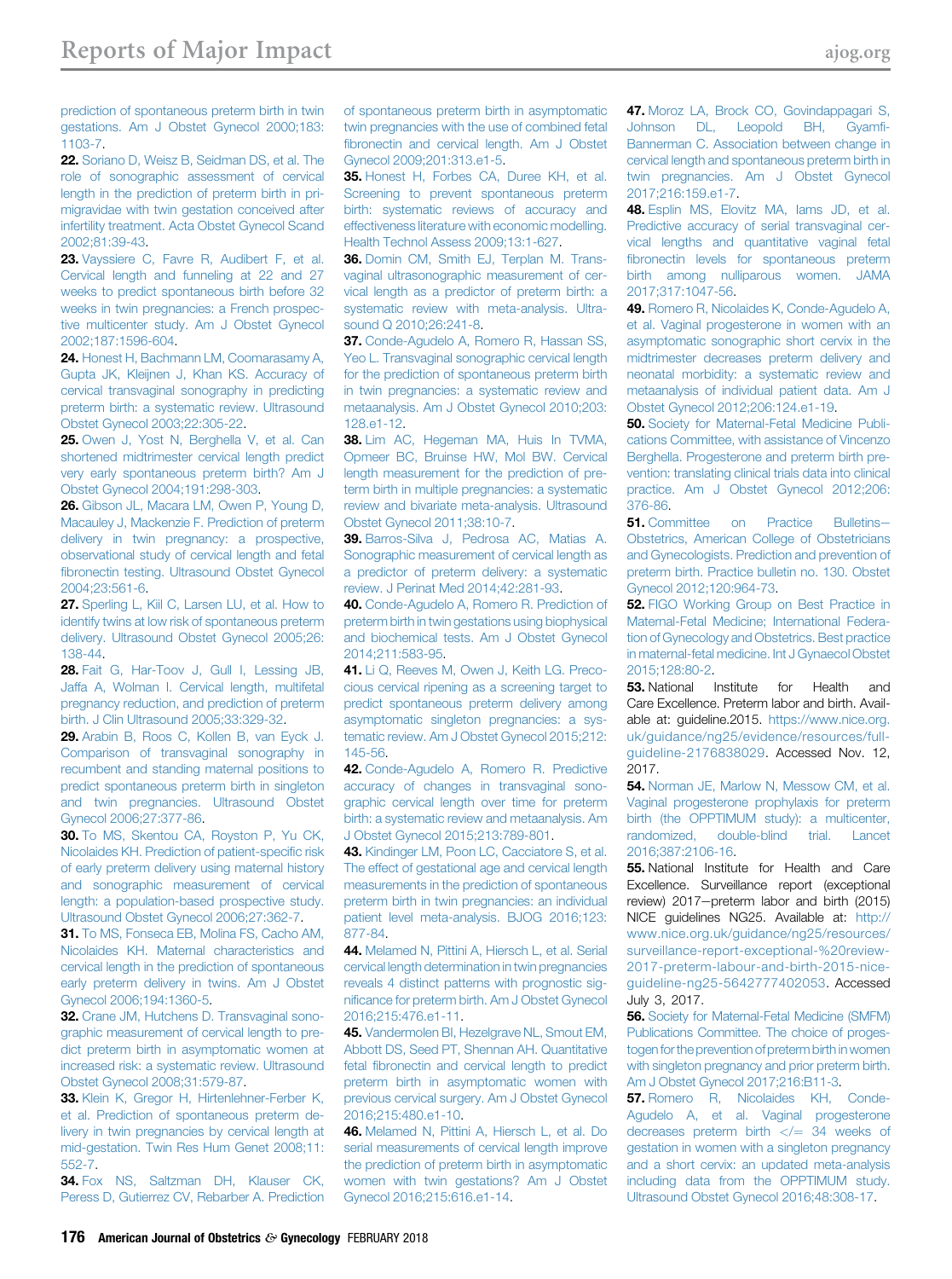<span id="page-15-0"></span>[prediction of spontaneous preterm birth in twin](http://refhub.elsevier.com/S0002-9378(17)32343-8/sref21) [gestations. Am J Obstet Gynecol 2000;183:](http://refhub.elsevier.com/S0002-9378(17)32343-8/sref21) [1103-7.](http://refhub.elsevier.com/S0002-9378(17)32343-8/sref21)

22. [Soriano D, Weisz B, Seidman DS, et al. The](http://refhub.elsevier.com/S0002-9378(17)32343-8/sref22) [role of sonographic assessment of cervical](http://refhub.elsevier.com/S0002-9378(17)32343-8/sref22) [length in the prediction of preterm birth in pri](http://refhub.elsevier.com/S0002-9378(17)32343-8/sref22)[migravidae with twin gestation conceived after](http://refhub.elsevier.com/S0002-9378(17)32343-8/sref22) [infertility treatment. Acta Obstet Gynecol Scand](http://refhub.elsevier.com/S0002-9378(17)32343-8/sref22) [2002;81:39-43.](http://refhub.elsevier.com/S0002-9378(17)32343-8/sref22)

23. [Vayssiere C, Favre R, Audibert F, et al.](http://refhub.elsevier.com/S0002-9378(17)32343-8/sref23) [Cervical length and funneling at 22 and 27](http://refhub.elsevier.com/S0002-9378(17)32343-8/sref23) [weeks to predict spontaneous birth before 32](http://refhub.elsevier.com/S0002-9378(17)32343-8/sref23) [weeks in twin pregnancies: a French prospec](http://refhub.elsevier.com/S0002-9378(17)32343-8/sref23)[tive multicenter study. Am J Obstet Gynecol](http://refhub.elsevier.com/S0002-9378(17)32343-8/sref23) [2002;187:1596-604.](http://refhub.elsevier.com/S0002-9378(17)32343-8/sref23)

24. [Honest H, Bachmann LM, Coomarasamy A,](http://refhub.elsevier.com/S0002-9378(17)32343-8/sref24) [Gupta JK, Kleijnen J, Khan KS. Accuracy of](http://refhub.elsevier.com/S0002-9378(17)32343-8/sref24) [cervical transvaginal sonography in predicting](http://refhub.elsevier.com/S0002-9378(17)32343-8/sref24) [preterm birth: a systematic review. Ultrasound](http://refhub.elsevier.com/S0002-9378(17)32343-8/sref24) [Obstet Gynecol 2003;22:305-22](http://refhub.elsevier.com/S0002-9378(17)32343-8/sref24).

25. [Owen J, Yost N, Berghella V, et al. Can](http://refhub.elsevier.com/S0002-9378(17)32343-8/sref25) [shortened midtrimester cervical length predict](http://refhub.elsevier.com/S0002-9378(17)32343-8/sref25) [very early spontaneous preterm birth? Am J](http://refhub.elsevier.com/S0002-9378(17)32343-8/sref25) [Obstet Gynecol 2004;191:298-303.](http://refhub.elsevier.com/S0002-9378(17)32343-8/sref25)

26. [Gibson JL, Macara LM, Owen P, Young D,](http://refhub.elsevier.com/S0002-9378(17)32343-8/sref26) [Macauley J, Mackenzie F. Prediction of preterm](http://refhub.elsevier.com/S0002-9378(17)32343-8/sref26) [delivery in twin pregnancy: a prospective,](http://refhub.elsevier.com/S0002-9378(17)32343-8/sref26) [observational study of cervical length and fetal](http://refhub.elsevier.com/S0002-9378(17)32343-8/sref26) fi[bronectin testing. Ultrasound Obstet Gynecol](http://refhub.elsevier.com/S0002-9378(17)32343-8/sref26) [2004;23:561-6.](http://refhub.elsevier.com/S0002-9378(17)32343-8/sref26)

27. [Sperling L, Kiil C, Larsen LU, et al. How to](http://refhub.elsevier.com/S0002-9378(17)32343-8/sref27) [identify twins at low risk of spontaneous preterm](http://refhub.elsevier.com/S0002-9378(17)32343-8/sref27) [delivery. Ultrasound Obstet Gynecol 2005;26:](http://refhub.elsevier.com/S0002-9378(17)32343-8/sref27) [138-44.](http://refhub.elsevier.com/S0002-9378(17)32343-8/sref27)

28. [Fait G, Har-Toov J, Gull I, Lessing JB,](http://refhub.elsevier.com/S0002-9378(17)32343-8/sref28) [Jaffa A, Wolman I. Cervical length, multifetal](http://refhub.elsevier.com/S0002-9378(17)32343-8/sref28) [pregnancy reduction, and prediction of preterm](http://refhub.elsevier.com/S0002-9378(17)32343-8/sref28) [birth. J Clin Ultrasound 2005;33:329-32](http://refhub.elsevier.com/S0002-9378(17)32343-8/sref28).

29. [Arabin B, Roos C, Kollen B, van Eyck J.](http://refhub.elsevier.com/S0002-9378(17)32343-8/sref29) [Comparison of transvaginal sonography in](http://refhub.elsevier.com/S0002-9378(17)32343-8/sref29) [recumbent and standing maternal positions to](http://refhub.elsevier.com/S0002-9378(17)32343-8/sref29) [predict spontaneous preterm birth in singleton](http://refhub.elsevier.com/S0002-9378(17)32343-8/sref29) [and twin pregnancies. Ultrasound Obstet](http://refhub.elsevier.com/S0002-9378(17)32343-8/sref29) [Gynecol 2006;27:377-86](http://refhub.elsevier.com/S0002-9378(17)32343-8/sref29).

30. [To MS, Skentou CA, Royston P, Yu CK,](http://refhub.elsevier.com/S0002-9378(17)32343-8/sref30) [Nicolaides KH. Prediction of patient-speci](http://refhub.elsevier.com/S0002-9378(17)32343-8/sref30)fic risk [of early preterm delivery using maternal history](http://refhub.elsevier.com/S0002-9378(17)32343-8/sref30) [and sonographic measurement of cervical](http://refhub.elsevier.com/S0002-9378(17)32343-8/sref30) [length: a population-based prospective study.](http://refhub.elsevier.com/S0002-9378(17)32343-8/sref30) [Ultrasound Obstet Gynecol 2006;27:362-7.](http://refhub.elsevier.com/S0002-9378(17)32343-8/sref30)

31. [To MS, Fonseca EB, Molina FS, Cacho AM,](http://refhub.elsevier.com/S0002-9378(17)32343-8/sref31) [Nicolaides KH. Maternal characteristics and](http://refhub.elsevier.com/S0002-9378(17)32343-8/sref31) [cervical length in the prediction of spontaneous](http://refhub.elsevier.com/S0002-9378(17)32343-8/sref31) [early preterm delivery in twins. Am J Obstet](http://refhub.elsevier.com/S0002-9378(17)32343-8/sref31) [Gynecol 2006;194:1360-5.](http://refhub.elsevier.com/S0002-9378(17)32343-8/sref31)

32. [Crane JM, Hutchens D. Transvaginal sono](http://refhub.elsevier.com/S0002-9378(17)32343-8/sref32)[graphic measurement of cervical length to pre](http://refhub.elsevier.com/S0002-9378(17)32343-8/sref32)[dict preterm birth in asymptomatic women at](http://refhub.elsevier.com/S0002-9378(17)32343-8/sref32) [increased risk: a systematic review. Ultrasound](http://refhub.elsevier.com/S0002-9378(17)32343-8/sref32) [Obstet Gynecol 2008;31:579-87](http://refhub.elsevier.com/S0002-9378(17)32343-8/sref32).

33. [Klein K, Gregor H, Hirtenlehner-Ferber K,](http://refhub.elsevier.com/S0002-9378(17)32343-8/sref33) [et al. Prediction of spontaneous preterm de](http://refhub.elsevier.com/S0002-9378(17)32343-8/sref33)[livery in twin pregnancies by cervical length at](http://refhub.elsevier.com/S0002-9378(17)32343-8/sref33) [mid-gestation. Twin Res Hum Genet 2008;11:](http://refhub.elsevier.com/S0002-9378(17)32343-8/sref33) [552-7](http://refhub.elsevier.com/S0002-9378(17)32343-8/sref33).

34. [Fox NS, Saltzman DH, Klauser CK,](http://refhub.elsevier.com/S0002-9378(17)32343-8/sref34) [Peress D, Gutierrez CV, Rebarber A. Prediction](http://refhub.elsevier.com/S0002-9378(17)32343-8/sref34) [of spontaneous preterm birth in asymptomatic](http://refhub.elsevier.com/S0002-9378(17)32343-8/sref34) [twin pregnancies with the use of combined fetal](http://refhub.elsevier.com/S0002-9378(17)32343-8/sref34) fi[bronectin and cervical length. Am J Obstet](http://refhub.elsevier.com/S0002-9378(17)32343-8/sref34) [Gynecol 2009;201:313.e1-5](http://refhub.elsevier.com/S0002-9378(17)32343-8/sref34).

35. [Honest H, Forbes CA, Duree KH, et al.](http://refhub.elsevier.com/S0002-9378(17)32343-8/sref35) [Screening to prevent spontaneous preterm](http://refhub.elsevier.com/S0002-9378(17)32343-8/sref35) [birth: systematic reviews of accuracy and](http://refhub.elsevier.com/S0002-9378(17)32343-8/sref35) [effectiveness literature with economic modelling.](http://refhub.elsevier.com/S0002-9378(17)32343-8/sref35) [Health Technol Assess 2009;13:1-627](http://refhub.elsevier.com/S0002-9378(17)32343-8/sref35).

36. [Domin CM, Smith EJ, Terplan M. Trans](http://refhub.elsevier.com/S0002-9378(17)32343-8/sref36)[vaginal ultrasonographic measurement of cer](http://refhub.elsevier.com/S0002-9378(17)32343-8/sref36)[vical length as a predictor of preterm birth: a](http://refhub.elsevier.com/S0002-9378(17)32343-8/sref36) [systematic review with meta-analysis. Ultra](http://refhub.elsevier.com/S0002-9378(17)32343-8/sref36)[sound Q 2010;26:241-8.](http://refhub.elsevier.com/S0002-9378(17)32343-8/sref36)

37. [Conde-Agudelo A, Romero R, Hassan SS,](http://refhub.elsevier.com/S0002-9378(17)32343-8/sref37) [Yeo L. Transvaginal sonographic cervical length](http://refhub.elsevier.com/S0002-9378(17)32343-8/sref37) [for the prediction of spontaneous preterm birth](http://refhub.elsevier.com/S0002-9378(17)32343-8/sref37) [in twin pregnancies: a systematic review and](http://refhub.elsevier.com/S0002-9378(17)32343-8/sref37) [metaanalysis. Am J Obstet Gynecol 2010;203:](http://refhub.elsevier.com/S0002-9378(17)32343-8/sref37) [128.e1-12.](http://refhub.elsevier.com/S0002-9378(17)32343-8/sref37)

38. [Lim AC, Hegeman MA, Huis In TVMA,](http://refhub.elsevier.com/S0002-9378(17)32343-8/sref38) [Opmeer BC, Bruinse HW, Mol BW. Cervical](http://refhub.elsevier.com/S0002-9378(17)32343-8/sref38) [length measurement for the prediction of pre](http://refhub.elsevier.com/S0002-9378(17)32343-8/sref38)[term birth in multiple pregnancies: a systematic](http://refhub.elsevier.com/S0002-9378(17)32343-8/sref38) [review and bivariate meta-analysis. Ultrasound](http://refhub.elsevier.com/S0002-9378(17)32343-8/sref38) [Obstet Gynecol 2011;38:10-7.](http://refhub.elsevier.com/S0002-9378(17)32343-8/sref38)

39. [Barros-Silva J, Pedrosa AC, Matias A.](http://refhub.elsevier.com/S0002-9378(17)32343-8/sref39) [Sonographic measurement of cervical length as](http://refhub.elsevier.com/S0002-9378(17)32343-8/sref39) [a predictor of preterm delivery: a systematic](http://refhub.elsevier.com/S0002-9378(17)32343-8/sref39) [review. J Perinat Med 2014;42:281-93.](http://refhub.elsevier.com/S0002-9378(17)32343-8/sref39)

40. [Conde-Agudelo A, Romero R. Prediction of](http://refhub.elsevier.com/S0002-9378(17)32343-8/sref40) [preterm birth in twin gestations using biophysical](http://refhub.elsevier.com/S0002-9378(17)32343-8/sref40) [and biochemical tests. Am J Obstet Gynecol](http://refhub.elsevier.com/S0002-9378(17)32343-8/sref40) [2014;211:583-95](http://refhub.elsevier.com/S0002-9378(17)32343-8/sref40).

41. [Li Q, Reeves M, Owen J, Keith LG. Preco](http://refhub.elsevier.com/S0002-9378(17)32343-8/sref41)[cious cervical ripening as a screening target to](http://refhub.elsevier.com/S0002-9378(17)32343-8/sref41) [predict spontaneous preterm delivery among](http://refhub.elsevier.com/S0002-9378(17)32343-8/sref41) [asymptomatic singleton pregnancies: a sys](http://refhub.elsevier.com/S0002-9378(17)32343-8/sref41)[tematic review. Am J Obstet Gynecol 2015;212:](http://refhub.elsevier.com/S0002-9378(17)32343-8/sref41) [145-56](http://refhub.elsevier.com/S0002-9378(17)32343-8/sref41).

42. [Conde-Agudelo A, Romero R. Predictive](http://refhub.elsevier.com/S0002-9378(17)32343-8/sref42) [accuracy of changes in transvaginal sono](http://refhub.elsevier.com/S0002-9378(17)32343-8/sref42)[graphic cervical length over time for preterm](http://refhub.elsevier.com/S0002-9378(17)32343-8/sref42) [birth: a systematic review and metaanalysis. Am](http://refhub.elsevier.com/S0002-9378(17)32343-8/sref42) [J Obstet Gynecol 2015;213:789-801](http://refhub.elsevier.com/S0002-9378(17)32343-8/sref42).

43. [Kindinger LM, Poon LC, Cacciatore S, et al.](http://refhub.elsevier.com/S0002-9378(17)32343-8/sref43) [The effect of gestational age and cervical length](http://refhub.elsevier.com/S0002-9378(17)32343-8/sref43) [measurements in the prediction of spontaneous](http://refhub.elsevier.com/S0002-9378(17)32343-8/sref43) [preterm birth in twin pregnancies: an individual](http://refhub.elsevier.com/S0002-9378(17)32343-8/sref43) [patient level meta-analysis. BJOG 2016;123:](http://refhub.elsevier.com/S0002-9378(17)32343-8/sref43) [877-84](http://refhub.elsevier.com/S0002-9378(17)32343-8/sref43).

44. [Melamed N, Pittini A, Hiersch L, et al. Serial](http://refhub.elsevier.com/S0002-9378(17)32343-8/sref44) [cervical length determination in twin pregnancies](http://refhub.elsevier.com/S0002-9378(17)32343-8/sref44) [reveals 4 distinct patterns with prognostic sig](http://refhub.elsevier.com/S0002-9378(17)32343-8/sref44)nifi[cance for preterm birth. Am J Obstet Gynecol](http://refhub.elsevier.com/S0002-9378(17)32343-8/sref44) [2016;215:476.e1-11.](http://refhub.elsevier.com/S0002-9378(17)32343-8/sref44)

45. [Vandermolen BI, Hezelgrave NL, Smout EM,](http://refhub.elsevier.com/S0002-9378(17)32343-8/sref45) [Abbott DS, Seed PT, Shennan AH. Quantitative](http://refhub.elsevier.com/S0002-9378(17)32343-8/sref45) fetal fi[bronectin and cervical length to predict](http://refhub.elsevier.com/S0002-9378(17)32343-8/sref45) [preterm birth in asymptomatic women with](http://refhub.elsevier.com/S0002-9378(17)32343-8/sref45) [previous cervical surgery. Am J Obstet Gynecol](http://refhub.elsevier.com/S0002-9378(17)32343-8/sref45) [2016;215:480.e1-10.](http://refhub.elsevier.com/S0002-9378(17)32343-8/sref45)

46. [Melamed N, Pittini A, Hiersch L, et al. Do](http://refhub.elsevier.com/S0002-9378(17)32343-8/sref46) [serial measurements of cervical length improve](http://refhub.elsevier.com/S0002-9378(17)32343-8/sref46) [the prediction of preterm birth in asymptomatic](http://refhub.elsevier.com/S0002-9378(17)32343-8/sref46) [women with twin gestations? Am J Obstet](http://refhub.elsevier.com/S0002-9378(17)32343-8/sref46) [Gynecol 2016;215:616.e1-14](http://refhub.elsevier.com/S0002-9378(17)32343-8/sref46).

47. [Moroz LA, Brock CO, Govindappagari S,](http://refhub.elsevier.com/S0002-9378(17)32343-8/sref47) [Johnson DL, Leopold BH, Gyam](http://refhub.elsevier.com/S0002-9378(17)32343-8/sref47)fi-[Bannerman C. Association between change in](http://refhub.elsevier.com/S0002-9378(17)32343-8/sref47) [cervical length and spontaneous preterm birth in](http://refhub.elsevier.com/S0002-9378(17)32343-8/sref47) [twin pregnancies. Am J Obstet Gynecol](http://refhub.elsevier.com/S0002-9378(17)32343-8/sref47) [2017;216:159.e1-7.](http://refhub.elsevier.com/S0002-9378(17)32343-8/sref47)

48. Esplin MS, Elovitz MA, lams JD, et al. [Predictive accuracy of serial transvaginal cer](http://refhub.elsevier.com/S0002-9378(17)32343-8/sref48)[vical lengths and quantitative vaginal fetal](http://refhub.elsevier.com/S0002-9378(17)32343-8/sref48) fi[bronectin levels for spontaneous preterm](http://refhub.elsevier.com/S0002-9378(17)32343-8/sref48) [birth among nulliparous women. JAMA](http://refhub.elsevier.com/S0002-9378(17)32343-8/sref48) [2017;317:1047-56.](http://refhub.elsevier.com/S0002-9378(17)32343-8/sref48)

49. [Romero R, Nicolaides K, Conde-Agudelo A,](http://refhub.elsevier.com/S0002-9378(17)32343-8/sref49) [et al. Vaginal progesterone in women with an](http://refhub.elsevier.com/S0002-9378(17)32343-8/sref49) [asymptomatic sonographic short cervix in the](http://refhub.elsevier.com/S0002-9378(17)32343-8/sref49) [midtrimester decreases preterm delivery and](http://refhub.elsevier.com/S0002-9378(17)32343-8/sref49) [neonatal morbidity: a systematic review and](http://refhub.elsevier.com/S0002-9378(17)32343-8/sref49) [metaanalysis of individual patient data. Am J](http://refhub.elsevier.com/S0002-9378(17)32343-8/sref49) [Obstet Gynecol 2012;206:124.e1-19.](http://refhub.elsevier.com/S0002-9378(17)32343-8/sref49)

50. [Society for Maternal-Fetal Medicine Publi](http://refhub.elsevier.com/S0002-9378(17)32343-8/sref50)[cations Committee, with assistance of Vincenzo](http://refhub.elsevier.com/S0002-9378(17)32343-8/sref50) [Berghella. Progesterone and preterm birth pre](http://refhub.elsevier.com/S0002-9378(17)32343-8/sref50)[vention: translating clinical trials data into clinical](http://refhub.elsevier.com/S0002-9378(17)32343-8/sref50) [practice. Am J Obstet Gynecol 2012;206:](http://refhub.elsevier.com/S0002-9378(17)32343-8/sref50) [376-86](http://refhub.elsevier.com/S0002-9378(17)32343-8/sref50).

**51.** [Committee on Practice Bulletins](http://refhub.elsevier.com/S0002-9378(17)32343-8/sref51)-[Obstetrics, American College of Obstetricians](http://refhub.elsevier.com/S0002-9378(17)32343-8/sref51) [and Gynecologists. Prediction and prevention of](http://refhub.elsevier.com/S0002-9378(17)32343-8/sref51) [preterm birth. Practice bulletin no. 130. Obstet](http://refhub.elsevier.com/S0002-9378(17)32343-8/sref51) [Gynecol 2012;120:964-73](http://refhub.elsevier.com/S0002-9378(17)32343-8/sref51).

**52. [FIGO Working Group on Best Practice in](http://refhub.elsevier.com/S0002-9378(17)32343-8/sref52)** [Maternal-Fetal Medicine; International Federa](http://refhub.elsevier.com/S0002-9378(17)32343-8/sref52)[tion of Gynecology and Obstetrics. Best practice](http://refhub.elsevier.com/S0002-9378(17)32343-8/sref52) [in maternal-fetal medicine. Int J Gynaecol Obstet](http://refhub.elsevier.com/S0002-9378(17)32343-8/sref52) [2015;128:80-2.](http://refhub.elsevier.com/S0002-9378(17)32343-8/sref52)

**53.** National Institute for Health and Care Excellence. Preterm labor and birth. Available at: guideline.2015. [https://www.nice.org.](https://www.nice.org.uk/guidance/ng25/evidence/resources/full-guideline-2176838029) [uk/guidance/ng25/evidence/resources/full](https://www.nice.org.uk/guidance/ng25/evidence/resources/full-guideline-2176838029)[guideline-2176838029](https://www.nice.org.uk/guidance/ng25/evidence/resources/full-guideline-2176838029). Accessed Nov. 12, 2017.

**54.** [Norman JE, Marlow N, Messow CM, et al.](http://refhub.elsevier.com/S0002-9378(17)32343-8/sref54) [Vaginal progesterone prophylaxis for preterm](http://refhub.elsevier.com/S0002-9378(17)32343-8/sref54) [birth \(the OPPTIMUM study\): a multicenter,](http://refhub.elsevier.com/S0002-9378(17)32343-8/sref54) [randomized, double-blind trial. Lancet](http://refhub.elsevier.com/S0002-9378(17)32343-8/sref54) [2016;387:2106-16.](http://refhub.elsevier.com/S0002-9378(17)32343-8/sref54)

**55.** National Institute for Health and Care Excellence. Surveillance report (exceptional review) 2017-preterm labor and birth (2015) NICE guidelines NG25. Available at: [http://](http://www.nice.org.uk/guidance/ng25/resources/surveillance-report-exceptional-%20review-2017-preterm-labour-and-birth-2015-nice-guideline-ng25-5642777402053) [www.nice.org.uk/guidance/ng25/resources/](http://www.nice.org.uk/guidance/ng25/resources/surveillance-report-exceptional-%20review-2017-preterm-labour-and-birth-2015-nice-guideline-ng25-5642777402053) [surveillance-report-exceptional-%20review-](http://www.nice.org.uk/guidance/ng25/resources/surveillance-report-exceptional-%20review-2017-preterm-labour-and-birth-2015-nice-guideline-ng25-5642777402053)[2017-preterm-labour-and-birth-2015-nice](http://www.nice.org.uk/guidance/ng25/resources/surveillance-report-exceptional-%20review-2017-preterm-labour-and-birth-2015-nice-guideline-ng25-5642777402053)[guideline-ng25-5642777402053](http://www.nice.org.uk/guidance/ng25/resources/surveillance-report-exceptional-%20review-2017-preterm-labour-and-birth-2015-nice-guideline-ng25-5642777402053). Accessed July 3, 2017.

56. [Society for Maternal-Fetal Medicine \(SMFM\)](http://refhub.elsevier.com/S0002-9378(17)32343-8/sref56) [Publications Committee. The choice of proges](http://refhub.elsevier.com/S0002-9378(17)32343-8/sref56)[togen for the prevention of preterm birth in women](http://refhub.elsevier.com/S0002-9378(17)32343-8/sref56) [with singleton pregnancy and prior preterm birth.](http://refhub.elsevier.com/S0002-9378(17)32343-8/sref56) [Am J Obstet Gynecol 2017;216:B11-3.](http://refhub.elsevier.com/S0002-9378(17)32343-8/sref56)

57. [Romero R, Nicolaides KH, Conde-](http://refhub.elsevier.com/S0002-9378(17)32343-8/sref57)[Agudelo A, et al. Vaginal progesterone](http://refhub.elsevier.com/S0002-9378(17)32343-8/sref57) [decreases preterm birth](http://refhub.elsevier.com/S0002-9378(17)32343-8/sref57)  $\langle\rangle = 34$  weeks of [gestation in women with a singleton pregnancy](http://refhub.elsevier.com/S0002-9378(17)32343-8/sref57) [and a short cervix: an updated meta-analysis](http://refhub.elsevier.com/S0002-9378(17)32343-8/sref57) [including data from the OPPTIMUM study.](http://refhub.elsevier.com/S0002-9378(17)32343-8/sref57) [Ultrasound Obstet Gynecol 2016;48:308-17.](http://refhub.elsevier.com/S0002-9378(17)32343-8/sref57)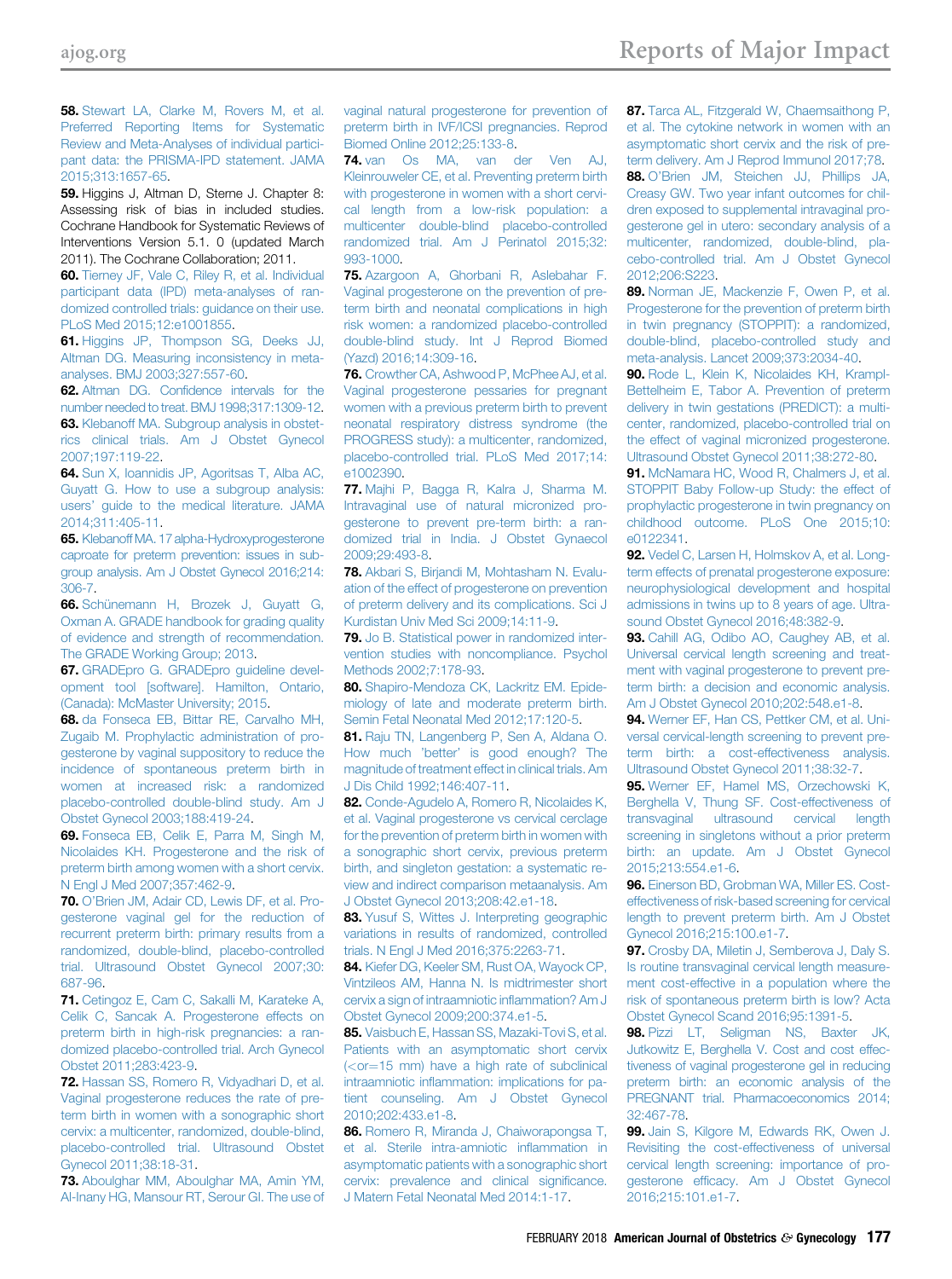<span id="page-16-0"></span>58. [Stewart LA, Clarke M, Rovers M, et al.](http://refhub.elsevier.com/S0002-9378(17)32343-8/sref58) [Preferred Reporting Items for Systematic](http://refhub.elsevier.com/S0002-9378(17)32343-8/sref58) [Review and Meta-Analyses of individual partici](http://refhub.elsevier.com/S0002-9378(17)32343-8/sref58)[pant data: the PRISMA-IPD statement. JAMA](http://refhub.elsevier.com/S0002-9378(17)32343-8/sref58) [2015;313:1657-65](http://refhub.elsevier.com/S0002-9378(17)32343-8/sref58).

59. Higgins J, Altman D, Sterne J. Chapter 8: Assessing risk of bias in included studies. Cochrane Handbook for Systematic Reviews of Interventions Version 5.1. 0 (updated March 2011). The Cochrane Collaboration; 2011.

60. [Tierney JF, Vale C, Riley R, et al. Individual](http://refhub.elsevier.com/S0002-9378(17)32343-8/sref60) [participant data \(IPD\) meta-analyses of ran](http://refhub.elsevier.com/S0002-9378(17)32343-8/sref60)[domized controlled trials: guidance on their use.](http://refhub.elsevier.com/S0002-9378(17)32343-8/sref60) [PLoS Med 2015;12:e1001855](http://refhub.elsevier.com/S0002-9378(17)32343-8/sref60).

61. [Higgins JP, Thompson SG, Deeks JJ,](http://refhub.elsevier.com/S0002-9378(17)32343-8/sref61) [Altman DG. Measuring inconsistency in meta](http://refhub.elsevier.com/S0002-9378(17)32343-8/sref61)[analyses. BMJ 2003;327:557-60](http://refhub.elsevier.com/S0002-9378(17)32343-8/sref61).

62. Altman DG. Confi[dence intervals for the](http://refhub.elsevier.com/S0002-9378(17)32343-8/sref62) [number needed to treat. BMJ 1998;317:1309-12](http://refhub.elsevier.com/S0002-9378(17)32343-8/sref62). 63. [Klebanoff MA. Subgroup analysis in obstet](http://refhub.elsevier.com/S0002-9378(17)32343-8/sref63)[rics clinical trials. Am J Obstet Gynecol](http://refhub.elsevier.com/S0002-9378(17)32343-8/sref63) [2007;197:119-22.](http://refhub.elsevier.com/S0002-9378(17)32343-8/sref63)

64. [Sun X, Ioannidis JP, Agoritsas T, Alba AC,](http://refhub.elsevier.com/S0002-9378(17)32343-8/sref64) [Guyatt G. How to use a subgroup analysis:](http://refhub.elsevier.com/S0002-9378(17)32343-8/sref64) users' [guide to the medical literature. JAMA](http://refhub.elsevier.com/S0002-9378(17)32343-8/sref64) [2014;311:405-11.](http://refhub.elsevier.com/S0002-9378(17)32343-8/sref64)

65. [Klebanoff MA. 17 alpha-Hydroxyprogesterone](http://refhub.elsevier.com/S0002-9378(17)32343-8/sref65) [caproate for preterm prevention: issues in sub](http://refhub.elsevier.com/S0002-9378(17)32343-8/sref65)[group analysis. Am J Obstet Gynecol 2016;214:](http://refhub.elsevier.com/S0002-9378(17)32343-8/sref65) [306-7.](http://refhub.elsevier.com/S0002-9378(17)32343-8/sref65)

66. [Schünemann H, Brozek J, Guyatt G,](http://refhub.elsevier.com/S0002-9378(17)32343-8/sref66) [Oxman A. GRADE handbook for grading quality](http://refhub.elsevier.com/S0002-9378(17)32343-8/sref66) [of evidence and strength of recommendation.](http://refhub.elsevier.com/S0002-9378(17)32343-8/sref66) [The GRADE Working Group; 2013.](http://refhub.elsevier.com/S0002-9378(17)32343-8/sref66)

67. [GRADEpro G. GRADEpro guideline devel](http://refhub.elsevier.com/S0002-9378(17)32343-8/sref67)[opment tool \[software\]. Hamilton, Ontario,](http://refhub.elsevier.com/S0002-9378(17)32343-8/sref67) [\(Canada\): McMaster University; 2015.](http://refhub.elsevier.com/S0002-9378(17)32343-8/sref67)

68. [da Fonseca EB, Bittar RE, Carvalho MH,](http://refhub.elsevier.com/S0002-9378(17)32343-8/sref68) [Zugaib M. Prophylactic administration of pro](http://refhub.elsevier.com/S0002-9378(17)32343-8/sref68)[gesterone by vaginal suppository to reduce the](http://refhub.elsevier.com/S0002-9378(17)32343-8/sref68) [incidence of spontaneous preterm birth in](http://refhub.elsevier.com/S0002-9378(17)32343-8/sref68) [women at increased risk: a randomized](http://refhub.elsevier.com/S0002-9378(17)32343-8/sref68) [placebo-controlled double-blind study. Am J](http://refhub.elsevier.com/S0002-9378(17)32343-8/sref68) [Obstet Gynecol 2003;188:419-24.](http://refhub.elsevier.com/S0002-9378(17)32343-8/sref68)

69. [Fonseca EB, Celik E, Parra M, Singh M,](http://refhub.elsevier.com/S0002-9378(17)32343-8/sref69) [Nicolaides KH. Progesterone and the risk of](http://refhub.elsevier.com/S0002-9378(17)32343-8/sref69) [preterm birth among women with a short cervix.](http://refhub.elsevier.com/S0002-9378(17)32343-8/sref69) [N Engl J Med 2007;357:462-9](http://refhub.elsevier.com/S0002-9378(17)32343-8/sref69).

70. O'[Brien JM, Adair CD, Lewis DF, et al. Pro](http://refhub.elsevier.com/S0002-9378(17)32343-8/sref70)[gesterone vaginal gel for the reduction of](http://refhub.elsevier.com/S0002-9378(17)32343-8/sref70) [recurrent preterm birth: primary results from a](http://refhub.elsevier.com/S0002-9378(17)32343-8/sref70) [randomized, double-blind, placebo-controlled](http://refhub.elsevier.com/S0002-9378(17)32343-8/sref70) [trial. Ultrasound Obstet Gynecol 2007;30:](http://refhub.elsevier.com/S0002-9378(17)32343-8/sref70) [687-96.](http://refhub.elsevier.com/S0002-9378(17)32343-8/sref70)

71. [Cetingoz E, Cam C, Sakalli M, Karateke A,](http://refhub.elsevier.com/S0002-9378(17)32343-8/sref71) [Celik C, Sancak A. Progesterone effects on](http://refhub.elsevier.com/S0002-9378(17)32343-8/sref71) [preterm birth in high-risk pregnancies: a ran](http://refhub.elsevier.com/S0002-9378(17)32343-8/sref71)[domized placebo-controlled trial. Arch Gynecol](http://refhub.elsevier.com/S0002-9378(17)32343-8/sref71) [Obstet 2011;283:423-9](http://refhub.elsevier.com/S0002-9378(17)32343-8/sref71).

72. [Hassan SS, Romero R, Vidyadhari D, et al.](http://refhub.elsevier.com/S0002-9378(17)32343-8/sref72) [Vaginal progesterone reduces the rate of pre](http://refhub.elsevier.com/S0002-9378(17)32343-8/sref72)[term birth in women with a sonographic short](http://refhub.elsevier.com/S0002-9378(17)32343-8/sref72) [cervix: a multicenter, randomized, double-blind,](http://refhub.elsevier.com/S0002-9378(17)32343-8/sref72) [placebo-controlled trial. Ultrasound Obstet](http://refhub.elsevier.com/S0002-9378(17)32343-8/sref72) [Gynecol 2011;38:18-31.](http://refhub.elsevier.com/S0002-9378(17)32343-8/sref72)

73. [Aboulghar MM, Aboulghar MA, Amin YM,](http://refhub.elsevier.com/S0002-9378(17)32343-8/sref73) [Al-Inany HG, Mansour RT, Serour GI. The use of](http://refhub.elsevier.com/S0002-9378(17)32343-8/sref73) [vaginal natural progesterone for prevention of](http://refhub.elsevier.com/S0002-9378(17)32343-8/sref73) [preterm birth in IVF/ICSI pregnancies. Reprod](http://refhub.elsevier.com/S0002-9378(17)32343-8/sref73) [Biomed Online 2012;25:133-8](http://refhub.elsevier.com/S0002-9378(17)32343-8/sref73).

74. [van Os MA, van der Ven AJ,](http://refhub.elsevier.com/S0002-9378(17)32343-8/sref74) [Kleinrouweler CE, et al. Preventing preterm birth](http://refhub.elsevier.com/S0002-9378(17)32343-8/sref74) [with progesterone in women with a short cervi](http://refhub.elsevier.com/S0002-9378(17)32343-8/sref74)[cal length from a low-risk population: a](http://refhub.elsevier.com/S0002-9378(17)32343-8/sref74) [multicenter double-blind placebo-controlled](http://refhub.elsevier.com/S0002-9378(17)32343-8/sref74) [randomized trial. Am J Perinatol 2015;32:](http://refhub.elsevier.com/S0002-9378(17)32343-8/sref74) [993-1000.](http://refhub.elsevier.com/S0002-9378(17)32343-8/sref74)

75. [Azargoon A, Ghorbani R, Aslebahar F.](http://refhub.elsevier.com/S0002-9378(17)32343-8/sref75) [Vaginal progesterone on the prevention of pre](http://refhub.elsevier.com/S0002-9378(17)32343-8/sref75)[term birth and neonatal complications in high](http://refhub.elsevier.com/S0002-9378(17)32343-8/sref75) [risk women: a randomized placebo-controlled](http://refhub.elsevier.com/S0002-9378(17)32343-8/sref75) [double-blind study. Int J Reprod Biomed](http://refhub.elsevier.com/S0002-9378(17)32343-8/sref75) [\(Yazd\) 2016;14:309-16.](http://refhub.elsevier.com/S0002-9378(17)32343-8/sref75)

76. [Crowther CA, Ashwood P, McPhee AJ, et al.](http://refhub.elsevier.com/S0002-9378(17)32343-8/sref76) [Vaginal progesterone pessaries for pregnant](http://refhub.elsevier.com/S0002-9378(17)32343-8/sref76) [women with a previous preterm birth to prevent](http://refhub.elsevier.com/S0002-9378(17)32343-8/sref76) [neonatal respiratory distress syndrome \(the](http://refhub.elsevier.com/S0002-9378(17)32343-8/sref76) [PROGRESS study\): a multicenter, randomized,](http://refhub.elsevier.com/S0002-9378(17)32343-8/sref76) [placebo-controlled trial. PLoS Med 2017;14:](http://refhub.elsevier.com/S0002-9378(17)32343-8/sref76) [e1002390.](http://refhub.elsevier.com/S0002-9378(17)32343-8/sref76)

77. [Majhi P, Bagga R, Kalra J, Sharma M.](http://refhub.elsevier.com/S0002-9378(17)32343-8/sref77) [Intravaginal use of natural micronized pro](http://refhub.elsevier.com/S0002-9378(17)32343-8/sref77)[gesterone to prevent pre-term birth: a ran](http://refhub.elsevier.com/S0002-9378(17)32343-8/sref77)[domized trial in India. J Obstet Gynaecol](http://refhub.elsevier.com/S0002-9378(17)32343-8/sref77) [2009;29:493-8](http://refhub.elsevier.com/S0002-9378(17)32343-8/sref77).

78. [Akbari S, Birjandi M, Mohtasham N. Evalu](http://refhub.elsevier.com/S0002-9378(17)32343-8/sref78)[ation of the effect of progesterone on prevention](http://refhub.elsevier.com/S0002-9378(17)32343-8/sref78) [of preterm delivery and its complications. Sci J](http://refhub.elsevier.com/S0002-9378(17)32343-8/sref78) [Kurdistan Univ Med Sci 2009;14:11-9.](http://refhub.elsevier.com/S0002-9378(17)32343-8/sref78)

79. [Jo B. Statistical power in randomized inter](http://refhub.elsevier.com/S0002-9378(17)32343-8/sref79)[vention studies with noncompliance. Psychol](http://refhub.elsevier.com/S0002-9378(17)32343-8/sref79) [Methods 2002;7:178-93](http://refhub.elsevier.com/S0002-9378(17)32343-8/sref79).

80. [Shapiro-Mendoza CK, Lackritz EM. Epide](http://refhub.elsevier.com/S0002-9378(17)32343-8/sref80)[miology of late and moderate preterm birth.](http://refhub.elsevier.com/S0002-9378(17)32343-8/sref80) [Semin Fetal Neonatal Med 2012;17:120-5](http://refhub.elsevier.com/S0002-9378(17)32343-8/sref80).

81. [Raju TN, Langenberg P, Sen A, Aldana O.](http://refhub.elsevier.com/S0002-9378(17)32343-8/sref81) How much 'better' [is good enough? The](http://refhub.elsevier.com/S0002-9378(17)32343-8/sref81) [magnitude of treatment effect in clinical trials. Am](http://refhub.elsevier.com/S0002-9378(17)32343-8/sref81) [J Dis Child 1992;146:407-11](http://refhub.elsevier.com/S0002-9378(17)32343-8/sref81).

82. [Conde-Agudelo A, Romero R, Nicolaides K,](http://refhub.elsevier.com/S0002-9378(17)32343-8/sref82) [et al. Vaginal progesterone vs cervical cerclage](http://refhub.elsevier.com/S0002-9378(17)32343-8/sref82) [for the prevention of preterm birth in women with](http://refhub.elsevier.com/S0002-9378(17)32343-8/sref82) [a sonographic short cervix, previous preterm](http://refhub.elsevier.com/S0002-9378(17)32343-8/sref82) [birth, and singleton gestation: a systematic re](http://refhub.elsevier.com/S0002-9378(17)32343-8/sref82)[view and indirect comparison metaanalysis. Am](http://refhub.elsevier.com/S0002-9378(17)32343-8/sref82) [J Obstet Gynecol 2013;208:42.e1-18](http://refhub.elsevier.com/S0002-9378(17)32343-8/sref82).

83. [Yusuf S, Wittes J. Interpreting geographic](http://refhub.elsevier.com/S0002-9378(17)32343-8/sref83) [variations in results of randomized, controlled](http://refhub.elsevier.com/S0002-9378(17)32343-8/sref83) [trials. N Engl J Med 2016;375:2263-71](http://refhub.elsevier.com/S0002-9378(17)32343-8/sref83).

84. [Kiefer DG, Keeler SM, Rust OA, Wayock CP,](http://refhub.elsevier.com/S0002-9378(17)32343-8/sref84) [Vintzileos AM, Hanna N. Is midtrimester short](http://refhub.elsevier.com/S0002-9378(17)32343-8/sref84) [cervix a sign of intraamniotic in](http://refhub.elsevier.com/S0002-9378(17)32343-8/sref84)flammation? Am J [Obstet Gynecol 2009;200:374.e1-5](http://refhub.elsevier.com/S0002-9378(17)32343-8/sref84).

85. [Vaisbuch E, Hassan SS, Mazaki-Tovi S, et al.](http://refhub.elsevier.com/S0002-9378(17)32343-8/sref85) [Patients with an asymptomatic short cervix](http://refhub.elsevier.com/S0002-9378(17)32343-8/sref85)  $(<$  $(<$ [or](http://refhub.elsevier.com/S0002-9378(17)32343-8/sref85)=[15 mm\) have a high rate of subclinical](http://refhub.elsevier.com/S0002-9378(17)32343-8/sref85) intraamniotic infl[ammation: implications for pa](http://refhub.elsevier.com/S0002-9378(17)32343-8/sref85)[tient counseling. Am J Obstet Gynecol](http://refhub.elsevier.com/S0002-9378(17)32343-8/sref85) [2010;202:433.e1-8](http://refhub.elsevier.com/S0002-9378(17)32343-8/sref85).

86. [Romero R, Miranda J, Chaiworapongsa T,](http://refhub.elsevier.com/S0002-9378(17)32343-8/sref86) [et al. Sterile intra-amniotic in](http://refhub.elsevier.com/S0002-9378(17)32343-8/sref86)flammation in [asymptomatic patients with a sonographic short](http://refhub.elsevier.com/S0002-9378(17)32343-8/sref86) [cervix: prevalence and clinical signi](http://refhub.elsevier.com/S0002-9378(17)32343-8/sref86)ficance. [J Matern Fetal Neonatal Med 2014:1-17.](http://refhub.elsevier.com/S0002-9378(17)32343-8/sref86)

87. [Tarca AL, Fitzgerald W, Chaemsaithong P,](http://refhub.elsevier.com/S0002-9378(17)32343-8/sref87) [et al. The cytokine network in women with an](http://refhub.elsevier.com/S0002-9378(17)32343-8/sref87) [asymptomatic short cervix and the risk of pre](http://refhub.elsevier.com/S0002-9378(17)32343-8/sref87)[term delivery. Am J Reprod Immunol 2017;78.](http://refhub.elsevier.com/S0002-9378(17)32343-8/sref87) 88. O'[Brien JM, Steichen JJ, Phillips JA,](http://refhub.elsevier.com/S0002-9378(17)32343-8/sref88) [Creasy GW. Two year infant outcomes for chil](http://refhub.elsevier.com/S0002-9378(17)32343-8/sref88)[dren exposed to supplemental intravaginal pro](http://refhub.elsevier.com/S0002-9378(17)32343-8/sref88)[gesterone gel in utero: secondary analysis of a](http://refhub.elsevier.com/S0002-9378(17)32343-8/sref88) [multicenter, randomized, double-blind, pla](http://refhub.elsevier.com/S0002-9378(17)32343-8/sref88)[cebo-controlled trial. Am J Obstet Gynecol](http://refhub.elsevier.com/S0002-9378(17)32343-8/sref88) [2012;206:S223.](http://refhub.elsevier.com/S0002-9378(17)32343-8/sref88)

89. [Norman JE, Mackenzie F, Owen P, et al.](http://refhub.elsevier.com/S0002-9378(17)32343-8/sref89) [Progesterone for the prevention of preterm birth](http://refhub.elsevier.com/S0002-9378(17)32343-8/sref89) [in twin pregnancy \(STOPPIT\): a randomized,](http://refhub.elsevier.com/S0002-9378(17)32343-8/sref89) [double-blind, placebo-controlled study and](http://refhub.elsevier.com/S0002-9378(17)32343-8/sref89) [meta-analysis. Lancet 2009;373:2034-40](http://refhub.elsevier.com/S0002-9378(17)32343-8/sref89).

90. [Rode L, Klein K, Nicolaides KH, Krampl-](http://refhub.elsevier.com/S0002-9378(17)32343-8/sref90)[Bettelheim E, Tabor A. Prevention of preterm](http://refhub.elsevier.com/S0002-9378(17)32343-8/sref90) [delivery in twin gestations \(PREDICT\): a multi](http://refhub.elsevier.com/S0002-9378(17)32343-8/sref90)[center, randomized, placebo-controlled trial on](http://refhub.elsevier.com/S0002-9378(17)32343-8/sref90) [the effect of vaginal micronized progesterone.](http://refhub.elsevier.com/S0002-9378(17)32343-8/sref90) [Ultrasound Obstet Gynecol 2011;38:272-80.](http://refhub.elsevier.com/S0002-9378(17)32343-8/sref90)

91. [McNamara HC, Wood R, Chalmers J, et al.](http://refhub.elsevier.com/S0002-9378(17)32343-8/sref91) [STOPPIT Baby Follow-up Study: the effect of](http://refhub.elsevier.com/S0002-9378(17)32343-8/sref91) [prophylactic progesterone in twin pregnancy on](http://refhub.elsevier.com/S0002-9378(17)32343-8/sref91) [childhood outcome. PLoS One 2015;10:](http://refhub.elsevier.com/S0002-9378(17)32343-8/sref91) [e0122341](http://refhub.elsevier.com/S0002-9378(17)32343-8/sref91).

92. [Vedel C, Larsen H, Holmskov A, et al. Long](http://refhub.elsevier.com/S0002-9378(17)32343-8/sref92)[term effects of prenatal progesterone exposure:](http://refhub.elsevier.com/S0002-9378(17)32343-8/sref92) [neurophysiological development and hospital](http://refhub.elsevier.com/S0002-9378(17)32343-8/sref92) [admissions in twins up to 8 years of age. Ultra](http://refhub.elsevier.com/S0002-9378(17)32343-8/sref92)[sound Obstet Gynecol 2016;48:382-9.](http://refhub.elsevier.com/S0002-9378(17)32343-8/sref92)

93. [Cahill AG, Odibo AO, Caughey AB, et al.](http://refhub.elsevier.com/S0002-9378(17)32343-8/sref93) [Universal cervical length screening and treat](http://refhub.elsevier.com/S0002-9378(17)32343-8/sref93)[ment with vaginal progesterone to prevent pre](http://refhub.elsevier.com/S0002-9378(17)32343-8/sref93)[term birth: a decision and economic analysis.](http://refhub.elsevier.com/S0002-9378(17)32343-8/sref93) [Am J Obstet Gynecol 2010;202:548.e1-8](http://refhub.elsevier.com/S0002-9378(17)32343-8/sref93).

94. [Werner EF, Han CS, Pettker CM, et al. Uni](http://refhub.elsevier.com/S0002-9378(17)32343-8/sref94)[versal cervical-length screening to prevent pre](http://refhub.elsevier.com/S0002-9378(17)32343-8/sref94)[term birth: a cost-effectiveness analysis.](http://refhub.elsevier.com/S0002-9378(17)32343-8/sref94) [Ultrasound Obstet Gynecol 2011;38:32-7](http://refhub.elsevier.com/S0002-9378(17)32343-8/sref94).

95. [Werner EF, Hamel MS, Orzechowski K,](http://refhub.elsevier.com/S0002-9378(17)32343-8/sref95) [Berghella V, Thung SF. Cost-effectiveness of](http://refhub.elsevier.com/S0002-9378(17)32343-8/sref95) [transvaginal ultrasound cervical length](http://refhub.elsevier.com/S0002-9378(17)32343-8/sref95) [screening in singletons without a prior preterm](http://refhub.elsevier.com/S0002-9378(17)32343-8/sref95) [birth: an update. Am J Obstet Gynecol](http://refhub.elsevier.com/S0002-9378(17)32343-8/sref95) [2015;213:554.e1-6.](http://refhub.elsevier.com/S0002-9378(17)32343-8/sref95)

96. [Einerson BD, Grobman WA, Miller ES. Cost](http://refhub.elsevier.com/S0002-9378(17)32343-8/sref96)[effectiveness of risk-based screening for cervical](http://refhub.elsevier.com/S0002-9378(17)32343-8/sref96) [length to prevent preterm birth. Am J Obstet](http://refhub.elsevier.com/S0002-9378(17)32343-8/sref96) [Gynecol 2016;215:100.e1-7](http://refhub.elsevier.com/S0002-9378(17)32343-8/sref96).

97. [Crosby DA, Miletin J, Semberova J, Daly S.](http://refhub.elsevier.com/S0002-9378(17)32343-8/sref97) [Is routine transvaginal cervical length measure](http://refhub.elsevier.com/S0002-9378(17)32343-8/sref97)[ment cost-effective in a population where the](http://refhub.elsevier.com/S0002-9378(17)32343-8/sref97) [risk of spontaneous preterm birth is low? Acta](http://refhub.elsevier.com/S0002-9378(17)32343-8/sref97) [Obstet Gynecol Scand 2016;95:1391-5.](http://refhub.elsevier.com/S0002-9378(17)32343-8/sref97)

98. [Pizzi LT, Seligman NS, Baxter JK,](http://refhub.elsevier.com/S0002-9378(17)32343-8/sref98) [Jutkowitz E, Berghella V. Cost and cost effec](http://refhub.elsevier.com/S0002-9378(17)32343-8/sref98)[tiveness of vaginal progesterone gel in reducing](http://refhub.elsevier.com/S0002-9378(17)32343-8/sref98) [preterm birth: an economic analysis of the](http://refhub.elsevier.com/S0002-9378(17)32343-8/sref98) [PREGNANT trial. Pharmacoeconomics 2014;](http://refhub.elsevier.com/S0002-9378(17)32343-8/sref98) [32:467-78.](http://refhub.elsevier.com/S0002-9378(17)32343-8/sref98)

99. [Jain S, Kilgore M, Edwards RK, Owen J.](http://refhub.elsevier.com/S0002-9378(17)32343-8/sref99) [Revisiting the cost-effectiveness of universal](http://refhub.elsevier.com/S0002-9378(17)32343-8/sref99) [cervical length screening: importance of pro](http://refhub.elsevier.com/S0002-9378(17)32343-8/sref99)gesterone effi[cacy. Am J Obstet Gynecol](http://refhub.elsevier.com/S0002-9378(17)32343-8/sref99) [2016;215:101.e1-7.](http://refhub.elsevier.com/S0002-9378(17)32343-8/sref99)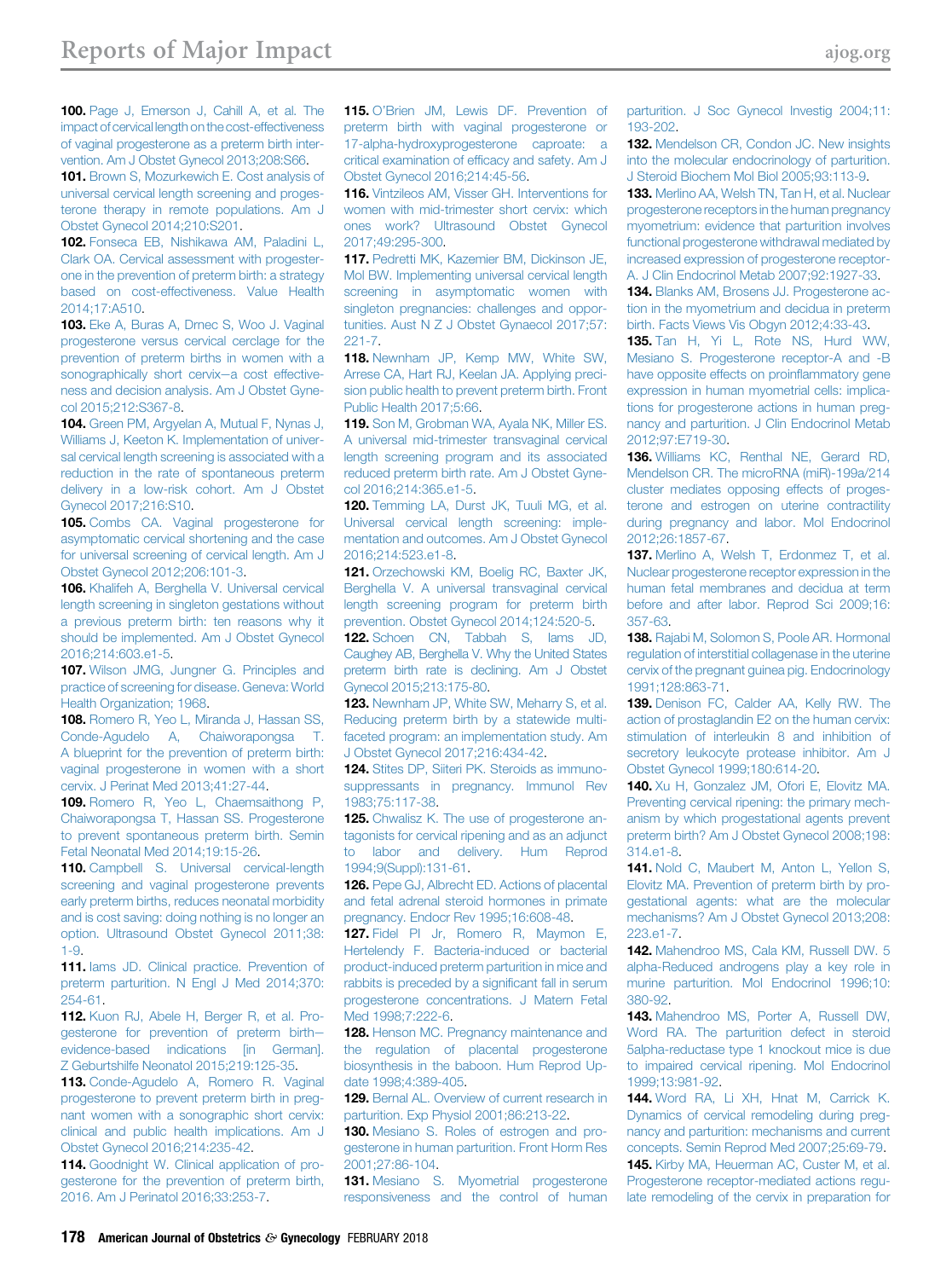<span id="page-17-0"></span>100. [Page J, Emerson J, Cahill A, et al. The](http://refhub.elsevier.com/S0002-9378(17)32343-8/sref100) impact of cervical length on the cost-effectiveness [of vaginal progesterone as a preterm birth inter](http://refhub.elsevier.com/S0002-9378(17)32343-8/sref100)[vention. Am J Obstet Gynecol 2013;208:S66](http://refhub.elsevier.com/S0002-9378(17)32343-8/sref100).

101. [Brown S, Mozurkewich E. Cost analysis of](http://refhub.elsevier.com/S0002-9378(17)32343-8/sref101) [universal cervical length screening and proges](http://refhub.elsevier.com/S0002-9378(17)32343-8/sref101)[terone therapy in remote populations. Am J](http://refhub.elsevier.com/S0002-9378(17)32343-8/sref101) [Obstet Gynecol 2014;210:S201.](http://refhub.elsevier.com/S0002-9378(17)32343-8/sref101)

102. [Fonseca EB, Nishikawa AM, Paladini L,](http://refhub.elsevier.com/S0002-9378(17)32343-8/sref102) [Clark OA. Cervical assessment with progester](http://refhub.elsevier.com/S0002-9378(17)32343-8/sref102)[one in the prevention of preterm birth: a strategy](http://refhub.elsevier.com/S0002-9378(17)32343-8/sref102) [based on cost-effectiveness. Value Health](http://refhub.elsevier.com/S0002-9378(17)32343-8/sref102) [2014;17:A510.](http://refhub.elsevier.com/S0002-9378(17)32343-8/sref102)

103. [Eke A, Buras A, Drnec S, Woo J. Vaginal](http://refhub.elsevier.com/S0002-9378(17)32343-8/sref103) [progesterone versus cervical cerclage for the](http://refhub.elsevier.com/S0002-9378(17)32343-8/sref103) [prevention of preterm births in women with a](http://refhub.elsevier.com/S0002-9378(17)32343-8/sref103) [sonographically short cervix](http://refhub.elsevier.com/S0002-9378(17)32343-8/sref103)-a cost effective[ness and decision analysis. Am J Obstet Gyne](http://refhub.elsevier.com/S0002-9378(17)32343-8/sref103)[col 2015;212:S367-8](http://refhub.elsevier.com/S0002-9378(17)32343-8/sref103).

104. [Green PM, Argyelan A, Mutual F, Nynas J,](http://refhub.elsevier.com/S0002-9378(17)32343-8/sref104) [Williams J, Keeton K. Implementation of univer](http://refhub.elsevier.com/S0002-9378(17)32343-8/sref104)[sal cervical length screening is associated with a](http://refhub.elsevier.com/S0002-9378(17)32343-8/sref104) [reduction in the rate of spontaneous preterm](http://refhub.elsevier.com/S0002-9378(17)32343-8/sref104) [delivery in a low-risk cohort. Am J Obstet](http://refhub.elsevier.com/S0002-9378(17)32343-8/sref104) [Gynecol 2017;216:S10](http://refhub.elsevier.com/S0002-9378(17)32343-8/sref104).

105. [Combs CA. Vaginal progesterone for](http://refhub.elsevier.com/S0002-9378(17)32343-8/sref105) [asymptomatic cervical shortening and the case](http://refhub.elsevier.com/S0002-9378(17)32343-8/sref105) [for universal screening of cervical length. Am J](http://refhub.elsevier.com/S0002-9378(17)32343-8/sref105) [Obstet Gynecol 2012;206:101-3](http://refhub.elsevier.com/S0002-9378(17)32343-8/sref105).

106. [Khalifeh A, Berghella V. Universal cervical](http://refhub.elsevier.com/S0002-9378(17)32343-8/sref106) [length screening in singleton gestations without](http://refhub.elsevier.com/S0002-9378(17)32343-8/sref106) [a previous preterm birth: ten reasons why it](http://refhub.elsevier.com/S0002-9378(17)32343-8/sref106) [should be implemented. Am J Obstet Gynecol](http://refhub.elsevier.com/S0002-9378(17)32343-8/sref106) [2016;214:603.e1-5.](http://refhub.elsevier.com/S0002-9378(17)32343-8/sref106)

107. [Wilson JMG, Jungner G. Principles and](http://refhub.elsevier.com/S0002-9378(17)32343-8/sref107) [practice of screening for disease. Geneva: World](http://refhub.elsevier.com/S0002-9378(17)32343-8/sref107) [Health Organization; 1968.](http://refhub.elsevier.com/S0002-9378(17)32343-8/sref107)

108. [Romero R, Yeo L, Miranda J, Hassan SS,](http://refhub.elsevier.com/S0002-9378(17)32343-8/sref108) [Conde-Agudelo A, Chaiworapongsa T.](http://refhub.elsevier.com/S0002-9378(17)32343-8/sref108) [A blueprint for the prevention of preterm birth:](http://refhub.elsevier.com/S0002-9378(17)32343-8/sref108) [vaginal progesterone in women with a short](http://refhub.elsevier.com/S0002-9378(17)32343-8/sref108) [cervix. J Perinat Med 2013;41:27-44.](http://refhub.elsevier.com/S0002-9378(17)32343-8/sref108)

109. Romero R. Yeo L. Chaemsaithong P. [Chaiworapongsa T, Hassan SS. Progesterone](http://refhub.elsevier.com/S0002-9378(17)32343-8/sref109) [to prevent spontaneous preterm birth. Semin](http://refhub.elsevier.com/S0002-9378(17)32343-8/sref109) [Fetal Neonatal Med 2014;19:15-26.](http://refhub.elsevier.com/S0002-9378(17)32343-8/sref109)

110. [Campbell S. Universal cervical-length](http://refhub.elsevier.com/S0002-9378(17)32343-8/sref110) [screening and vaginal progesterone prevents](http://refhub.elsevier.com/S0002-9378(17)32343-8/sref110) [early preterm births, reduces neonatal morbidity](http://refhub.elsevier.com/S0002-9378(17)32343-8/sref110) [and is cost saving: doing nothing is no longer an](http://refhub.elsevier.com/S0002-9378(17)32343-8/sref110) [option. Ultrasound Obstet Gynecol 2011;38:](http://refhub.elsevier.com/S0002-9378(17)32343-8/sref110) [1-9.](http://refhub.elsevier.com/S0002-9378(17)32343-8/sref110)

111. [Iams JD. Clinical practice. Prevention of](http://refhub.elsevier.com/S0002-9378(17)32343-8/sref111) [preterm parturition. N Engl J Med 2014;370:](http://refhub.elsevier.com/S0002-9378(17)32343-8/sref111) [254-61.](http://refhub.elsevier.com/S0002-9378(17)32343-8/sref111)

112. [Kuon RJ, Abele H, Berger R, et al. Pro](http://refhub.elsevier.com/S0002-9378(17)32343-8/sref112)[gesterone for prevention of preterm birth](http://refhub.elsevier.com/S0002-9378(17)32343-8/sref112)[evidence-based indications \[in German\].](http://refhub.elsevier.com/S0002-9378(17)32343-8/sref112) [Z Geburtshilfe Neonatol 2015;219:125-35.](http://refhub.elsevier.com/S0002-9378(17)32343-8/sref112)

113. [Conde-Agudelo A, Romero R. Vaginal](http://refhub.elsevier.com/S0002-9378(17)32343-8/sref113) [progesterone to prevent preterm birth in preg](http://refhub.elsevier.com/S0002-9378(17)32343-8/sref113)[nant women with a sonographic short cervix:](http://refhub.elsevier.com/S0002-9378(17)32343-8/sref113) [clinical and public health implications. Am J](http://refhub.elsevier.com/S0002-9378(17)32343-8/sref113) [Obstet Gynecol 2016;214:235-42.](http://refhub.elsevier.com/S0002-9378(17)32343-8/sref113)

114. [Goodnight W. Clinical application of pro](http://refhub.elsevier.com/S0002-9378(17)32343-8/sref114)[gesterone for the prevention of preterm birth,](http://refhub.elsevier.com/S0002-9378(17)32343-8/sref114) [2016. Am J Perinatol 2016;33:253-7](http://refhub.elsevier.com/S0002-9378(17)32343-8/sref114).

115. O'[Brien JM, Lewis DF. Prevention of](http://refhub.elsevier.com/S0002-9378(17)32343-8/sref115) [preterm birth with vaginal progesterone or](http://refhub.elsevier.com/S0002-9378(17)32343-8/sref115) [17-alpha-hydroxyprogesterone caproate: a](http://refhub.elsevier.com/S0002-9378(17)32343-8/sref115) [critical examination of ef](http://refhub.elsevier.com/S0002-9378(17)32343-8/sref115)ficacy and safety. Am J [Obstet Gynecol 2016;214:45-56.](http://refhub.elsevier.com/S0002-9378(17)32343-8/sref115)

116. [Vintzileos AM, Visser GH. Interventions for](http://refhub.elsevier.com/S0002-9378(17)32343-8/sref116) [women with mid-trimester short cervix: which](http://refhub.elsevier.com/S0002-9378(17)32343-8/sref116) [ones work? Ultrasound Obstet Gynecol](http://refhub.elsevier.com/S0002-9378(17)32343-8/sref116) [2017;49:295-300](http://refhub.elsevier.com/S0002-9378(17)32343-8/sref116).

117. [Pedretti MK, Kazemier BM, Dickinson JE,](http://refhub.elsevier.com/S0002-9378(17)32343-8/sref117) [Mol BW. Implementing universal cervical length](http://refhub.elsevier.com/S0002-9378(17)32343-8/sref117) [screening in asymptomatic women with](http://refhub.elsevier.com/S0002-9378(17)32343-8/sref117) [singleton pregnancies: challenges and oppor](http://refhub.elsevier.com/S0002-9378(17)32343-8/sref117)[tunities. Aust N Z J Obstet Gynaecol 2017;57:](http://refhub.elsevier.com/S0002-9378(17)32343-8/sref117) [221-7.](http://refhub.elsevier.com/S0002-9378(17)32343-8/sref117)

118. [Newnham JP, Kemp MW, White SW,](http://refhub.elsevier.com/S0002-9378(17)32343-8/sref118) [Arrese CA, Hart RJ, Keelan JA. Applying preci](http://refhub.elsevier.com/S0002-9378(17)32343-8/sref118)[sion public health to prevent preterm birth. Front](http://refhub.elsevier.com/S0002-9378(17)32343-8/sref118) [Public Health 2017;5:66.](http://refhub.elsevier.com/S0002-9378(17)32343-8/sref118)

119. [Son M, Grobman WA, Ayala NK, Miller ES.](http://refhub.elsevier.com/S0002-9378(17)32343-8/sref119) [A universal mid-trimester transvaginal cervical](http://refhub.elsevier.com/S0002-9378(17)32343-8/sref119) [length screening program and its associated](http://refhub.elsevier.com/S0002-9378(17)32343-8/sref119) [reduced preterm birth rate. Am J Obstet Gyne](http://refhub.elsevier.com/S0002-9378(17)32343-8/sref119)[col 2016;214:365.e1-5](http://refhub.elsevier.com/S0002-9378(17)32343-8/sref119).

120. [Temming LA, Durst JK, Tuuli MG, et al.](http://refhub.elsevier.com/S0002-9378(17)32343-8/sref120) [Universal cervical length screening: imple](http://refhub.elsevier.com/S0002-9378(17)32343-8/sref120)[mentation and outcomes. Am J Obstet Gynecol](http://refhub.elsevier.com/S0002-9378(17)32343-8/sref120) [2016;214:523.e1-8](http://refhub.elsevier.com/S0002-9378(17)32343-8/sref120).

121. [Orzechowski KM, Boelig RC, Baxter JK,](http://refhub.elsevier.com/S0002-9378(17)32343-8/sref121) [Berghella V. A universal transvaginal cervical](http://refhub.elsevier.com/S0002-9378(17)32343-8/sref121) [length screening program for preterm birth](http://refhub.elsevier.com/S0002-9378(17)32343-8/sref121) [prevention. Obstet Gynecol 2014;124:520-5](http://refhub.elsevier.com/S0002-9378(17)32343-8/sref121).

122. [Schoen CN, Tabbah S, Iams JD,](http://refhub.elsevier.com/S0002-9378(17)32343-8/sref122) [Caughey AB, Berghella V. Why the United States](http://refhub.elsevier.com/S0002-9378(17)32343-8/sref122) [preterm birth rate is declining. Am J Obstet](http://refhub.elsevier.com/S0002-9378(17)32343-8/sref122) [Gynecol 2015;213:175-80.](http://refhub.elsevier.com/S0002-9378(17)32343-8/sref122)

123. [Newnham JP, White SW, Meharry S, et al.](http://refhub.elsevier.com/S0002-9378(17)32343-8/sref123) [Reducing preterm birth by a statewide multi](http://refhub.elsevier.com/S0002-9378(17)32343-8/sref123)[faceted program: an implementation study. Am](http://refhub.elsevier.com/S0002-9378(17)32343-8/sref123) [J Obstet Gynecol 2017;216:434-42](http://refhub.elsevier.com/S0002-9378(17)32343-8/sref123).

124. [Stites DP, Siiteri PK. Steroids as immuno](http://refhub.elsevier.com/S0002-9378(17)32343-8/sref124)[suppressants in pregnancy. Immunol Rev](http://refhub.elsevier.com/S0002-9378(17)32343-8/sref124) [1983;75:117-38.](http://refhub.elsevier.com/S0002-9378(17)32343-8/sref124)

125. [Chwalisz K. The use of progesterone an](http://refhub.elsevier.com/S0002-9378(17)32343-8/sref125)[tagonists for cervical ripening and as an adjunct](http://refhub.elsevier.com/S0002-9378(17)32343-8/sref125) [to labor and delivery. Hum Reprod](http://refhub.elsevier.com/S0002-9378(17)32343-8/sref125) [1994;9\(Suppl\):131-61.](http://refhub.elsevier.com/S0002-9378(17)32343-8/sref125)

126. [Pepe GJ, Albrecht ED. Actions of placental](http://refhub.elsevier.com/S0002-9378(17)32343-8/sref126) [and fetal adrenal steroid hormones in primate](http://refhub.elsevier.com/S0002-9378(17)32343-8/sref126) [pregnancy. Endocr Rev 1995;16:608-48](http://refhub.elsevier.com/S0002-9378(17)32343-8/sref126).

127. [Fidel PI Jr, Romero R, Maymon E,](http://refhub.elsevier.com/S0002-9378(17)32343-8/sref127) [Hertelendy F. Bacteria-induced or bacterial](http://refhub.elsevier.com/S0002-9378(17)32343-8/sref127) [product-induced preterm parturition in mice and](http://refhub.elsevier.com/S0002-9378(17)32343-8/sref127) [rabbits is preceded by a signi](http://refhub.elsevier.com/S0002-9378(17)32343-8/sref127)ficant fall in serum [progesterone concentrations. J Matern Fetal](http://refhub.elsevier.com/S0002-9378(17)32343-8/sref127) [Med 1998;7:222-6](http://refhub.elsevier.com/S0002-9378(17)32343-8/sref127).

128. [Henson MC. Pregnancy maintenance and](http://refhub.elsevier.com/S0002-9378(17)32343-8/sref128) [the regulation of placental progesterone](http://refhub.elsevier.com/S0002-9378(17)32343-8/sref128) [biosynthesis in the baboon. Hum Reprod Up](http://refhub.elsevier.com/S0002-9378(17)32343-8/sref128)[date 1998;4:389-405.](http://refhub.elsevier.com/S0002-9378(17)32343-8/sref128)

129. [Bernal AL. Overview of current research in](http://refhub.elsevier.com/S0002-9378(17)32343-8/sref129) [parturition. Exp Physiol 2001;86:213-22.](http://refhub.elsevier.com/S0002-9378(17)32343-8/sref129)

130. [Mesiano S. Roles of estrogen and pro](http://refhub.elsevier.com/S0002-9378(17)32343-8/sref130)[gesterone in human parturition. Front Horm Res](http://refhub.elsevier.com/S0002-9378(17)32343-8/sref130) [2001;27:86-104.](http://refhub.elsevier.com/S0002-9378(17)32343-8/sref130)

131. [Mesiano S. Myometrial progesterone](http://refhub.elsevier.com/S0002-9378(17)32343-8/sref131) [responsiveness and the control of human](http://refhub.elsevier.com/S0002-9378(17)32343-8/sref131)

[parturition. J Soc Gynecol Investig 2004;11:](http://refhub.elsevier.com/S0002-9378(17)32343-8/sref131) [193-202.](http://refhub.elsevier.com/S0002-9378(17)32343-8/sref131)

132. [Mendelson CR, Condon JC. New insights](http://refhub.elsevier.com/S0002-9378(17)32343-8/sref132) [into the molecular endocrinology of parturition.](http://refhub.elsevier.com/S0002-9378(17)32343-8/sref132) [J Steroid Biochem Mol Biol 2005;93:113-9](http://refhub.elsevier.com/S0002-9378(17)32343-8/sref132).

133. [Merlino AA, Welsh TN, Tan H, et al. Nuclear](http://refhub.elsevier.com/S0002-9378(17)32343-8/sref133) [progesterone receptors in the human pregnancy](http://refhub.elsevier.com/S0002-9378(17)32343-8/sref133) [myometrium: evidence that parturition involves](http://refhub.elsevier.com/S0002-9378(17)32343-8/sref133) [functional progesterone withdrawal mediated by](http://refhub.elsevier.com/S0002-9378(17)32343-8/sref133) [increased expression of progesterone receptor-](http://refhub.elsevier.com/S0002-9378(17)32343-8/sref133)[A. J Clin Endocrinol Metab 2007;92:1927-33](http://refhub.elsevier.com/S0002-9378(17)32343-8/sref133).

134. [Blanks AM, Brosens JJ. Progesterone ac](http://refhub.elsevier.com/S0002-9378(17)32343-8/sref134)[tion in the myometrium and decidua in preterm](http://refhub.elsevier.com/S0002-9378(17)32343-8/sref134) [birth. Facts Views Vis Obgyn 2012;4:33-43.](http://refhub.elsevier.com/S0002-9378(17)32343-8/sref134)

135. [Tan H, Yi L, Rote NS, Hurd WW,](http://refhub.elsevier.com/S0002-9378(17)32343-8/sref135) [Mesiano S. Progesterone receptor-A and -B](http://refhub.elsevier.com/S0002-9378(17)32343-8/sref135) [have opposite effects on proin](http://refhub.elsevier.com/S0002-9378(17)32343-8/sref135)flammatory gene [expression in human myometrial cells: implica](http://refhub.elsevier.com/S0002-9378(17)32343-8/sref135)[tions for progesterone actions in human preg](http://refhub.elsevier.com/S0002-9378(17)32343-8/sref135)[nancy and parturition. J Clin Endocrinol Metab](http://refhub.elsevier.com/S0002-9378(17)32343-8/sref135) [2012;97:E719-30.](http://refhub.elsevier.com/S0002-9378(17)32343-8/sref135)

136. [Williams KC, Renthal NE, Gerard RD,](http://refhub.elsevier.com/S0002-9378(17)32343-8/sref136) [Mendelson CR. The microRNA \(miR\)-199a/214](http://refhub.elsevier.com/S0002-9378(17)32343-8/sref136) [cluster mediates opposing effects of proges](http://refhub.elsevier.com/S0002-9378(17)32343-8/sref136)[terone and estrogen on uterine contractility](http://refhub.elsevier.com/S0002-9378(17)32343-8/sref136) [during pregnancy and labor. Mol Endocrinol](http://refhub.elsevier.com/S0002-9378(17)32343-8/sref136) [2012;26:1857-67](http://refhub.elsevier.com/S0002-9378(17)32343-8/sref136).

137. [Merlino A, Welsh T, Erdonmez T, et al.](http://refhub.elsevier.com/S0002-9378(17)32343-8/sref137) [Nuclear progesterone receptor expression in the](http://refhub.elsevier.com/S0002-9378(17)32343-8/sref137) [human fetal membranes and decidua at term](http://refhub.elsevier.com/S0002-9378(17)32343-8/sref137) [before and after labor. Reprod Sci 2009;16:](http://refhub.elsevier.com/S0002-9378(17)32343-8/sref137) [357-63](http://refhub.elsevier.com/S0002-9378(17)32343-8/sref137).

138. [Rajabi M, Solomon S, Poole AR. Hormonal](http://refhub.elsevier.com/S0002-9378(17)32343-8/sref138) [regulation of interstitial collagenase in the uterine](http://refhub.elsevier.com/S0002-9378(17)32343-8/sref138) [cervix of the pregnant guinea pig. Endocrinology](http://refhub.elsevier.com/S0002-9378(17)32343-8/sref138) [1991;128:863-71](http://refhub.elsevier.com/S0002-9378(17)32343-8/sref138).

139. [Denison FC, Calder AA, Kelly RW. The](http://refhub.elsevier.com/S0002-9378(17)32343-8/sref139) [action of prostaglandin E2 on the human cervix:](http://refhub.elsevier.com/S0002-9378(17)32343-8/sref139) [stimulation of interleukin 8 and inhibition of](http://refhub.elsevier.com/S0002-9378(17)32343-8/sref139) [secretory leukocyte protease inhibitor. Am J](http://refhub.elsevier.com/S0002-9378(17)32343-8/sref139) [Obstet Gynecol 1999;180:614-20](http://refhub.elsevier.com/S0002-9378(17)32343-8/sref139).

140. Xu H, Gonzalez JM, Ofori E, Elovitz MA, [Preventing cervical ripening: the primary mech](http://refhub.elsevier.com/S0002-9378(17)32343-8/sref140)[anism by which progestational agents prevent](http://refhub.elsevier.com/S0002-9378(17)32343-8/sref140) [preterm birth? Am J Obstet Gynecol 2008;198:](http://refhub.elsevier.com/S0002-9378(17)32343-8/sref140) [314.e1-8.](http://refhub.elsevier.com/S0002-9378(17)32343-8/sref140)

141. [Nold C, Maubert M, Anton L, Yellon S,](http://refhub.elsevier.com/S0002-9378(17)32343-8/sref141) [Elovitz MA. Prevention of preterm birth by pro](http://refhub.elsevier.com/S0002-9378(17)32343-8/sref141)[gestational agents: what are the molecular](http://refhub.elsevier.com/S0002-9378(17)32343-8/sref141) [mechanisms? Am J Obstet Gynecol 2013;208:](http://refhub.elsevier.com/S0002-9378(17)32343-8/sref141) [223.e1-7.](http://refhub.elsevier.com/S0002-9378(17)32343-8/sref141)

142. [Mahendroo MS, Cala KM, Russell DW. 5](http://refhub.elsevier.com/S0002-9378(17)32343-8/sref142) [alpha-Reduced androgens play a key role in](http://refhub.elsevier.com/S0002-9378(17)32343-8/sref142) [murine parturition. Mol Endocrinol 1996;10:](http://refhub.elsevier.com/S0002-9378(17)32343-8/sref142) [380-92](http://refhub.elsevier.com/S0002-9378(17)32343-8/sref142).

143. [Mahendroo MS, Porter A, Russell DW,](http://refhub.elsevier.com/S0002-9378(17)32343-8/sref143) [Word RA. The parturition defect in steroid](http://refhub.elsevier.com/S0002-9378(17)32343-8/sref143) [5alpha-reductase type 1 knockout mice is due](http://refhub.elsevier.com/S0002-9378(17)32343-8/sref143) [to impaired cervical ripening. Mol Endocrinol](http://refhub.elsevier.com/S0002-9378(17)32343-8/sref143) [1999;13:981-92](http://refhub.elsevier.com/S0002-9378(17)32343-8/sref143).

144. [Word RA, Li XH, Hnat M, Carrick K.](http://refhub.elsevier.com/S0002-9378(17)32343-8/sref144) [Dynamics of cervical remodeling during preg](http://refhub.elsevier.com/S0002-9378(17)32343-8/sref144)[nancy and parturition: mechanisms and current](http://refhub.elsevier.com/S0002-9378(17)32343-8/sref144) [concepts. Semin Reprod Med 2007;25:69-79.](http://refhub.elsevier.com/S0002-9378(17)32343-8/sref144) 145. [Kirby MA, Heuerman AC, Custer M, et al.](http://refhub.elsevier.com/S0002-9378(17)32343-8/sref145)

[Progesterone receptor-mediated actions regu](http://refhub.elsevier.com/S0002-9378(17)32343-8/sref145)[late remodeling of the cervix in preparation for](http://refhub.elsevier.com/S0002-9378(17)32343-8/sref145)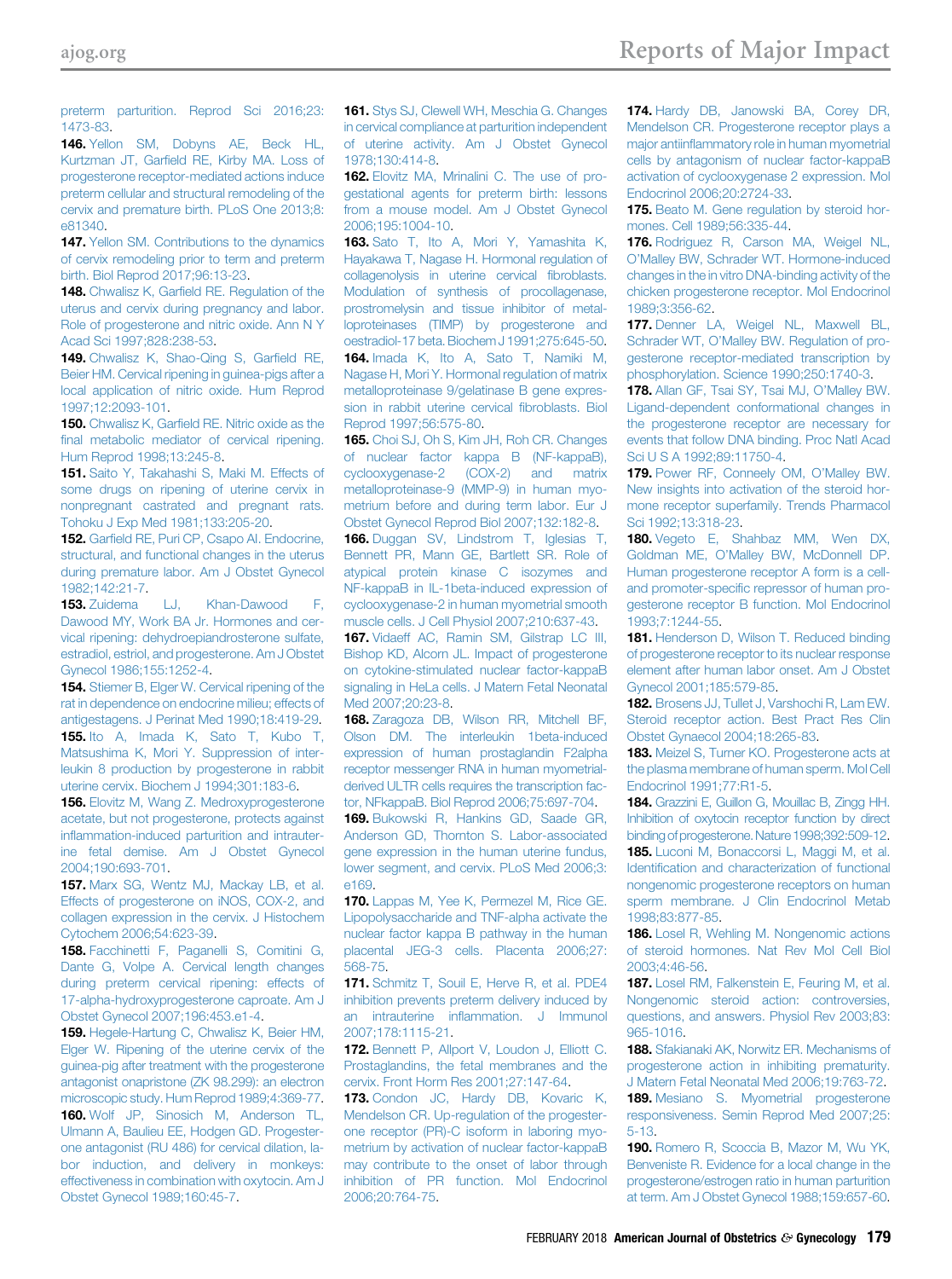<span id="page-18-0"></span>[preterm parturition. Reprod Sci 2016;23:](http://refhub.elsevier.com/S0002-9378(17)32343-8/sref145) [1473-83](http://refhub.elsevier.com/S0002-9378(17)32343-8/sref145).

146. [Yellon SM, Dobyns AE, Beck HL,](http://refhub.elsevier.com/S0002-9378(17)32343-8/sref146) Kurtzman JT, Garfi[eld RE, Kirby MA. Loss of](http://refhub.elsevier.com/S0002-9378(17)32343-8/sref146) [progesterone receptor-mediated actions induce](http://refhub.elsevier.com/S0002-9378(17)32343-8/sref146) [preterm cellular and structural remodeling of the](http://refhub.elsevier.com/S0002-9378(17)32343-8/sref146) [cervix and premature birth. PLoS One 2013;8:](http://refhub.elsevier.com/S0002-9378(17)32343-8/sref146) [e81340.](http://refhub.elsevier.com/S0002-9378(17)32343-8/sref146)

147. [Yellon SM. Contributions to the dynamics](http://refhub.elsevier.com/S0002-9378(17)32343-8/sref147) [of cervix remodeling prior to term and preterm](http://refhub.elsevier.com/S0002-9378(17)32343-8/sref147) [birth. Biol Reprod 2017;96:13-23](http://refhub.elsevier.com/S0002-9378(17)32343-8/sref147).

148. Chwalisz K, Garfi[eld RE. Regulation of the](http://refhub.elsevier.com/S0002-9378(17)32343-8/sref148) [uterus and cervix during pregnancy and labor.](http://refhub.elsevier.com/S0002-9378(17)32343-8/sref148) [Role of progesterone and nitric oxide. Ann N Y](http://refhub.elsevier.com/S0002-9378(17)32343-8/sref148) [Acad Sci 1997;828:238-53](http://refhub.elsevier.com/S0002-9378(17)32343-8/sref148).

149. [Chwalisz K, Shao-Qing S, Gar](http://refhub.elsevier.com/S0002-9378(17)32343-8/sref149)field RE, [Beier HM. Cervical ripening in guinea-pigs after a](http://refhub.elsevier.com/S0002-9378(17)32343-8/sref149) [local application of nitric oxide. Hum Reprod](http://refhub.elsevier.com/S0002-9378(17)32343-8/sref149) [1997;12:2093-101](http://refhub.elsevier.com/S0002-9378(17)32343-8/sref149).

150. Chwalisz K, Garfi[eld RE. Nitric oxide as the](http://refhub.elsevier.com/S0002-9378(17)32343-8/sref150) fi[nal metabolic mediator of cervical ripening.](http://refhub.elsevier.com/S0002-9378(17)32343-8/sref150) [Hum Reprod 1998;13:245-8.](http://refhub.elsevier.com/S0002-9378(17)32343-8/sref150)

151. [Saito Y, Takahashi S, Maki M. Effects of](http://refhub.elsevier.com/S0002-9378(17)32343-8/sref151) [some drugs on ripening of uterine cervix in](http://refhub.elsevier.com/S0002-9378(17)32343-8/sref151) [nonpregnant castrated and pregnant rats.](http://refhub.elsevier.com/S0002-9378(17)32343-8/sref151) [Tohoku J Exp Med 1981;133:205-20.](http://refhub.elsevier.com/S0002-9378(17)32343-8/sref151)

152. Garfi[eld RE, Puri CP, Csapo AI. Endocrine,](http://refhub.elsevier.com/S0002-9378(17)32343-8/sref152) [structural, and functional changes in the uterus](http://refhub.elsevier.com/S0002-9378(17)32343-8/sref152) [during premature labor. Am J Obstet Gynecol](http://refhub.elsevier.com/S0002-9378(17)32343-8/sref152) [1982;142:21-7.](http://refhub.elsevier.com/S0002-9378(17)32343-8/sref152)

153. [Zuidema LJ, Khan-Dawood F,](http://refhub.elsevier.com/S0002-9378(17)32343-8/sref153) [Dawood MY, Work BA Jr. Hormones and cer](http://refhub.elsevier.com/S0002-9378(17)32343-8/sref153)[vical ripening: dehydroepiandrosterone sulfate,](http://refhub.elsevier.com/S0002-9378(17)32343-8/sref153) [estradiol, estriol, and progesterone. Am J Obstet](http://refhub.elsevier.com/S0002-9378(17)32343-8/sref153) [Gynecol 1986;155:1252-4.](http://refhub.elsevier.com/S0002-9378(17)32343-8/sref153)

154. [Stiemer B, Elger W. Cervical ripening of the](http://refhub.elsevier.com/S0002-9378(17)32343-8/sref154) [rat in dependence on endocrine milieu; effects of](http://refhub.elsevier.com/S0002-9378(17)32343-8/sref154) [antigestagens. J Perinat Med 1990;18:419-29.](http://refhub.elsevier.com/S0002-9378(17)32343-8/sref154) 155. [Ito A, Imada K, Sato T, Kubo T,](http://refhub.elsevier.com/S0002-9378(17)32343-8/sref155) [Matsushima K, Mori Y. Suppression of inter](http://refhub.elsevier.com/S0002-9378(17)32343-8/sref155)[leukin 8 production by progesterone in rabbit](http://refhub.elsevier.com/S0002-9378(17)32343-8/sref155) [uterine cervix. Biochem J 1994;301:183-6](http://refhub.elsevier.com/S0002-9378(17)32343-8/sref155).

**156.** Elovitz M. Wang Z. Medroxyprogesterone [acetate, but not progesterone, protects against](http://refhub.elsevier.com/S0002-9378(17)32343-8/sref156) infl[ammation-induced parturition and intrauter](http://refhub.elsevier.com/S0002-9378(17)32343-8/sref156)[ine fetal demise. Am J Obstet Gynecol](http://refhub.elsevier.com/S0002-9378(17)32343-8/sref156) [2004;190:693-701](http://refhub.elsevier.com/S0002-9378(17)32343-8/sref156).

157. [Marx SG, Wentz MJ, Mackay LB, et al.](http://refhub.elsevier.com/S0002-9378(17)32343-8/sref157) [Effects of progesterone on iNOS, COX-2, and](http://refhub.elsevier.com/S0002-9378(17)32343-8/sref157) [collagen expression in the cervix. J Histochem](http://refhub.elsevier.com/S0002-9378(17)32343-8/sref157) [Cytochem 2006;54:623-39](http://refhub.elsevier.com/S0002-9378(17)32343-8/sref157).

158. [Facchinetti F, Paganelli S, Comitini G,](http://refhub.elsevier.com/S0002-9378(17)32343-8/sref158) [Dante G, Volpe A. Cervical length changes](http://refhub.elsevier.com/S0002-9378(17)32343-8/sref158) [during preterm cervical ripening: effects of](http://refhub.elsevier.com/S0002-9378(17)32343-8/sref158) [17-alpha-hydroxyprogesterone caproate. Am J](http://refhub.elsevier.com/S0002-9378(17)32343-8/sref158) [Obstet Gynecol 2007;196:453.e1-4.](http://refhub.elsevier.com/S0002-9378(17)32343-8/sref158)

159. [Hegele-Hartung C, Chwalisz K, Beier HM,](http://refhub.elsevier.com/S0002-9378(17)32343-8/sref159) [Elger W. Ripening of the uterine cervix of the](http://refhub.elsevier.com/S0002-9378(17)32343-8/sref159) [guinea-pig after treatment with the progesterone](http://refhub.elsevier.com/S0002-9378(17)32343-8/sref159) [antagonist onapristone \(ZK 98.299\): an electron](http://refhub.elsevier.com/S0002-9378(17)32343-8/sref159) [microscopic study. Hum Reprod 1989;4:369-77](http://refhub.elsevier.com/S0002-9378(17)32343-8/sref159). 160. [Wolf JP, Sinosich M, Anderson TL,](http://refhub.elsevier.com/S0002-9378(17)32343-8/sref160)

[Ulmann A, Baulieu EE, Hodgen GD. Progester](http://refhub.elsevier.com/S0002-9378(17)32343-8/sref160)[one antagonist \(RU 486\) for cervical dilation, la](http://refhub.elsevier.com/S0002-9378(17)32343-8/sref160)[bor induction, and delivery in monkeys:](http://refhub.elsevier.com/S0002-9378(17)32343-8/sref160) [effectiveness in combination with oxytocin. Am J](http://refhub.elsevier.com/S0002-9378(17)32343-8/sref160) [Obstet Gynecol 1989;160:45-7.](http://refhub.elsevier.com/S0002-9378(17)32343-8/sref160)

161. [Stys SJ, Clewell WH, Meschia G. Changes](http://refhub.elsevier.com/S0002-9378(17)32343-8/sref161) [in cervical compliance at parturition independent](http://refhub.elsevier.com/S0002-9378(17)32343-8/sref161) [of uterine activity. Am J Obstet Gynecol](http://refhub.elsevier.com/S0002-9378(17)32343-8/sref161) [1978;130:414-8.](http://refhub.elsevier.com/S0002-9378(17)32343-8/sref161)

162. [Elovitz MA, Mrinalini C. The use of pro](http://refhub.elsevier.com/S0002-9378(17)32343-8/sref162)[gestational agents for preterm birth: lessons](http://refhub.elsevier.com/S0002-9378(17)32343-8/sref162) [from a mouse model. Am J Obstet Gynecol](http://refhub.elsevier.com/S0002-9378(17)32343-8/sref162) [2006;195:1004-10](http://refhub.elsevier.com/S0002-9378(17)32343-8/sref162).

163. [Sato T, Ito A, Mori Y, Yamashita K,](http://refhub.elsevier.com/S0002-9378(17)32343-8/sref163) [Hayakawa T, Nagase H. Hormonal regulation of](http://refhub.elsevier.com/S0002-9378(17)32343-8/sref163) [collagenolysis in uterine cervical](http://refhub.elsevier.com/S0002-9378(17)32343-8/sref163) fibroblasts. [Modulation of synthesis of procollagenase,](http://refhub.elsevier.com/S0002-9378(17)32343-8/sref163) [prostromelysin and tissue inhibitor of metal](http://refhub.elsevier.com/S0002-9378(17)32343-8/sref163)[loproteinases \(TIMP\) by progesterone and](http://refhub.elsevier.com/S0002-9378(17)32343-8/sref163) [oestradiol-17 beta. Biochem J 1991;275:645-50](http://refhub.elsevier.com/S0002-9378(17)32343-8/sref163).

164. [Imada K, Ito A, Sato T, Namiki M,](http://refhub.elsevier.com/S0002-9378(17)32343-8/sref164) [Nagase H, Mori Y. Hormonal regulation of matrix](http://refhub.elsevier.com/S0002-9378(17)32343-8/sref164) [metalloproteinase 9/gelatinase B gene expres](http://refhub.elsevier.com/S0002-9378(17)32343-8/sref164)[sion in rabbit uterine cervical](http://refhub.elsevier.com/S0002-9378(17)32343-8/sref164) fibroblasts. Biol [Reprod 1997;56:575-80](http://refhub.elsevier.com/S0002-9378(17)32343-8/sref164).

165. [Choi SJ, Oh S, Kim JH, Roh CR. Changes](http://refhub.elsevier.com/S0002-9378(17)32343-8/sref165) [of nuclear factor kappa B \(NF-kappaB\),](http://refhub.elsevier.com/S0002-9378(17)32343-8/sref165) [cyclooxygenase-2 \(COX-2\) and matrix](http://refhub.elsevier.com/S0002-9378(17)32343-8/sref165) [metalloproteinase-9 \(MMP-9\) in human myo](http://refhub.elsevier.com/S0002-9378(17)32343-8/sref165)[metrium before and during term labor. Eur J](http://refhub.elsevier.com/S0002-9378(17)32343-8/sref165) [Obstet Gynecol Reprod Biol 2007;132:182-8.](http://refhub.elsevier.com/S0002-9378(17)32343-8/sref165)

166. [Duggan SV, Lindstrom T, Iglesias T,](http://refhub.elsevier.com/S0002-9378(17)32343-8/sref166) [Bennett PR, Mann GE, Bartlett SR. Role of](http://refhub.elsevier.com/S0002-9378(17)32343-8/sref166) [atypical protein kinase C isozymes and](http://refhub.elsevier.com/S0002-9378(17)32343-8/sref166) [NF-kappaB in IL-1beta-induced expression of](http://refhub.elsevier.com/S0002-9378(17)32343-8/sref166) [cyclooxygenase-2 in human myometrial smooth](http://refhub.elsevier.com/S0002-9378(17)32343-8/sref166) [muscle cells. J Cell Physiol 2007;210:637-43](http://refhub.elsevier.com/S0002-9378(17)32343-8/sref166).

167. [Vidaeff AC, Ramin SM, Gilstrap LC III,](http://refhub.elsevier.com/S0002-9378(17)32343-8/sref167) [Bishop KD, Alcorn JL. Impact of progesterone](http://refhub.elsevier.com/S0002-9378(17)32343-8/sref167) [on cytokine-stimulated nuclear factor-kappaB](http://refhub.elsevier.com/S0002-9378(17)32343-8/sref167) [signaling in HeLa cells. J Matern Fetal Neonatal](http://refhub.elsevier.com/S0002-9378(17)32343-8/sref167) [Med 2007;20:23-8](http://refhub.elsevier.com/S0002-9378(17)32343-8/sref167).

168. [Zaragoza DB, Wilson RR, Mitchell BF,](http://refhub.elsevier.com/S0002-9378(17)32343-8/sref168) [Olson DM. The interleukin 1beta-induced](http://refhub.elsevier.com/S0002-9378(17)32343-8/sref168) [expression of human prostaglandin F2alpha](http://refhub.elsevier.com/S0002-9378(17)32343-8/sref168) [receptor messenger RNA in human myometrial](http://refhub.elsevier.com/S0002-9378(17)32343-8/sref168)[derived ULTR cells requires the transcription fac](http://refhub.elsevier.com/S0002-9378(17)32343-8/sref168)[tor, NFkappaB. Biol Reprod 2006;75:697-704.](http://refhub.elsevier.com/S0002-9378(17)32343-8/sref168)

169. [Bukowski R, Hankins GD, Saade GR,](http://refhub.elsevier.com/S0002-9378(17)32343-8/sref169) [Anderson GD, Thornton S. Labor-associated](http://refhub.elsevier.com/S0002-9378(17)32343-8/sref169) [gene expression in the human uterine fundus,](http://refhub.elsevier.com/S0002-9378(17)32343-8/sref169) [lower segment, and cervix. PLoS Med 2006;3:](http://refhub.elsevier.com/S0002-9378(17)32343-8/sref169) [e169](http://refhub.elsevier.com/S0002-9378(17)32343-8/sref169).

170. [Lappas M, Yee K, Permezel M, Rice GE.](http://refhub.elsevier.com/S0002-9378(17)32343-8/sref170) [Lipopolysaccharide and TNF-alpha activate the](http://refhub.elsevier.com/S0002-9378(17)32343-8/sref170) [nuclear factor kappa B pathway in the human](http://refhub.elsevier.com/S0002-9378(17)32343-8/sref170) [placental JEG-3 cells. Placenta 2006;27:](http://refhub.elsevier.com/S0002-9378(17)32343-8/sref170) [568-75](http://refhub.elsevier.com/S0002-9378(17)32343-8/sref170).

171. [Schmitz T, Souil E, Herve R, et al. PDE4](http://refhub.elsevier.com/S0002-9378(17)32343-8/sref171) [inhibition prevents preterm delivery induced by](http://refhub.elsevier.com/S0002-9378(17)32343-8/sref171) an intrauterine infl[ammation. J Immunol](http://refhub.elsevier.com/S0002-9378(17)32343-8/sref171) [2007;178:1115-21](http://refhub.elsevier.com/S0002-9378(17)32343-8/sref171).

172. [Bennett P, Allport V, Loudon J, Elliott C.](http://refhub.elsevier.com/S0002-9378(17)32343-8/sref172) [Prostaglandins, the fetal membranes and the](http://refhub.elsevier.com/S0002-9378(17)32343-8/sref172) [cervix. Front Horm Res 2001;27:147-64.](http://refhub.elsevier.com/S0002-9378(17)32343-8/sref172)

173. [Condon JC, Hardy DB, Kovaric K,](http://refhub.elsevier.com/S0002-9378(17)32343-8/sref173) [Mendelson CR. Up-regulation of the progester](http://refhub.elsevier.com/S0002-9378(17)32343-8/sref173)[one receptor \(PR\)-C isoform in laboring myo](http://refhub.elsevier.com/S0002-9378(17)32343-8/sref173)[metrium by activation of nuclear factor-kappaB](http://refhub.elsevier.com/S0002-9378(17)32343-8/sref173) [may contribute to the onset of labor through](http://refhub.elsevier.com/S0002-9378(17)32343-8/sref173) [inhibition of PR function. Mol Endocrinol](http://refhub.elsevier.com/S0002-9378(17)32343-8/sref173) [2006;20:764-75.](http://refhub.elsevier.com/S0002-9378(17)32343-8/sref173)

174. [Hardy DB, Janowski BA, Corey DR,](http://refhub.elsevier.com/S0002-9378(17)32343-8/sref174) [Mendelson CR. Progesterone receptor plays a](http://refhub.elsevier.com/S0002-9378(17)32343-8/sref174) major antiinfl[ammatory role in human myometrial](http://refhub.elsevier.com/S0002-9378(17)32343-8/sref174) [cells by antagonism of nuclear factor-kappaB](http://refhub.elsevier.com/S0002-9378(17)32343-8/sref174) [activation of cyclooxygenase 2 expression. Mol](http://refhub.elsevier.com/S0002-9378(17)32343-8/sref174) [Endocrinol 2006;20:2724-33](http://refhub.elsevier.com/S0002-9378(17)32343-8/sref174).

**175.** [Beato M. Gene regulation by steroid hor](http://refhub.elsevier.com/S0002-9378(17)32343-8/sref175)[mones. Cell 1989;56:335-44.](http://refhub.elsevier.com/S0002-9378(17)32343-8/sref175)

176. [Rodriguez R, Carson MA, Weigel NL,](http://refhub.elsevier.com/S0002-9378(17)32343-8/sref176) O'[Malley BW, Schrader WT. Hormone-induced](http://refhub.elsevier.com/S0002-9378(17)32343-8/sref176) [changes in the in vitro DNA-binding activity of the](http://refhub.elsevier.com/S0002-9378(17)32343-8/sref176) [chicken progesterone receptor. Mol Endocrinol](http://refhub.elsevier.com/S0002-9378(17)32343-8/sref176) [1989;3:356-62.](http://refhub.elsevier.com/S0002-9378(17)32343-8/sref176)

177. [Denner LA, Weigel NL, Maxwell BL,](http://refhub.elsevier.com/S0002-9378(17)32343-8/sref177) Schrader WT, O'[Malley BW. Regulation of pro](http://refhub.elsevier.com/S0002-9378(17)32343-8/sref177)[gesterone receptor-mediated transcription by](http://refhub.elsevier.com/S0002-9378(17)32343-8/sref177) [phosphorylation. Science 1990;250:1740-3.](http://refhub.elsevier.com/S0002-9378(17)32343-8/sref177)

178. [Allan GF, Tsai SY, Tsai MJ, O](http://refhub.elsevier.com/S0002-9378(17)32343-8/sref178)'Malley BW. [Ligand-dependent conformational changes in](http://refhub.elsevier.com/S0002-9378(17)32343-8/sref178) [the progesterone receptor are necessary for](http://refhub.elsevier.com/S0002-9378(17)32343-8/sref178) [events that follow DNA binding. Proc Natl Acad](http://refhub.elsevier.com/S0002-9378(17)32343-8/sref178) [Sci U S A 1992;89:11750-4.](http://refhub.elsevier.com/S0002-9378(17)32343-8/sref178)

179. [Power RF, Conneely OM, O](http://refhub.elsevier.com/S0002-9378(17)32343-8/sref179)'Malley BW. [New insights into activation of the steroid hor](http://refhub.elsevier.com/S0002-9378(17)32343-8/sref179)[mone receptor superfamily. Trends Pharmacol](http://refhub.elsevier.com/S0002-9378(17)32343-8/sref179) [Sci 1992;13:318-23.](http://refhub.elsevier.com/S0002-9378(17)32343-8/sref179)

180. [Vegeto E, Shahbaz MM, Wen DX,](http://refhub.elsevier.com/S0002-9378(17)32343-8/sref180) Goldman ME, O'[Malley BW, McDonnell DP.](http://refhub.elsevier.com/S0002-9378(17)32343-8/sref180) [Human progesterone receptor A form is a cell](http://refhub.elsevier.com/S0002-9378(17)32343-8/sref180)and promoter-specifi[c repressor of human pro](http://refhub.elsevier.com/S0002-9378(17)32343-8/sref180)[gesterone receptor B function. Mol Endocrinol](http://refhub.elsevier.com/S0002-9378(17)32343-8/sref180) [1993;7:1244-55](http://refhub.elsevier.com/S0002-9378(17)32343-8/sref180).

181. [Henderson D, Wilson T. Reduced binding](http://refhub.elsevier.com/S0002-9378(17)32343-8/sref181) [of progesterone receptor to its nuclear response](http://refhub.elsevier.com/S0002-9378(17)32343-8/sref181) [element after human labor onset. Am J Obstet](http://refhub.elsevier.com/S0002-9378(17)32343-8/sref181) [Gynecol 2001;185:579-85](http://refhub.elsevier.com/S0002-9378(17)32343-8/sref181).

182. [Brosens JJ, Tullet J, Varshochi R, Lam EW.](http://refhub.elsevier.com/S0002-9378(17)32343-8/sref182) [Steroid receptor action. Best Pract Res Clin](http://refhub.elsevier.com/S0002-9378(17)32343-8/sref182) [Obstet Gynaecol 2004;18:265-83.](http://refhub.elsevier.com/S0002-9378(17)32343-8/sref182)

183. [Meizel S, Turner KO. Progesterone acts at](http://refhub.elsevier.com/S0002-9378(17)32343-8/sref183) [the plasma membrane of human sperm. Mol Cell](http://refhub.elsevier.com/S0002-9378(17)32343-8/sref183) [Endocrinol 1991;77:R1-5](http://refhub.elsevier.com/S0002-9378(17)32343-8/sref183).

184. [Grazzini E, Guillon G, Mouillac B, Zingg HH.](http://refhub.elsevier.com/S0002-9378(17)32343-8/sref184) [Inhibition of oxytocin receptor function by direct](http://refhub.elsevier.com/S0002-9378(17)32343-8/sref184) [binding of progesterone.Nature 1998;392:509-12.](http://refhub.elsevier.com/S0002-9378(17)32343-8/sref184) 185. [Luconi M, Bonaccorsi L, Maggi M, et al.](http://refhub.elsevier.com/S0002-9378(17)32343-8/sref185) Identifi[cation and characterization of functional](http://refhub.elsevier.com/S0002-9378(17)32343-8/sref185) [nongenomic progesterone receptors on human](http://refhub.elsevier.com/S0002-9378(17)32343-8/sref185) [sperm membrane. J Clin Endocrinol Metab](http://refhub.elsevier.com/S0002-9378(17)32343-8/sref185) [1998;83:877-85](http://refhub.elsevier.com/S0002-9378(17)32343-8/sref185).

186. [Losel R, Wehling M. Nongenomic actions](http://refhub.elsevier.com/S0002-9378(17)32343-8/sref186) [of steroid hormones. Nat Rev Mol Cell Biol](http://refhub.elsevier.com/S0002-9378(17)32343-8/sref186) [2003;4:46-56](http://refhub.elsevier.com/S0002-9378(17)32343-8/sref186).

187. [Losel RM, Falkenstein E, Feuring M, et al.](http://refhub.elsevier.com/S0002-9378(17)32343-8/sref187) [Nongenomic steroid action: controversies,](http://refhub.elsevier.com/S0002-9378(17)32343-8/sref187) [questions, and answers. Physiol Rev 2003;83:](http://refhub.elsevier.com/S0002-9378(17)32343-8/sref187) [965-1016](http://refhub.elsevier.com/S0002-9378(17)32343-8/sref187).

188. [Sfakianaki AK, Norwitz ER. Mechanisms of](http://refhub.elsevier.com/S0002-9378(17)32343-8/sref188) [progesterone action in inhibiting prematurity.](http://refhub.elsevier.com/S0002-9378(17)32343-8/sref188) [J Matern Fetal Neonatal Med 2006;19:763-72.](http://refhub.elsevier.com/S0002-9378(17)32343-8/sref188) 189. [Mesiano S. Myometrial progesterone](http://refhub.elsevier.com/S0002-9378(17)32343-8/sref189) [responsiveness. Semin Reprod Med 2007;25:](http://refhub.elsevier.com/S0002-9378(17)32343-8/sref189) [5-13.](http://refhub.elsevier.com/S0002-9378(17)32343-8/sref189)

190. [Romero R, Scoccia B, Mazor M, Wu YK,](http://refhub.elsevier.com/S0002-9378(17)32343-8/sref190) [Benveniste R. Evidence for a local change in the](http://refhub.elsevier.com/S0002-9378(17)32343-8/sref190) [progesterone/estrogen ratio in human parturition](http://refhub.elsevier.com/S0002-9378(17)32343-8/sref190) [at term. Am J Obstet Gynecol 1988;159:657-60.](http://refhub.elsevier.com/S0002-9378(17)32343-8/sref190)